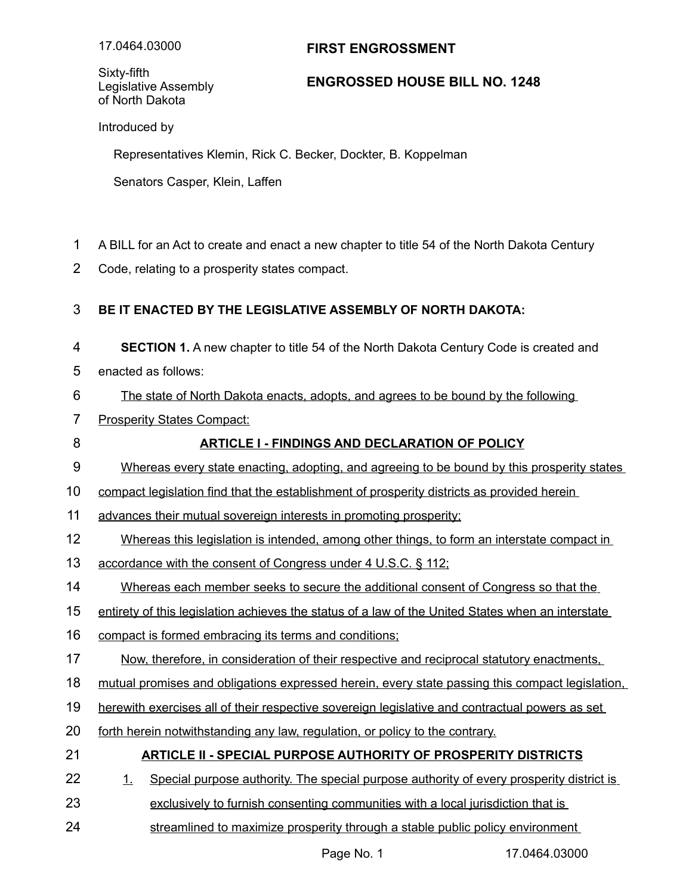# **FIRST ENGROSSMENT**

Sixty-fifth Legislative Assembly of North Dakota

### **ENGROSSED HOUSE BILL NO. 1248**

Introduced by

Representatives Klemin, Rick C. Becker, Dockter, B. Koppelman

Senators Casper, Klein, Laffen

- A BILL for an Act to create and enact a new chapter to title 54 of the North Dakota Century 1
- Code, relating to a prosperity states compact. 2

### **BE IT ENACTED BY THE LEGISLATIVE ASSEMBLY OF NORTH DAKOTA:** 3

- **SECTION 1.** A new chapter to title 54 of the North Dakota Century Code is created and 4
- enacted as follows: 5

8

- The state of North Dakota enacts, adopts, and agrees to be bound by the following 6
- **Prosperity States Compact:** 7

# **ARTICLE I - FINDINGS AND DECLARATION OF POLICY**

- Whereas every state enacting, adopting, and agreeing to be bound by this prosperity states 9
- compact legislation find that the establishment of prosperity districts as provided herein 10
- advances their mutual sovereign interests in promoting prosperity; 11
- Whereas this legislation is intended, among other things, to form an interstate compact in 12
- accordance with the consent of Congress under 4 U.S.C. § 112; 13
- Whereas each member seeks to secure the additional consent of Congress so that the 14
- entirety of this legislation achieves the status of a law of the United States when an interstate 15
- compact is formed embracing its terms and conditions; 16
- Now, therefore, in consideration of their respective and reciprocal statutory enactments, 17
- mutual promises and obligations expressed herein, every state passing this compact legislation, 18
- herewith exercises all of their respective sovereign legislative and contractual powers as set 19
- forth herein notwithstanding any law, regulation, or policy to the contrary. 20

#### **ARTICLE II - SPECIAL PURPOSE AUTHORITY OF PROSPERITY DISTRICTS** 21

- 1. Special purpose authority. The special purpose authority of every prosperity district is 22
- exclusively to furnish consenting communities with a local jurisdiction that is 23
- streamlined to maximize prosperity through a stable public policy environment 24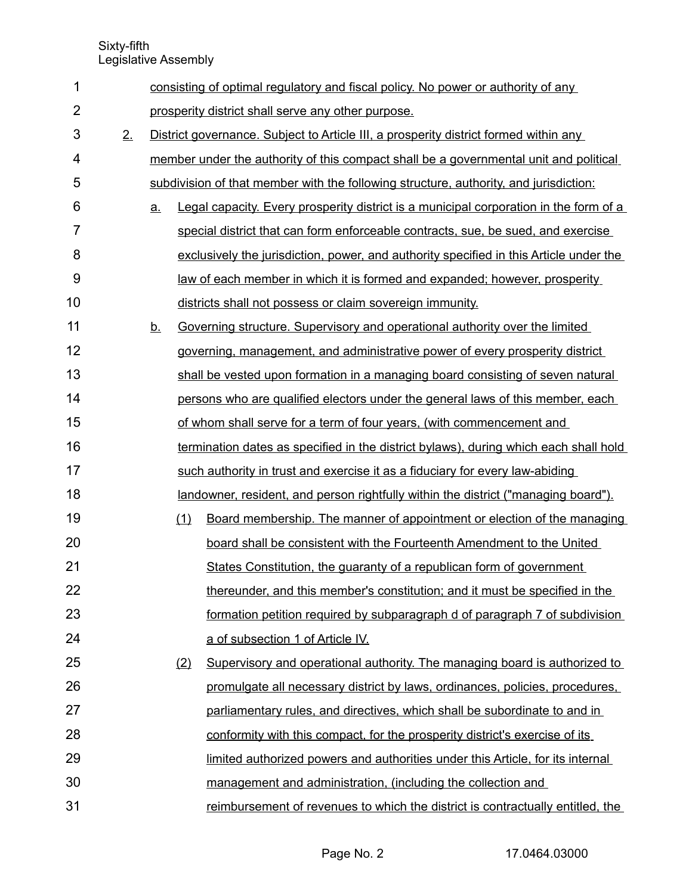Sixty-fifth

Legislative Assembly

| 1              |    |          |                                                                                      | consisting of optimal regulatory and fiscal policy. No power or authority of any       |  |  |
|----------------|----|----------|--------------------------------------------------------------------------------------|----------------------------------------------------------------------------------------|--|--|
| $\overline{2}$ |    |          |                                                                                      | prosperity district shall serve any other purpose.                                     |  |  |
| 3              | 2. |          | District governance. Subject to Article III, a prosperity district formed within any |                                                                                        |  |  |
| 4              |    |          |                                                                                      | member under the authority of this compact shall be a governmental unit and political  |  |  |
| 5              |    |          |                                                                                      | subdivision of that member with the following structure, authority, and jurisdiction:  |  |  |
| 6              |    | a.       |                                                                                      | Legal capacity. Every prosperity district is a municipal corporation in the form of a  |  |  |
| $\overline{7}$ |    |          |                                                                                      | special district that can form enforceable contracts, sue, be sued, and exercise       |  |  |
| 8              |    |          |                                                                                      | exclusively the jurisdiction, power, and authority specified in this Article under the |  |  |
| 9              |    |          |                                                                                      | law of each member in which it is formed and expanded; however, prosperity             |  |  |
| 10             |    |          |                                                                                      | districts shall not possess or claim sovereign immunity.                               |  |  |
| 11             |    | <u>b</u> |                                                                                      | Governing structure. Supervisory and operational authority over the limited            |  |  |
| 12             |    |          |                                                                                      | governing, management, and administrative power of every prosperity district           |  |  |
| 13             |    |          |                                                                                      | shall be vested upon formation in a managing board consisting of seven natural         |  |  |
| 14             |    |          |                                                                                      | persons who are qualified electors under the general laws of this member, each         |  |  |
| 15             |    |          |                                                                                      | of whom shall serve for a term of four years, (with commencement and                   |  |  |
| 16             |    |          |                                                                                      | termination dates as specified in the district bylaws), during which each shall hold   |  |  |
| 17             |    |          |                                                                                      | such authority in trust and exercise it as a fiduciary for every law-abiding           |  |  |
| 18             |    |          |                                                                                      | landowner, resident, and person rightfully within the district ("managing board").     |  |  |
| 19             |    |          | (1)                                                                                  | Board membership. The manner of appointment or election of the managing                |  |  |
| 20             |    |          |                                                                                      | board shall be consistent with the Fourteenth Amendment to the United                  |  |  |
| 21             |    |          |                                                                                      | States Constitution, the guaranty of a republican form of government                   |  |  |
| 22             |    |          |                                                                                      | thereunder, and this member's constitution; and it must be specified in the            |  |  |
| 23             |    |          |                                                                                      | formation petition required by subparagraph d of paragraph 7 of subdivision            |  |  |
| 24             |    |          |                                                                                      | a of subsection 1 of Article IV.                                                       |  |  |
| 25             |    |          | (2)                                                                                  | Supervisory and operational authority. The managing board is authorized to             |  |  |
| 26             |    |          |                                                                                      | promulgate all necessary district by laws, ordinances, policies, procedures,           |  |  |
| 27             |    |          |                                                                                      | parliamentary rules, and directives, which shall be subordinate to and in              |  |  |
| 28             |    |          |                                                                                      | conformity with this compact, for the prosperity district's exercise of its            |  |  |
| 29             |    |          |                                                                                      | limited authorized powers and authorities under this Article, for its internal         |  |  |
| 30             |    |          |                                                                                      | management and administration, (including the collection and                           |  |  |
| 31             |    |          |                                                                                      | reimbursement of revenues to which the district is contractually entitled, the         |  |  |
|                |    |          |                                                                                      |                                                                                        |  |  |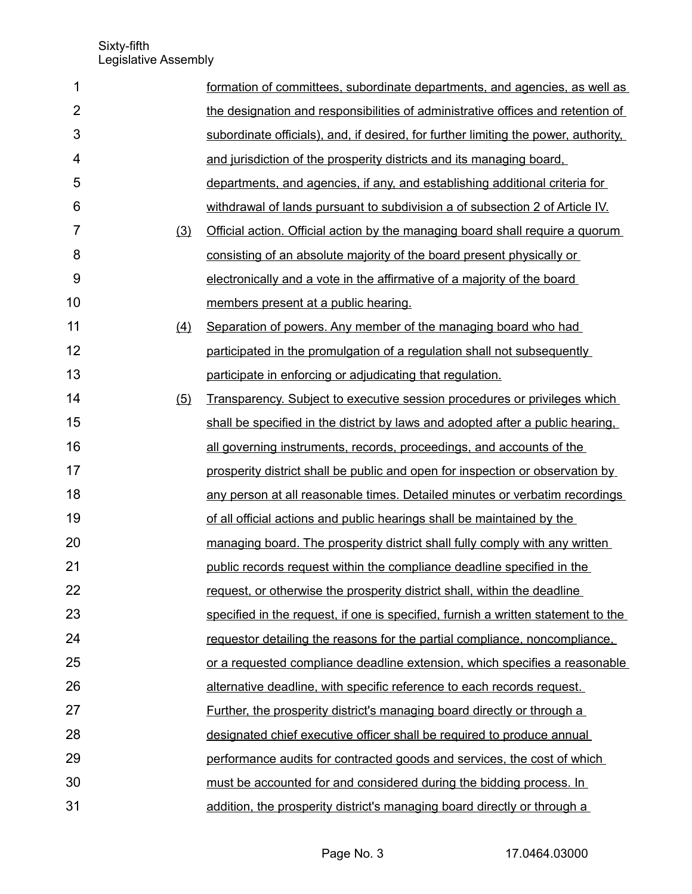| 1              |     | formation of committees, subordinate departments, and agencies, as well as          |
|----------------|-----|-------------------------------------------------------------------------------------|
| $\overline{2}$ |     | the designation and responsibilities of administrative offices and retention of     |
| 3              |     | subordinate officials), and, if desired, for further limiting the power, authority, |
| 4              |     | and jurisdiction of the prosperity districts and its managing board,                |
| 5              |     | departments, and agencies, if any, and establishing additional criteria for         |
| 6              |     | withdrawal of lands pursuant to subdivision a of subsection 2 of Article IV.        |
| $\overline{7}$ | (3) | Official action. Official action by the managing board shall require a quorum       |
| 8              |     | consisting of an absolute majority of the board present physically or               |
| 9              |     | electronically and a vote in the affirmative of a majority of the board             |
| 10             |     | members present at a public hearing.                                                |
| 11             | (4) | Separation of powers. Any member of the managing board who had                      |
| 12             |     | participated in the promulgation of a regulation shall not subsequently             |
| 13             |     | participate in enforcing or adjudicating that regulation.                           |
| 14             | (5) | Transparency. Subject to executive session procedures or privileges which           |
| 15             |     | shall be specified in the district by laws and adopted after a public hearing.      |
| 16             |     | all governing instruments, records, proceedings, and accounts of the                |
| 17             |     | prosperity district shall be public and open for inspection or observation by       |
| 18             |     | any person at all reasonable times. Detailed minutes or verbatim recordings         |
| 19             |     | of all official actions and public hearings shall be maintained by the              |
| 20             |     | managing board. The prosperity district shall fully comply with any written         |
| 21             |     | public records request within the compliance deadline specified in the              |
| 22             |     | request, or otherwise the prosperity district shall, within the deadline            |
| 23             |     | specified in the request, if one is specified, furnish a written statement to the   |
| 24             |     | requestor detailing the reasons for the partial compliance, noncompliance,          |
| 25             |     | or a requested compliance deadline extension, which specifies a reasonable          |
| 26             |     | alternative deadline, with specific reference to each records request.              |
| 27             |     | Further, the prosperity district's managing board directly or through a             |
| 28             |     | designated chief executive officer shall be required to produce annual              |
| 29             |     | performance audits for contracted goods and services, the cost of which             |
| 30             |     | must be accounted for and considered during the bidding process. In                 |
| 31             |     | addition, the prosperity district's managing board directly or through a            |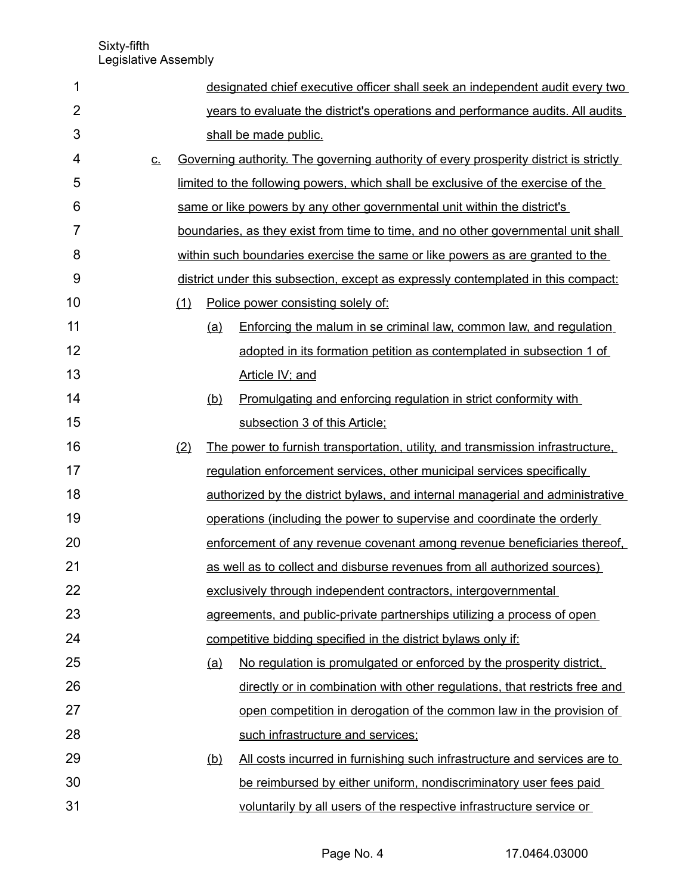| 1              |           |     |            | designated chief executive officer shall seek an independent audit every two          |
|----------------|-----------|-----|------------|---------------------------------------------------------------------------------------|
| $\overline{2}$ |           |     |            | years to evaluate the district's operations and performance audits. All audits        |
| 3              |           |     |            | shall be made public.                                                                 |
| 4              | <u>C.</u> |     |            | Governing authority. The governing authority of every prosperity district is strictly |
| 5              |           |     |            | limited to the following powers, which shall be exclusive of the exercise of the      |
| 6              |           |     |            | same or like powers by any other governmental unit within the district's              |
| $\overline{7}$ |           |     |            | boundaries, as they exist from time to time, and no other governmental unit shall     |
| 8              |           |     |            | within such boundaries exercise the same or like powers as are granted to the         |
| 9              |           |     |            | district under this subsection, except as expressly contemplated in this compact:     |
| 10             |           | (1) |            | Police power consisting solely of:                                                    |
| 11             |           |     | <u>(a)</u> | Enforcing the malum in se criminal law, common law, and regulation                    |
| 12             |           |     |            | adopted in its formation petition as contemplated in subsection 1 of                  |
| 13             |           |     |            | Article IV; and                                                                       |
| 14             |           |     | <u>(b)</u> | Promulgating and enforcing regulation in strict conformity with                       |
| 15             |           |     |            | subsection 3 of this Article;                                                         |
| 16             |           | (2) |            | The power to furnish transportation, utility, and transmission infrastructure,        |
| 17             |           |     |            | regulation enforcement services, other municipal services specifically                |
| 18             |           |     |            | authorized by the district bylaws, and internal managerial and administrative         |
| 19             |           |     |            | operations (including the power to supervise and coordinate the orderly               |
| 20             |           |     |            | enforcement of any revenue covenant among revenue beneficiaries thereof,              |
| 21             |           |     |            | as well as to collect and disburse revenues from all authorized sources)              |
| 22             |           |     |            | exclusively through independent contractors, intergovernmental                        |
| 23             |           |     |            | agreements, and public-private partnerships utilizing a process of open               |
| 24             |           |     |            | competitive bidding specified in the district bylaws only if:                         |
| 25             |           |     | (a)        | No regulation is promulgated or enforced by the prosperity district.                  |
| 26             |           |     |            | directly or in combination with other regulations, that restricts free and            |
| 27             |           |     |            | open competition in derogation of the common law in the provision of                  |
| 28             |           |     |            | such infrastructure and services;                                                     |
| 29             |           |     | (b)        | All costs incurred in furnishing such infrastructure and services are to              |
| 30             |           |     |            | be reimbursed by either uniform, nondiscriminatory user fees paid                     |
| 31             |           |     |            | voluntarily by all users of the respective infrastructure service or                  |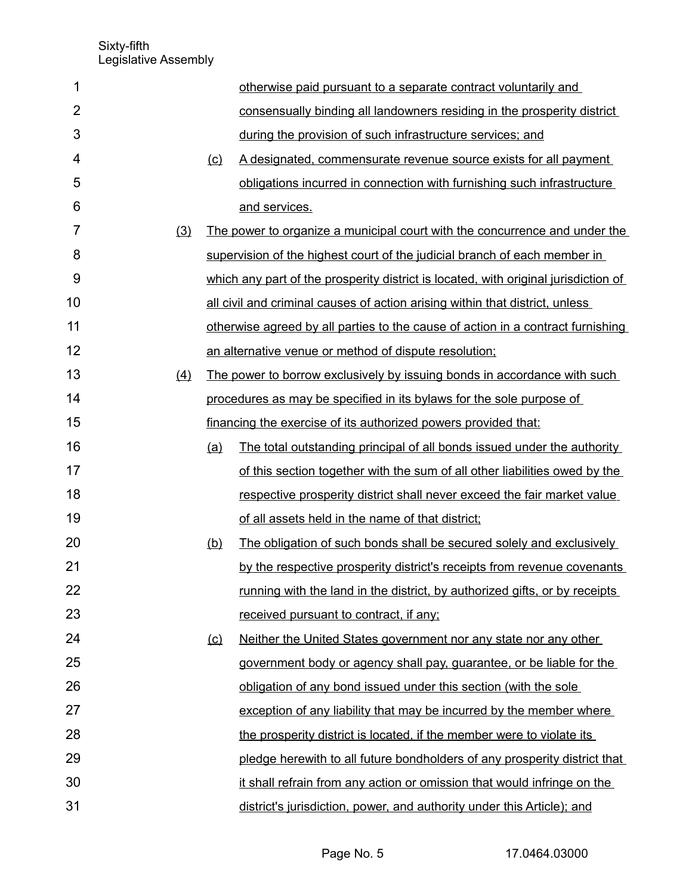| 1              |     |         | otherwise paid pursuant to a separate contract voluntarily and                      |
|----------------|-----|---------|-------------------------------------------------------------------------------------|
| $\overline{2}$ |     |         | consensually binding all landowners residing in the prosperity district             |
| 3              |     |         | during the provision of such infrastructure services; and                           |
| 4              |     | $\circ$ | A designated, commensurate revenue source exists for all payment                    |
| 5              |     |         | obligations incurred in connection with furnishing such infrastructure              |
| 6              |     |         | and services.                                                                       |
| $\overline{7}$ | (3) |         | The power to organize a municipal court with the concurrence and under the          |
| 8              |     |         | supervision of the highest court of the judicial branch of each member in           |
| 9              |     |         | which any part of the prosperity district is located, with original jurisdiction of |
| 10             |     |         | all civil and criminal causes of action arising within that district, unless        |
| 11             |     |         | otherwise agreed by all parties to the cause of action in a contract furnishing     |
| 12             |     |         | an alternative venue or method of dispute resolution;                               |
| 13             | (4) |         | The power to borrow exclusively by issuing bonds in accordance with such            |
| 14             |     |         | procedures as may be specified in its bylaws for the sole purpose of                |
| 15             |     |         | financing the exercise of its authorized powers provided that:                      |
| 16             |     | (a)     | The total outstanding principal of all bonds issued under the authority             |
| 17             |     |         | of this section together with the sum of all other liabilities owed by the          |
| 18             |     |         | respective prosperity district shall never exceed the fair market value             |
| 19             |     |         | of all assets held in the name of that district;                                    |
| 20             |     | (b)     | The obligation of such bonds shall be secured solely and exclusively                |
| 21             |     |         | by the respective prosperity district's receipts from revenue covenants             |
| 22             |     |         | running with the land in the district, by authorized gifts, or by receipts          |
| 23             |     |         | received pursuant to contract, if any;                                              |
| 24             |     | (c)     | Neither the United States government nor any state nor any other                    |
| 25             |     |         | government body or agency shall pay, guarantee, or be liable for the                |
| 26             |     |         | obligation of any bond issued under this section (with the sole                     |
| 27             |     |         | exception of any liability that may be incurred by the member where                 |
| 28             |     |         | the prosperity district is located, if the member were to violate its               |
| 29             |     |         | pledge herewith to all future bondholders of any prosperity district that           |
| 30             |     |         | it shall refrain from any action or omission that would infringe on the             |
| 31             |     |         | district's jurisdiction, power, and authority under this Article); and              |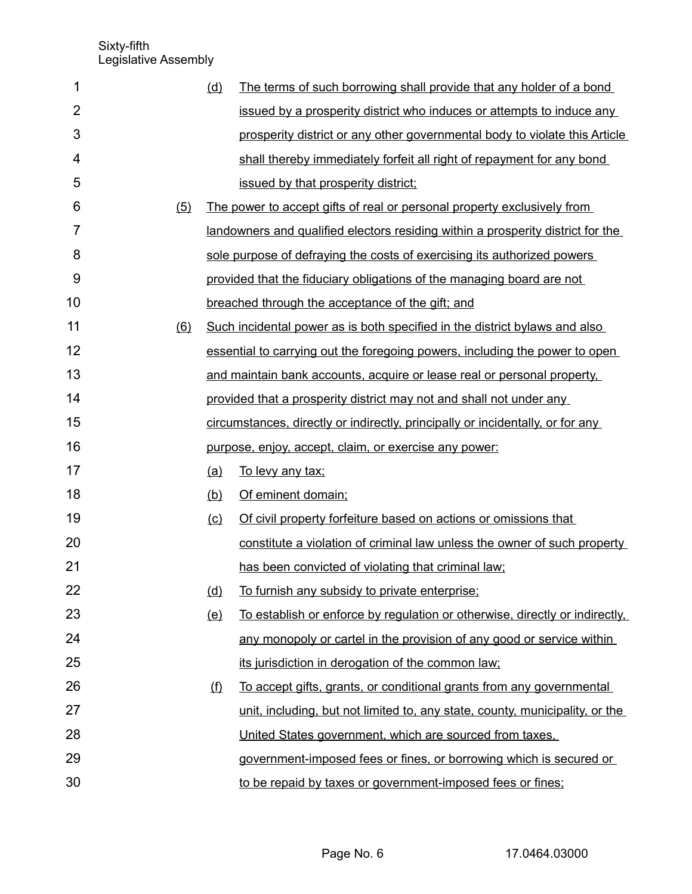| 1              |     | (d)     | The terms of such borrowing shall provide that any holder of a bond             |
|----------------|-----|---------|---------------------------------------------------------------------------------|
| $\overline{2}$ |     |         | issued by a prosperity district who induces or attempts to induce any           |
| 3              |     |         | prosperity district or any other governmental body to violate this Article      |
| 4              |     |         | shall thereby immediately forfeit all right of repayment for any bond           |
| 5              |     |         | issued by that prosperity district;                                             |
| 6              | (5) |         | The power to accept gifts of real or personal property exclusively from         |
| 7              |     |         | landowners and qualified electors residing within a prosperity district for the |
| 8              |     |         | sole purpose of defraying the costs of exercising its authorized powers         |
| 9              |     |         | provided that the fiduciary obligations of the managing board are not           |
| 10             |     |         | breached through the acceptance of the gift; and                                |
| 11             | (6) |         | Such incidental power as is both specified in the district bylaws and also      |
| 12             |     |         | essential to carrying out the foregoing powers, including the power to open     |
| 13             |     |         | and maintain bank accounts, acquire or lease real or personal property,         |
| 14             |     |         | provided that a prosperity district may not and shall not under any             |
| 15             |     |         | circumstances, directly or indirectly, principally or incidentally, or for any  |
| 16             |     |         | purpose, enjoy, accept, claim, or exercise any power:                           |
| 17             |     | (a)     | To levy any tax;                                                                |
| 18             |     | (b)     | Of eminent domain;                                                              |
| 19             |     | $\circ$ | Of civil property forfeiture based on actions or omissions that                 |
| 20             |     |         | constitute a violation of criminal law unless the owner of such property        |
| 21             |     |         | has been convicted of violating that criminal law;                              |
| 22             |     | (d)     | To furnish any subsidy to private enterprise;                                   |
| 23             |     | (e)     | To establish or enforce by regulation or otherwise, directly or indirectly,     |
| 24             |     |         | any monopoly or cartel in the provision of any good or service within           |
| 25             |     |         | its jurisdiction in derogation of the common law;                               |
| 26             |     | (f)     | To accept gifts, grants, or conditional grants from any governmental            |
| 27             |     |         | unit, including, but not limited to, any state, county, municipality, or the    |
| 28             |     |         | United States government, which are sourced from taxes,                         |
| 29             |     |         | government-imposed fees or fines, or borrowing which is secured or              |
| 30             |     |         | to be repaid by taxes or government-imposed fees or fines;                      |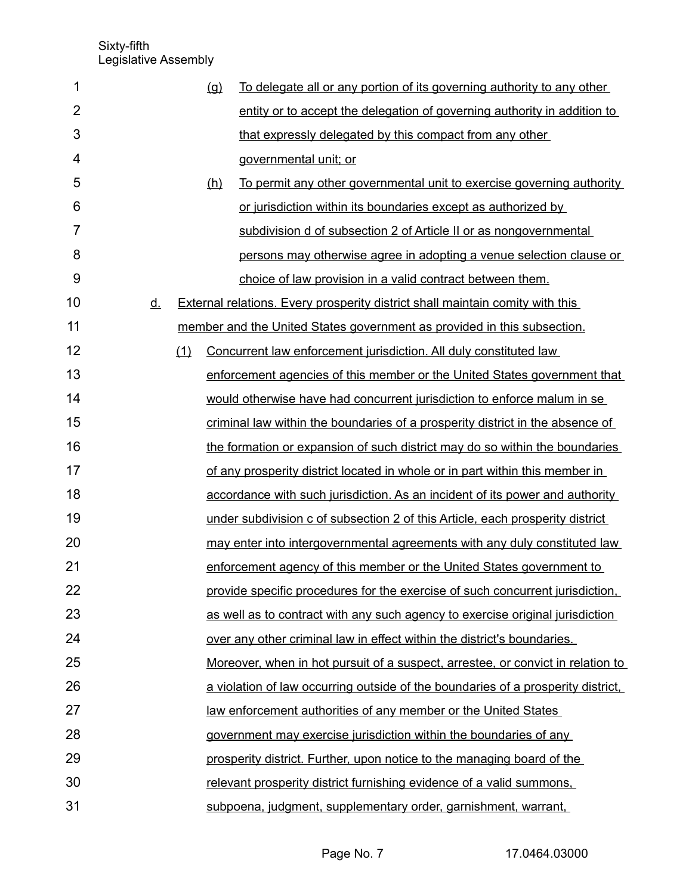| 1              |           |     | $\left( q\right)$ | To delegate all or any portion of its governing authority to any other                 |
|----------------|-----------|-----|-------------------|----------------------------------------------------------------------------------------|
| $\overline{2}$ |           |     |                   | entity or to accept the delegation of governing authority in addition to               |
| 3              |           |     |                   | that expressly delegated by this compact from any other                                |
| 4              |           |     |                   | governmental unit; or                                                                  |
| 5              |           |     | (h)               | To permit any other governmental unit to exercise governing authority                  |
| 6              |           |     |                   | or jurisdiction within its boundaries except as authorized by                          |
| $\overline{7}$ |           |     |                   | subdivision d of subsection 2 of Article II or as nongovernmental                      |
| 8              |           |     |                   | persons may otherwise agree in adopting a venue selection clause or                    |
| 9              |           |     |                   | choice of law provision in a valid contract between them.                              |
| 10             | <u>d.</u> |     |                   | <b>External relations. Every prosperity district shall maintain comity with this</b>   |
| 11             |           |     |                   | member and the United States government as provided in this subsection.                |
| 12             |           | (1) |                   | Concurrent law enforcement jurisdiction. All duly constituted law                      |
| 13             |           |     |                   | enforcement agencies of this member or the United States government that               |
| 14             |           |     |                   | would otherwise have had concurrent jurisdiction to enforce malum in se                |
| 15             |           |     |                   | criminal law within the boundaries of a prosperity district in the absence of          |
| 16             |           |     |                   | the formation or expansion of such district may do so within the boundaries            |
| 17             |           |     |                   | of any prosperity district located in whole or in part within this member in           |
| 18             |           |     |                   | accordance with such jurisdiction. As an incident of its power and authority           |
| 19             |           |     |                   | under subdivision c of subsection 2 of this Article, each prosperity district          |
| 20             |           |     |                   | may enter into intergovernmental agreements with any duly constituted law              |
| 21             |           |     |                   | enforcement agency of this member or the United States government to                   |
| 22             |           |     |                   | provide specific procedures for the exercise of such concurrent jurisdiction,          |
| 23             |           |     |                   | as well as to contract with any such agency to exercise original jurisdiction          |
| 24             |           |     |                   | over any other criminal law in effect within the district's boundaries.                |
| 25             |           |     |                   | <u>Moreover, when in hot pursuit of a suspect, arrestee, or convict in relation to</u> |
| 26             |           |     |                   | a violation of law occurring outside of the boundaries of a prosperity district.       |
| 27             |           |     |                   | law enforcement authorities of any member or the United States                         |
| 28             |           |     |                   | government may exercise jurisdiction within the boundaries of any                      |
| 29             |           |     |                   | prosperity district. Further, upon notice to the managing board of the                 |
| 30             |           |     |                   | relevant prosperity district furnishing evidence of a valid summons,                   |
| 31             |           |     |                   | subpoena, judgment, supplementary order, garnishment, warrant,                         |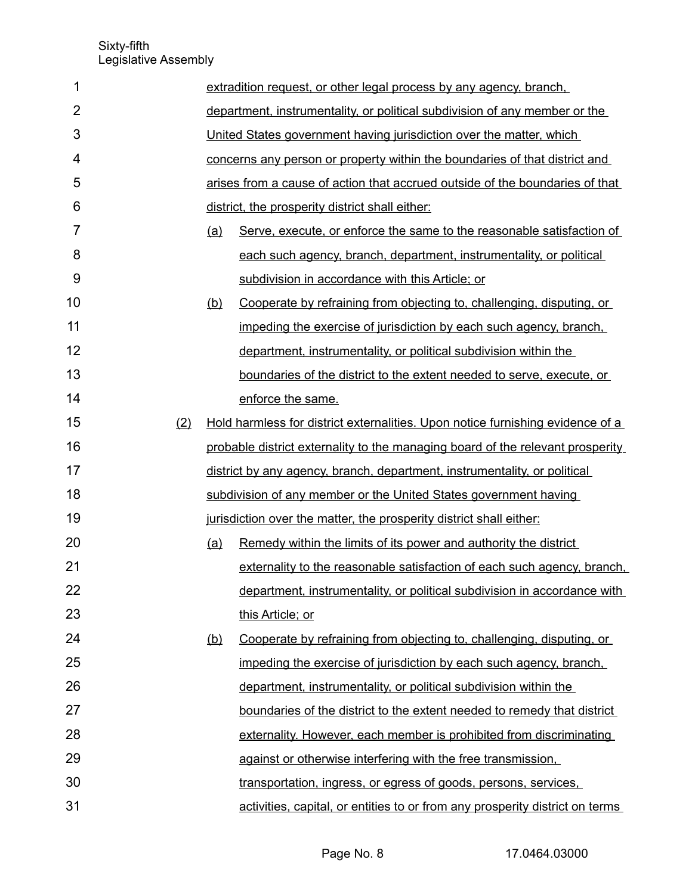| 1              |     |            | extradition request, or other legal process by any agency, branch,             |
|----------------|-----|------------|--------------------------------------------------------------------------------|
| $\overline{2}$ |     |            | department, instrumentality, or political subdivision of any member or the     |
| 3              |     |            | United States government having jurisdiction over the matter, which            |
| 4              |     |            | concerns any person or property within the boundaries of that district and     |
| 5              |     |            | arises from a cause of action that accrued outside of the boundaries of that   |
| 6              |     |            | district, the prosperity district shall either:                                |
| $\overline{7}$ |     | (a)        | Serve, execute, or enforce the same to the reasonable satisfaction of          |
| 8              |     |            | each such agency, branch, department, instrumentality, or political            |
| 9              |     |            | subdivision in accordance with this Article; or                                |
| 10             |     | <u>(b)</u> | Cooperate by refraining from objecting to, challenging, disputing, or          |
| 11             |     |            | impeding the exercise of jurisdiction by each such agency, branch,             |
| 12             |     |            | department, instrumentality, or political subdivision within the               |
| 13             |     |            | boundaries of the district to the extent needed to serve, execute, or          |
| 14             |     |            | enforce the same.                                                              |
| 15             | (2) |            | Hold harmless for district externalities. Upon notice furnishing evidence of a |
| 16             |     |            | probable district externality to the managing board of the relevant prosperity |
| 17             |     |            | district by any agency, branch, department, instrumentality, or political      |
| 18             |     |            | subdivision of any member or the United States government having               |
| 19             |     |            | jurisdiction over the matter, the prosperity district shall either:            |
| 20             |     | (a)        | Remedy within the limits of its power and authority the district               |
| 21             |     |            | externality to the reasonable satisfaction of each such agency, branch,        |
| 22             |     |            | department, instrumentality, or political subdivision in accordance with       |
| 23             |     |            | this Article; or                                                               |
| 24             |     | <u>(b)</u> | Cooperate by refraining from objecting to, challenging, disputing, or          |
| 25             |     |            | impeding the exercise of jurisdiction by each such agency, branch,             |
| 26             |     |            | department, instrumentality, or political subdivision within the               |
| 27             |     |            | boundaries of the district to the extent needed to remedy that district        |
| 28             |     |            | externality. However, each member is prohibited from discriminating            |
| 29             |     |            | against or otherwise interfering with the free transmission.                   |
| 30             |     |            | transportation, ingress, or egress of goods, persons, services,                |
| 31             |     |            | activities, capital, or entities to or from any prosperity district on terms   |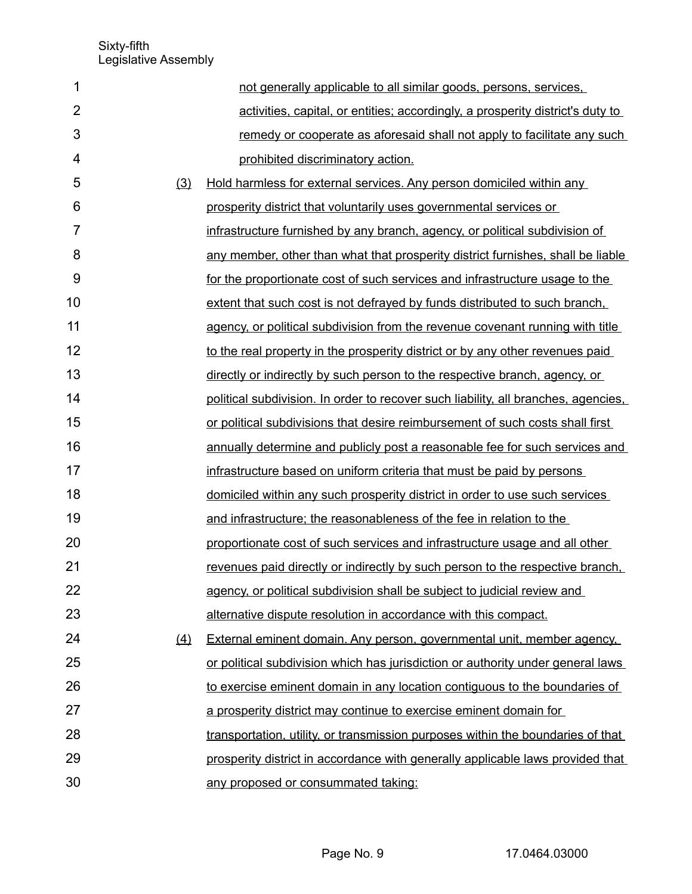| 1              |     | not generally applicable to all similar goods, persons, services,                  |
|----------------|-----|------------------------------------------------------------------------------------|
| $\overline{2}$ |     | activities, capital, or entities; accordingly, a prosperity district's duty to     |
| 3              |     | remedy or cooperate as aforesaid shall not apply to facilitate any such            |
| 4              |     | prohibited discriminatory action.                                                  |
| 5              | (3) | Hold harmless for external services. Any person domiciled within any               |
| 6              |     | prosperity district that voluntarily uses governmental services or                 |
| 7              |     | infrastructure furnished by any branch, agency, or political subdivision of        |
| 8              |     | any member, other than what that prosperity district furnishes, shall be liable    |
| 9              |     | for the proportionate cost of such services and infrastructure usage to the        |
| 10             |     | extent that such cost is not defrayed by funds distributed to such branch,         |
| 11             |     | agency, or political subdivision from the revenue covenant running with title      |
| 12             |     | to the real property in the prosperity district or by any other revenues paid      |
| 13             |     | directly or indirectly by such person to the respective branch, agency, or         |
| 14             |     | political subdivision. In order to recover such liability, all branches, agencies, |
| 15             |     | or political subdivisions that desire reimbursement of such costs shall first      |
| 16             |     | annually determine and publicly post a reasonable fee for such services and        |
| 17             |     | infrastructure based on uniform criteria that must be paid by persons              |
| 18             |     | domiciled within any such prosperity district in order to use such services        |
| 19             |     | and infrastructure; the reasonableness of the fee in relation to the               |
| 20             |     | proportionate cost of such services and infrastructure usage and all other         |
| 21             |     | revenues paid directly or indirectly by such person to the respective branch.      |
| 22             |     | agency, or political subdivision shall be subject to judicial review and           |
| 23             |     | alternative dispute resolution in accordance with this compact.                    |
| 24             | (4) | External eminent domain. Any person, governmental unit, member agency,             |
| 25             |     | or political subdivision which has jurisdiction or authority under general laws    |
| 26             |     | to exercise eminent domain in any location contiguous to the boundaries of         |
| 27             |     | a prosperity district may continue to exercise eminent domain for                  |
| 28             |     | transportation, utility, or transmission purposes within the boundaries of that    |
| 29             |     | prosperity district in accordance with generally applicable laws provided that     |
| 30             |     | any proposed or consummated taking:                                                |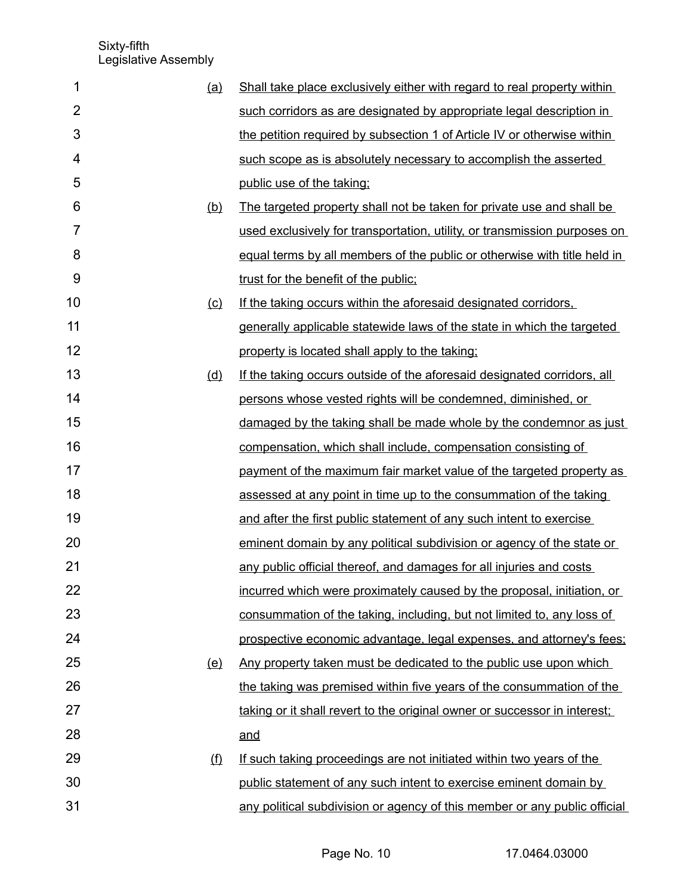| 1<br>(a)       | Shall take place exclusively either with regard to real property within   |
|----------------|---------------------------------------------------------------------------|
| $\overline{2}$ | such corridors as are designated by appropriate legal description in      |
| 3              | the petition required by subsection 1 of Article IV or otherwise within   |
| 4              | such scope as is absolutely necessary to accomplish the asserted          |
| 5              | public use of the taking;                                                 |
| 6<br>(b)       | The targeted property shall not be taken for private use and shall be     |
| $\overline{7}$ | used exclusively for transportation, utility, or transmission purposes on |
| 8              | equal terms by all members of the public or otherwise with title held in  |
| 9              | trust for the benefit of the public;                                      |
| 10<br>$\circ$  | If the taking occurs within the aforesaid designated corridors.           |
| 11             | generally applicable statewide laws of the state in which the targeted    |
| 12             | property is located shall apply to the taking:                            |
| 13<br>(d)      | If the taking occurs outside of the aforesaid designated corridors, all   |
| 14             | persons whose vested rights will be condemned, diminished, or             |
| 15             | damaged by the taking shall be made whole by the condemnor as just        |
| 16             | compensation, which shall include, compensation consisting of             |
| 17             | payment of the maximum fair market value of the targeted property as      |
| 18             | assessed at any point in time up to the consummation of the taking        |
| 19             | and after the first public statement of any such intent to exercise       |
| 20             | eminent domain by any political subdivision or agency of the state or     |
| 21             | any public official thereof, and damages for all injuries and costs       |
| 22             | incurred which were proximately caused by the proposal, initiation, or    |
| 23             | consummation of the taking, including, but not limited to, any loss of    |
| 24             | prospective economic advantage, legal expenses, and attorney's fees;      |
| 25<br>(e)      | Any property taken must be dedicated to the public use upon which         |
| 26             | the taking was premised within five years of the consummation of the      |
| 27             | taking or it shall revert to the original owner or successor in interest; |
| 28             | and                                                                       |
| 29<br>(f)      | If such taking proceedings are not initiated within two years of the      |
| 30             | public statement of any such intent to exercise eminent domain by         |
| 31             | any political subdivision or agency of this member or any public official |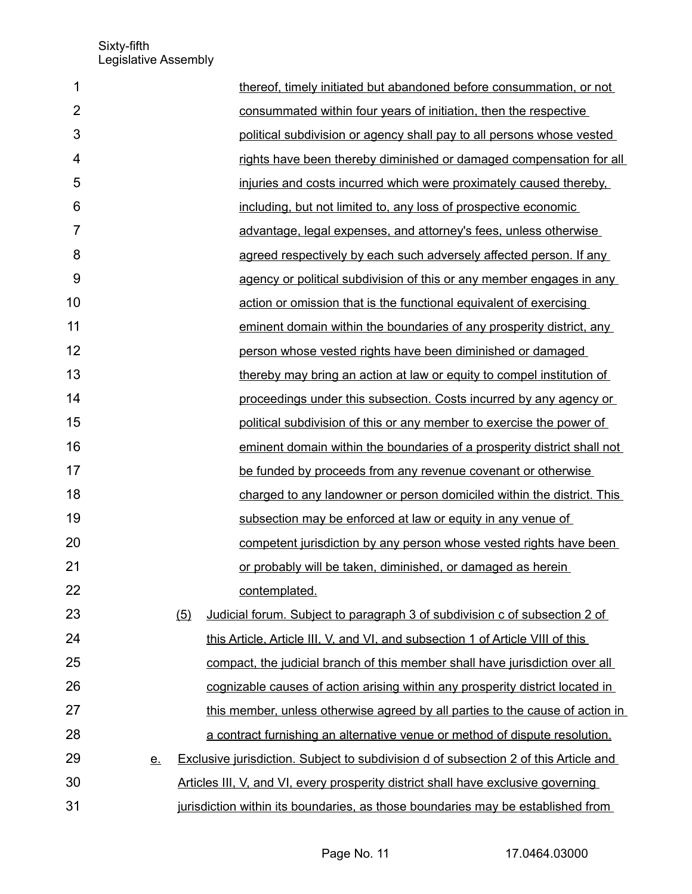| 1              |           | thereof, timely initiated but abandoned before consummation, or not                  |
|----------------|-----------|--------------------------------------------------------------------------------------|
| $\overline{2}$ |           | consummated within four years of initiation, then the respective                     |
| 3              |           | political subdivision or agency shall pay to all persons whose vested                |
| $\overline{4}$ |           | rights have been thereby diminished or damaged compensation for all                  |
| 5              |           | injuries and costs incurred which were proximately caused thereby.                   |
| 6              |           | including, but not limited to, any loss of prospective economic                      |
| $\overline{7}$ |           | advantage, legal expenses, and attorney's fees, unless otherwise                     |
| 8              |           | agreed respectively by each such adversely affected person. If any                   |
| 9              |           | agency or political subdivision of this or any member engages in any                 |
| 10             |           | action or omission that is the functional equivalent of exercising                   |
| 11             |           | eminent domain within the boundaries of any prosperity district, any                 |
| 12             |           | person whose vested rights have been diminished or damaged                           |
| 13             |           | thereby may bring an action at law or equity to compel institution of                |
| 14             |           | proceedings under this subsection. Costs incurred by any agency or                   |
| 15             |           | political subdivision of this or any member to exercise the power of                 |
| 16             |           | eminent domain within the boundaries of a prosperity district shall not              |
| 17             |           | be funded by proceeds from any revenue covenant or otherwise                         |
| 18             |           | charged to any landowner or person domiciled within the district. This               |
| 19             |           | subsection may be enforced at law or equity in any venue of                          |
| 20             |           | competent jurisdiction by any person whose vested rights have been                   |
| 21             |           | or probably will be taken, diminished, or damaged as herein                          |
| 22             |           | contemplated.                                                                        |
| 23             |           | Judicial forum. Subject to paragraph 3 of subdivision c of subsection 2 of<br>(5)    |
| 24             |           | this Article, Article III, V, and VI, and subsection 1 of Article VIII of this       |
| 25             |           | compact, the judicial branch of this member shall have jurisdiction over all         |
| 26             |           | cognizable causes of action arising within any prosperity district located in        |
| 27             |           | this member, unless otherwise agreed by all parties to the cause of action in        |
| 28             |           | a contract furnishing an alternative venue or method of dispute resolution.          |
| 29             | <u>e.</u> | Exclusive jurisdiction. Subject to subdivision d of subsection 2 of this Article and |
| 30             |           | Articles III, V, and VI, every prosperity district shall have exclusive governing    |
| 31             |           | jurisdiction within its boundaries, as those boundaries may be established from      |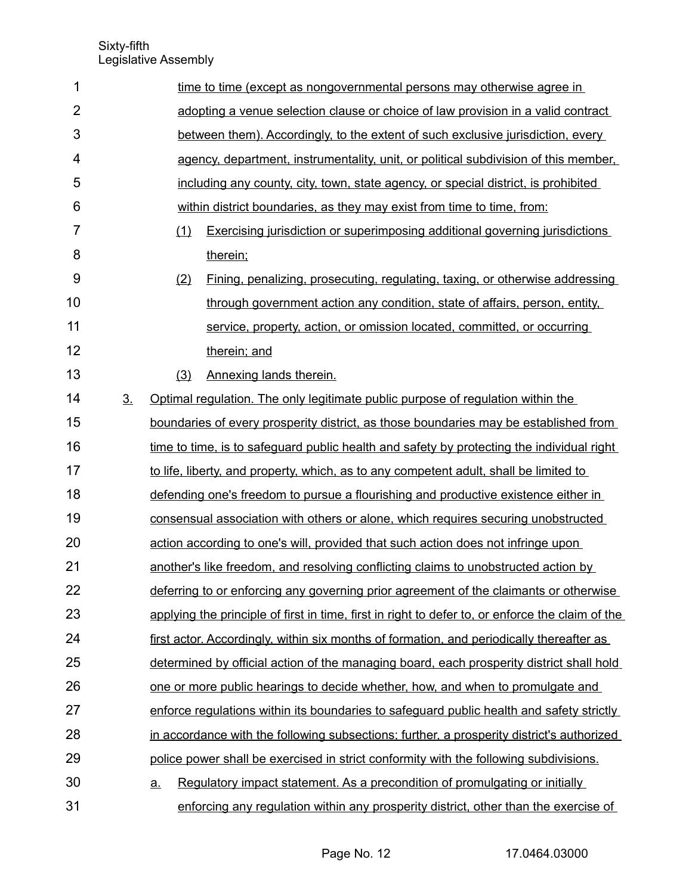| 1              |                | time to time (except as nongovernmental persons may otherwise agree in                           |  |  |  |  |  |
|----------------|----------------|--------------------------------------------------------------------------------------------------|--|--|--|--|--|
| $\overline{2}$ |                | adopting a venue selection clause or choice of law provision in a valid contract                 |  |  |  |  |  |
| 3              |                | between them). Accordingly, to the extent of such exclusive jurisdiction, every                  |  |  |  |  |  |
| 4              |                | agency, department, instrumentality, unit, or political subdivision of this member,              |  |  |  |  |  |
| 5              |                | including any county, city, town, state agency, or special district, is prohibited               |  |  |  |  |  |
| 6              |                | within district boundaries, as they may exist from time to time, from:                           |  |  |  |  |  |
| 7              |                | <b>Exercising jurisdiction or superimposing additional governing jurisdictions</b><br>(1)        |  |  |  |  |  |
| 8              |                | therein;                                                                                         |  |  |  |  |  |
| 9              |                | (2)<br><u>Fining, penalizing, prosecuting, regulating, taxing, or otherwise addressing</u>       |  |  |  |  |  |
| 10             |                | through government action any condition, state of affairs, person, entity,                       |  |  |  |  |  |
| 11             |                | service, property, action, or omission located, committed, or occurring                          |  |  |  |  |  |
| 12             |                | therein; and                                                                                     |  |  |  |  |  |
| 13             |                | (3)<br>Annexing lands therein.                                                                   |  |  |  |  |  |
| 14             | 3 <sub>1</sub> | Optimal regulation. The only legitimate public purpose of regulation within the                  |  |  |  |  |  |
| 15             |                | boundaries of every prosperity district, as those boundaries may be established from             |  |  |  |  |  |
| 16             |                | time to time, is to safeguard public health and safety by protecting the individual right        |  |  |  |  |  |
| 17             |                | to life, liberty, and property, which, as to any competent adult, shall be limited to            |  |  |  |  |  |
| 18             |                | defending one's freedom to pursue a flourishing and productive existence either in               |  |  |  |  |  |
| 19             |                | consensual association with others or alone, which requires securing unobstructed                |  |  |  |  |  |
| 20             |                | action according to one's will, provided that such action does not infringe upon                 |  |  |  |  |  |
| 21             |                | another's like freedom, and resolving conflicting claims to unobstructed action by               |  |  |  |  |  |
| 22             |                | deferring to or enforcing any governing prior agreement of the claimants or otherwise            |  |  |  |  |  |
| 23             |                | applying the principle of first in time, first in right to defer to, or enforce the claim of the |  |  |  |  |  |
| 24             |                | first actor. Accordingly, within six months of formation, and periodically thereafter as         |  |  |  |  |  |
| 25             |                | determined by official action of the managing board, each prosperity district shall hold         |  |  |  |  |  |
| 26             |                | one or more public hearings to decide whether, how, and when to promulgate and                   |  |  |  |  |  |
| 27             |                | enforce regulations within its boundaries to safeguard public health and safety strictly         |  |  |  |  |  |
| 28             |                | in accordance with the following subsections; further, a prosperity district's authorized        |  |  |  |  |  |
| 29             |                | police power shall be exercised in strict conformity with the following subdivisions.            |  |  |  |  |  |
| 30             |                | Regulatory impact statement. As a precondition of promulgating or initially<br>$\underline{a}$ . |  |  |  |  |  |
| 31             |                | enforcing any regulation within any prosperity district, other than the exercise of              |  |  |  |  |  |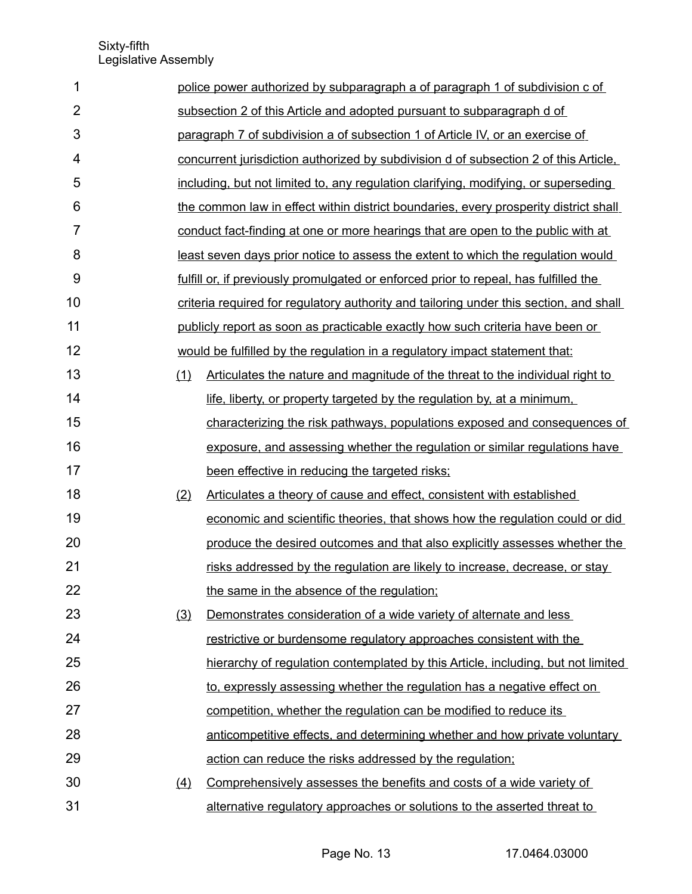| 1              |     | police power authorized by subparagraph a of paragraph 1 of subdivision c of           |
|----------------|-----|----------------------------------------------------------------------------------------|
| $\overline{2}$ |     | subsection 2 of this Article and adopted pursuant to subparagraph d of                 |
| 3              |     | paragraph 7 of subdivision a of subsection 1 of Article IV, or an exercise of          |
| 4              |     | concurrent jurisdiction authorized by subdivision d of subsection 2 of this Article.   |
| 5              |     | including, but not limited to, any regulation clarifying, modifying, or superseding    |
| 6              |     | the common law in effect within district boundaries, every prosperity district shall   |
| $\overline{7}$ |     | conduct fact-finding at one or more hearings that are open to the public with at       |
| 8              |     | least seven days prior notice to assess the extent to which the regulation would       |
| 9              |     | fulfill or, if previously promulgated or enforced prior to repeal, has fulfilled the   |
| 10             |     | criteria required for regulatory authority and tailoring under this section, and shall |
| 11             |     | publicly report as soon as practicable exactly how such criteria have been or          |
| 12             |     | would be fulfilled by the regulation in a regulatory impact statement that:            |
| 13             | (1) | Articulates the nature and magnitude of the threat to the individual right to          |
| 14             |     | life, liberty, or property targeted by the regulation by, at a minimum.                |
| 15             |     | characterizing the risk pathways, populations exposed and consequences of              |
| 16             |     | exposure, and assessing whether the regulation or similar regulations have             |
| 17             |     | been effective in reducing the targeted risks;                                         |
| 18             | (2) | Articulates a theory of cause and effect, consistent with established                  |
| 19             |     | economic and scientific theories, that shows how the regulation could or did           |
| 20             |     | produce the desired outcomes and that also explicitly assesses whether the             |
| 21             |     | risks addressed by the regulation are likely to increase, decrease, or stay            |
| 22             |     | the same in the absence of the regulation;                                             |
| 23             | (3) | Demonstrates consideration of a wide variety of alternate and less                     |
| 24             |     | restrictive or burdensome regulatory approaches consistent with the                    |
| 25             |     | hierarchy of regulation contemplated by this Article, including, but not limited       |
| 26             |     | to, expressly assessing whether the regulation has a negative effect on                |
| 27             |     | competition, whether the regulation can be modified to reduce its                      |
| 28             |     | anticompetitive effects, and determining whether and how private voluntary             |
| 29             |     | action can reduce the risks addressed by the regulation;                               |
| 30             | (4) | Comprehensively assesses the benefits and costs of a wide variety of                   |
| 31             |     | alternative regulatory approaches or solutions to the asserted threat to               |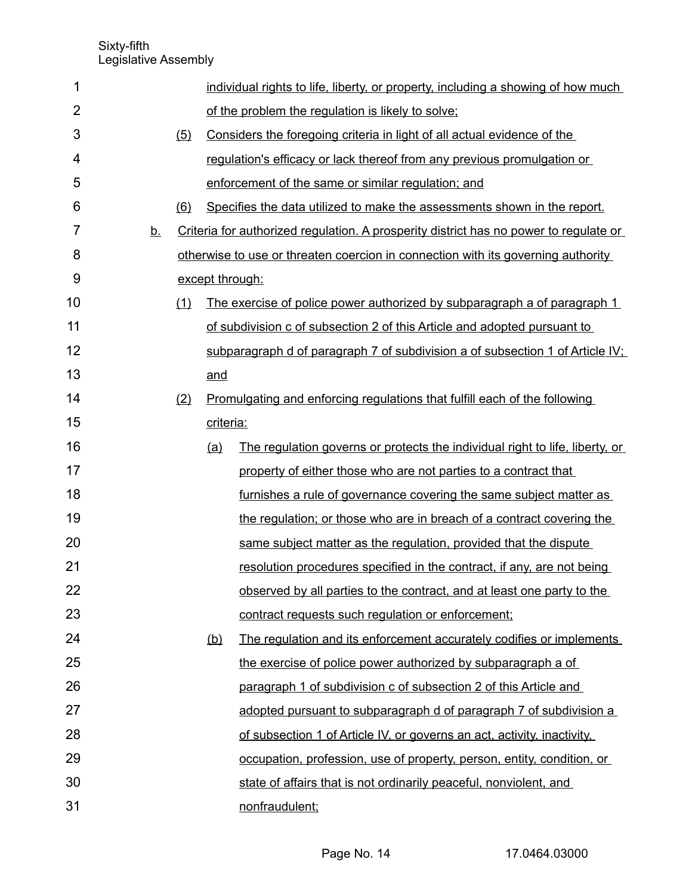| 1              |           |                     |                 | individual rights to life, liberty, or property, including a showing of how much      |
|----------------|-----------|---------------------|-----------------|---------------------------------------------------------------------------------------|
| $\overline{2}$ |           |                     |                 | of the problem the regulation is likely to solve;                                     |
| 3              |           | (5)                 |                 | Considers the foregoing criteria in light of all actual evidence of the               |
| 4              |           |                     |                 | regulation's efficacy or lack thereof from any previous promulgation or               |
| 5              |           |                     |                 | enforcement of the same or similar regulation; and                                    |
| 6              |           | (6)                 |                 | Specifies the data utilized to make the assessments shown in the report.              |
| 7              | <u>b.</u> |                     |                 | Criteria for authorized regulation. A prosperity district has no power to regulate or |
| 8              |           |                     |                 | otherwise to use or threaten coercion in connection with its governing authority      |
| 9              |           |                     | except through: |                                                                                       |
| 10             |           | $\langle 1 \rangle$ |                 | <u>The exercise of police power authorized by subparagraph a of paragraph 1</u>       |
| 11             |           |                     |                 | of subdivision c of subsection 2 of this Article and adopted pursuant to              |
| 12             |           |                     |                 | subparagraph d of paragraph 7 of subdivision a of subsection 1 of Article IV;         |
| 13             |           |                     | and             |                                                                                       |
| 14             |           | (2)                 |                 | Promulgating and enforcing regulations that fulfill each of the following             |
| 15             |           |                     | criteria:       |                                                                                       |
| 16             |           |                     | (a)             | The regulation governs or protects the individual right to life, liberty, or          |
| 17             |           |                     |                 | property of either those who are not parties to a contract that                       |
| 18             |           |                     |                 | furnishes a rule of governance covering the same subject matter as                    |
| 19             |           |                     |                 | the regulation; or those who are in breach of a contract covering the                 |
| 20             |           |                     |                 | same subject matter as the regulation, provided that the dispute                      |
| 21             |           |                     |                 | resolution procedures specified in the contract, if any, are not being                |
| 22             |           |                     |                 | observed by all parties to the contract, and at least one party to the                |
| 23             |           |                     |                 | contract requests such regulation or enforcement;                                     |
| 24             |           |                     | (b)             | The regulation and its enforcement accurately codifies or implements                  |
| 25             |           |                     |                 | the exercise of police power authorized by subparagraph a of                          |
| 26             |           |                     |                 | paragraph 1 of subdivision c of subsection 2 of this Article and                      |
| 27             |           |                     |                 | adopted pursuant to subparagraph d of paragraph 7 of subdivision a                    |
| 28             |           |                     |                 | of subsection 1 of Article IV, or governs an act, activity, inactivity,               |
| 29             |           |                     |                 | occupation, profession, use of property, person, entity, condition, or                |
| 30             |           |                     |                 | state of affairs that is not ordinarily peaceful, nonviolent, and                     |
| 31             |           |                     |                 | nonfraudulent;                                                                        |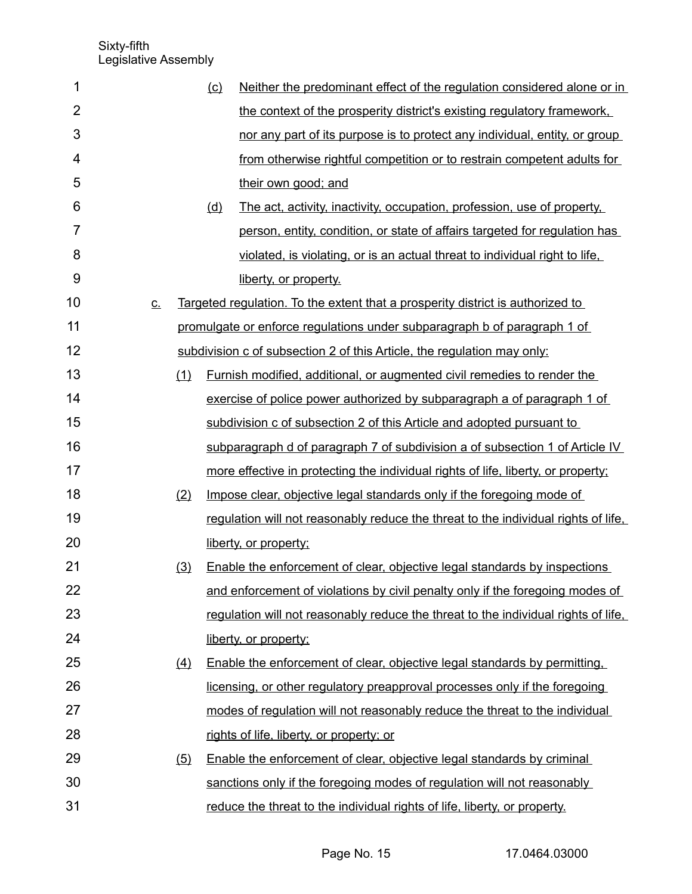| 1              |           |     | (c) | Neither the predominant effect of the regulation considered alone or in            |
|----------------|-----------|-----|-----|------------------------------------------------------------------------------------|
| $\overline{2}$ |           |     |     | the context of the prosperity district's existing regulatory framework.            |
| 3              |           |     |     | nor any part of its purpose is to protect any individual, entity, or group         |
| 4              |           |     |     | from otherwise rightful competition or to restrain competent adults for            |
| 5              |           |     |     | their own good; and                                                                |
| 6              |           |     | (d) | The act, activity, inactivity, occupation, profession, use of property,            |
| $\overline{7}$ |           |     |     | person, entity, condition, or state of affairs targeted for regulation has         |
| 8              |           |     |     | violated, is violating, or is an actual threat to individual right to life,        |
| 9              |           |     |     | liberty, or property.                                                              |
| 10             | <u>C.</u> |     |     | Targeted regulation. To the extent that a prosperity district is authorized to     |
| 11             |           |     |     | promulgate or enforce regulations under subparagraph b of paragraph 1 of           |
| 12             |           |     |     | subdivision c of subsection 2 of this Article, the regulation may only:            |
| 13             |           | (1) |     | <u>Furnish modified, additional, or augmented civil remedies to render the</u>     |
| 14             |           |     |     | exercise of police power authorized by subparagraph a of paragraph 1 of            |
| 15             |           |     |     | subdivision c of subsection 2 of this Article and adopted pursuant to              |
| 16             |           |     |     | subparagraph d of paragraph 7 of subdivision a of subsection 1 of Article IV       |
| 17             |           |     |     | more effective in protecting the individual rights of life, liberty, or property;  |
| 18             |           | (2) |     | Impose clear, objective legal standards only if the foregoing mode of              |
| 19             |           |     |     | regulation will not reasonably reduce the threat to the individual rights of life. |
| 20             |           |     |     | liberty, or property;                                                              |
| 21             |           | (3) |     | Enable the enforcement of clear, objective legal standards by inspections          |
| 22             |           |     |     | and enforcement of violations by civil penalty only if the foregoing modes of      |
| 23             |           |     |     | regulation will not reasonably reduce the threat to the individual rights of life, |
| 24             |           |     |     | liberty, or property;                                                              |
| 25             |           | (4) |     | Enable the enforcement of clear, objective legal standards by permitting,          |
| 26             |           |     |     | licensing, or other regulatory preapproval processes only if the foregoing         |
| 27             |           |     |     | modes of regulation will not reasonably reduce the threat to the individual        |
| 28             |           |     |     | rights of life, liberty, or property; or                                           |
| 29             |           | (5) |     | Enable the enforcement of clear, objective legal standards by criminal             |
| 30             |           |     |     | sanctions only if the foregoing modes of regulation will not reasonably            |
| 31             |           |     |     | reduce the threat to the individual rights of life, liberty, or property.          |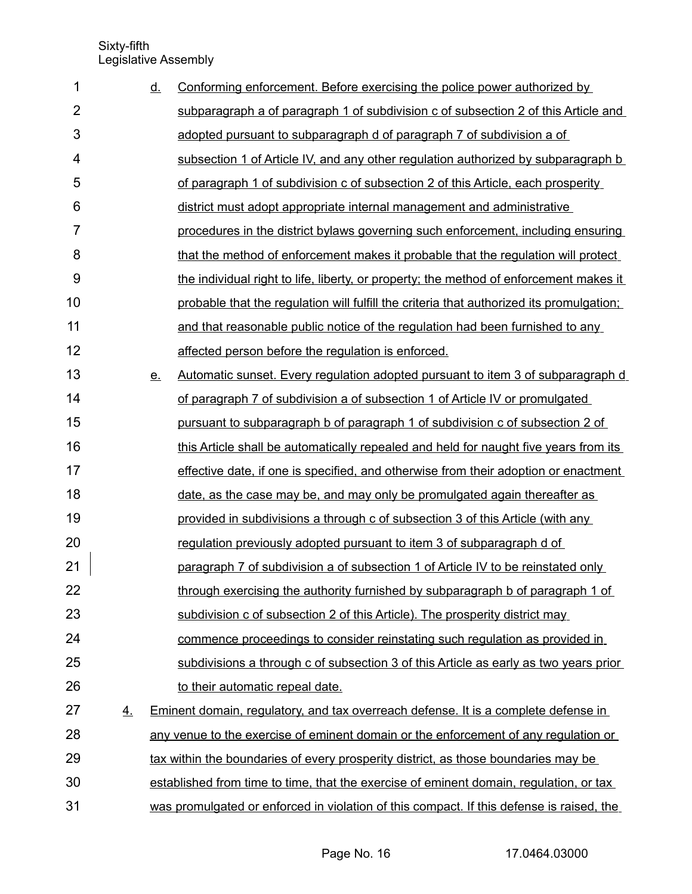| 1              |    | <u>d.</u> | Conforming enforcement. Before exercising the police power authorized by                  |
|----------------|----|-----------|-------------------------------------------------------------------------------------------|
| $\overline{2}$ |    |           | subparagraph a of paragraph 1 of subdivision c of subsection 2 of this Article and        |
| 3              |    |           | adopted pursuant to subparagraph d of paragraph 7 of subdivision a of                     |
| 4              |    |           | subsection 1 of Article IV, and any other regulation authorized by subparagraph b         |
| 5              |    |           | of paragraph 1 of subdivision c of subsection 2 of this Article, each prosperity          |
| 6              |    |           | district must adopt appropriate internal management and administrative                    |
| 7              |    |           | procedures in the district bylaws governing such enforcement, including ensuring          |
| 8              |    |           | that the method of enforcement makes it probable that the regulation will protect         |
| 9              |    |           | the individual right to life, liberty, or property; the method of enforcement makes it    |
| 10             |    |           | probable that the regulation will fulfill the criteria that authorized its promulgation;  |
| 11             |    |           | and that reasonable public notice of the regulation had been furnished to any             |
| 12             |    |           | affected person before the regulation is enforced.                                        |
| 13             |    | <u>e.</u> | Automatic sunset. Every regulation adopted pursuant to item 3 of subparagraph d           |
| 14             |    |           | of paragraph 7 of subdivision a of subsection 1 of Article IV or promulgated              |
| 15             |    |           | pursuant to subparagraph b of paragraph 1 of subdivision c of subsection 2 of             |
| 16             |    |           | this Article shall be automatically repealed and held for naught five years from its      |
| 17             |    |           | effective date, if one is specified, and otherwise from their adoption or enactment       |
| 18             |    |           | date, as the case may be, and may only be promulgated again thereafter as                 |
| 19             |    |           | provided in subdivisions a through c of subsection 3 of this Article (with any            |
| 20             |    |           | regulation previously adopted pursuant to item 3 of subparagraph d of                     |
| 21             |    |           | paragraph 7 of subdivision a of subsection 1 of Article IV to be reinstated only          |
| 22             |    |           | through exercising the authority furnished by subparagraph b of paragraph 1 of            |
| 23             |    |           | subdivision c of subsection 2 of this Article). The prosperity district may               |
| 24             |    |           | commence proceedings to consider reinstating such regulation as provided in               |
| 25             |    |           | subdivisions a through c of subsection 3 of this Article as early as two years prior      |
| 26             |    |           | to their automatic repeal date.                                                           |
| 27             | 4. |           | <b>Eminent domain, regulatory, and tax overreach defense. It is a complete defense in</b> |
| 28             |    |           | any venue to the exercise of eminent domain or the enforcement of any regulation or       |
| 29             |    |           | tax within the boundaries of every prosperity district, as those boundaries may be        |
| 30             |    |           | established from time to time, that the exercise of eminent domain, regulation, or tax    |
| 31             |    |           | was promulgated or enforced in violation of this compact. If this defense is raised, the  |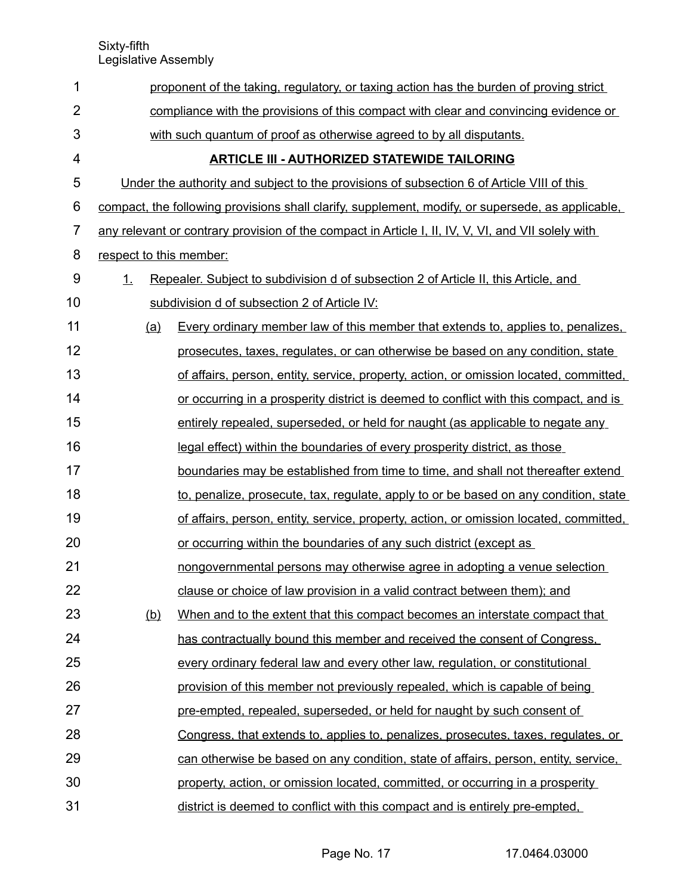| 1              |                                                                                      | proponent of the taking, regulatory, or taxing action has the burden of proving strict             |  |  |  |  |  |
|----------------|--------------------------------------------------------------------------------------|----------------------------------------------------------------------------------------------------|--|--|--|--|--|
| $\overline{2}$ | compliance with the provisions of this compact with clear and convincing evidence or |                                                                                                    |  |  |  |  |  |
| 3              | with such quantum of proof as otherwise agreed to by all disputants.                 |                                                                                                    |  |  |  |  |  |
| 4              |                                                                                      | <b>ARTICLE III - AUTHORIZED STATEWIDE TAILORING</b>                                                |  |  |  |  |  |
| 5              |                                                                                      | Under the authority and subject to the provisions of subsection 6 of Article VIII of this          |  |  |  |  |  |
| 6              |                                                                                      | compact, the following provisions shall clarify, supplement, modify, or supersede, as applicable,  |  |  |  |  |  |
| $\overline{7}$ |                                                                                      | any relevant or contrary provision of the compact in Article I, II, IV, V, VI, and VII solely with |  |  |  |  |  |
| 8              | respect to this member:                                                              |                                                                                                    |  |  |  |  |  |
| 9              | 1.                                                                                   | Repealer. Subject to subdivision d of subsection 2 of Article II, this Article, and                |  |  |  |  |  |
| 10             |                                                                                      | subdivision d of subsection 2 of Article IV:                                                       |  |  |  |  |  |
| 11             | <u>(a)</u>                                                                           | Every ordinary member law of this member that extends to, applies to, penalizes,                   |  |  |  |  |  |
| 12             |                                                                                      | prosecutes, taxes, regulates, or can otherwise be based on any condition, state                    |  |  |  |  |  |
| 13             |                                                                                      | of affairs, person, entity, service, property, action, or omission located, committed,             |  |  |  |  |  |
| 14             |                                                                                      | or occurring in a prosperity district is deemed to conflict with this compact, and is              |  |  |  |  |  |
| 15             |                                                                                      | entirely repealed, superseded, or held for naught (as applicable to negate any                     |  |  |  |  |  |
| 16             |                                                                                      | legal effect) within the boundaries of every prosperity district, as those                         |  |  |  |  |  |
| 17             |                                                                                      | boundaries may be established from time to time, and shall not thereafter extend                   |  |  |  |  |  |
| 18             |                                                                                      | to, penalize, prosecute, tax, regulate, apply to or be based on any condition, state               |  |  |  |  |  |
| 19             |                                                                                      | of affairs, person, entity, service, property, action, or omission located, committed,             |  |  |  |  |  |
| 20             |                                                                                      | or occurring within the boundaries of any such district (except as                                 |  |  |  |  |  |
| 21             |                                                                                      | nongovernmental persons may otherwise agree in adopting a venue selection                          |  |  |  |  |  |
| 22             |                                                                                      | clause or choice of law provision in a valid contract between them); and                           |  |  |  |  |  |
| 23             | (b)                                                                                  | When and to the extent that this compact becomes an interstate compact that                        |  |  |  |  |  |
| 24             |                                                                                      | has contractually bound this member and received the consent of Congress.                          |  |  |  |  |  |
| 25             |                                                                                      | every ordinary federal law and every other law, regulation, or constitutional                      |  |  |  |  |  |
| 26             |                                                                                      | provision of this member not previously repealed, which is capable of being                        |  |  |  |  |  |
| 27             |                                                                                      | pre-empted, repealed, superseded, or held for naught by such consent of                            |  |  |  |  |  |
| 28             |                                                                                      | Congress, that extends to, applies to, penalizes, prosecutes, taxes, regulates, or                 |  |  |  |  |  |
| 29             |                                                                                      | can otherwise be based on any condition, state of affairs, person, entity, service,                |  |  |  |  |  |
| 30             |                                                                                      | property, action, or omission located, committed, or occurring in a prosperity                     |  |  |  |  |  |
| 31             |                                                                                      | district is deemed to conflict with this compact and is entirely pre-empted.                       |  |  |  |  |  |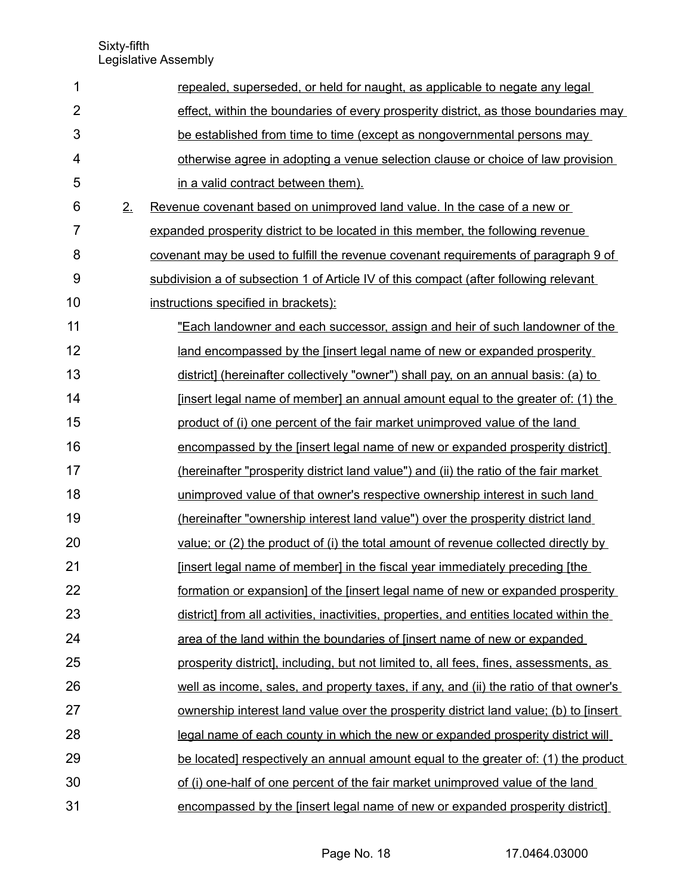| 1              |    | repealed, superseded, or held for naught, as applicable to negate any legal                  |
|----------------|----|----------------------------------------------------------------------------------------------|
| $\overline{2}$ |    | effect, within the boundaries of every prosperity district, as those boundaries may          |
| 3              |    | be established from time to time (except as nongovernmental persons may                      |
| 4              |    | otherwise agree in adopting a venue selection clause or choice of law provision              |
| 5              |    | in a valid contract between them).                                                           |
| 6              | 2. | Revenue covenant based on unimproved land value. In the case of a new or                     |
| $\overline{7}$ |    | expanded prosperity district to be located in this member, the following revenue             |
| 8              |    | covenant may be used to fulfill the revenue covenant requirements of paragraph 9 of          |
| 9              |    | subdivision a of subsection 1 of Article IV of this compact (after following relevant        |
| 10             |    | instructions specified in brackets):                                                         |
| 11             |    | "Each landowner and each successor, assign and heir of such landowner of the                 |
| 12             |    | land encompassed by the [insert legal name of new or expanded prosperity                     |
| 13             |    | district] (hereinafter collectively "owner") shall pay, on an annual basis: (a) to           |
| 14             |    | [insert legal name of member] an annual amount equal to the greater of: (1) the              |
| 15             |    | product of (i) one percent of the fair market unimproved value of the land                   |
| 16             |    | encompassed by the [insert legal name of new or expanded prosperity district]                |
| 17             |    | (hereinafter "prosperity district land value") and (ii) the ratio of the fair market         |
| 18             |    | unimproved value of that owner's respective ownership interest in such land                  |
| 19             |    | (hereinafter "ownership interest land value") over the prosperity district land              |
| 20             |    | value; or (2) the product of (i) the total amount of revenue collected directly by           |
| 21             |    | [insert legal name of member] in the fiscal year immediately preceding [the                  |
| 22             |    | <u>formation or expansion] of the [insert legal name of new or expanded prosperity</u>       |
| 23             |    | district] from all activities, inactivities, properties, and entities located within the     |
| 24             |    | area of the land within the boundaries of [insert name of new or expanded                    |
| 25             |    | prosperity district], including, but not limited to, all fees, fines, assessments, as        |
| 26             |    | well as income, sales, and property taxes, if any, and (ii) the ratio of that owner's        |
| 27             |    | <u>ownership interest land value over the prosperity district land value; (b) to [insert</u> |
| 28             |    | legal name of each county in which the new or expanded prosperity district will              |
| 29             |    | be located] respectively an annual amount equal to the greater of: (1) the product           |
| 30             |    | of (i) one-half of one percent of the fair market unimproved value of the land               |
| 31             |    | encompassed by the [insert legal name of new or expanded prosperity district]                |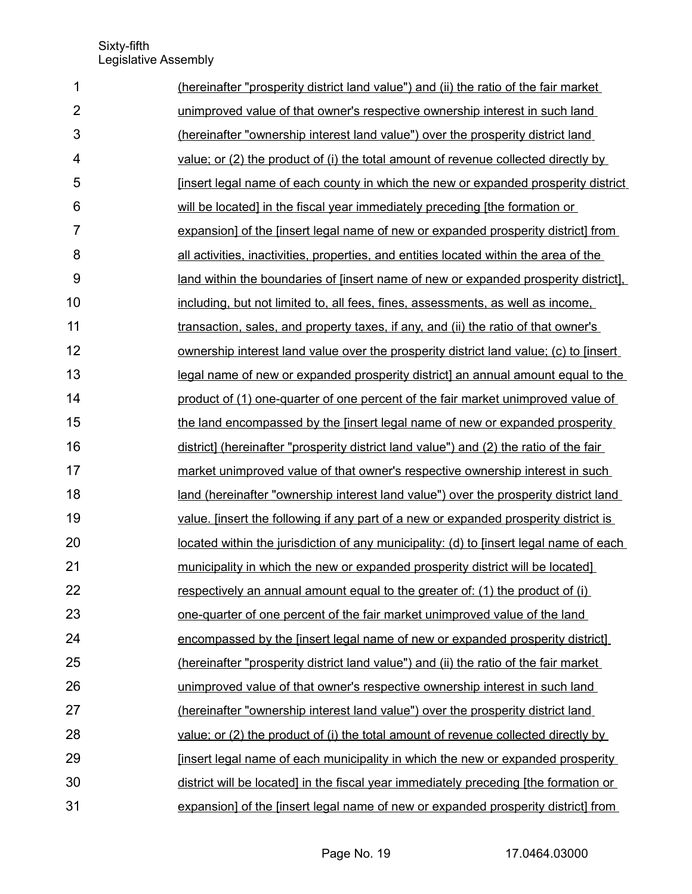| 1              | (hereinafter "prosperity district land value") and (ii) the ratio of the fair market     |
|----------------|------------------------------------------------------------------------------------------|
| $\overline{2}$ | unimproved value of that owner's respective ownership interest in such land              |
| 3              | (hereinafter "ownership interest land value") over the prosperity district land          |
| 4              | value; or (2) the product of (i) the total amount of revenue collected directly by       |
| 5              | <u>Insert legal name of each county in which the new or expanded prosperity district</u> |
| 6              | will be located] in the fiscal year immediately preceding [the formation or              |
| 7              | expansion] of the [insert legal name of new or expanded prosperity district] from        |
| 8              | all activities, inactivities, properties, and entities located within the area of the    |
| 9              | land within the boundaries of finsert name of new or expanded prosperity district],      |
| 10             | including, but not limited to, all fees, fines, assessments, as well as income,          |
| 11             | transaction, sales, and property taxes, if any, and (ii) the ratio of that owner's       |
| 12             | ownership interest land value over the prosperity district land value; (c) to [insert    |
| 13             | legal name of new or expanded prosperity district] an annual amount equal to the         |
| 14             | product of (1) one-quarter of one percent of the fair market unimproved value of         |
| 15             | the land encompassed by the finsert legal name of new or expanded prosperity             |
| 16             | district] (hereinafter "prosperity district land value") and (2) the ratio of the fair   |
| 17             | market unimproved value of that owner's respective ownership interest in such            |
| 18             | land (hereinafter "ownership interest land value") over the prosperity district land     |
| 19             | value. [insert the following if any part of a new or expanded prosperity district is     |
| 20             | located within the jurisdiction of any municipality: (d) to [insert legal name of each   |
| 21             | <u>municipality in which the new or expanded prosperity district will be located</u>     |
| 22             | respectively an annual amount equal to the greater of: (1) the product of (i)            |
| 23             | one-quarter of one percent of the fair market unimproved value of the land               |
| 24             | encompassed by the [insert legal name of new or expanded prosperity district]            |
| 25             | (hereinafter "prosperity district land value") and (ii) the ratio of the fair market     |
| 26             | unimproved value of that owner's respective ownership interest in such land              |
| 27             | (hereinafter "ownership interest land value") over the prosperity district land          |
| 28             | value; or (2) the product of (i) the total amount of revenue collected directly by       |
| 29             | <u>Insert legal name of each municipality in which the new or expanded prosperity</u>    |
| 30             | district will be located] in the fiscal year immediately preceding [the formation or     |
| 31             | expansion] of the [insert legal name of new or expanded prosperity district] from        |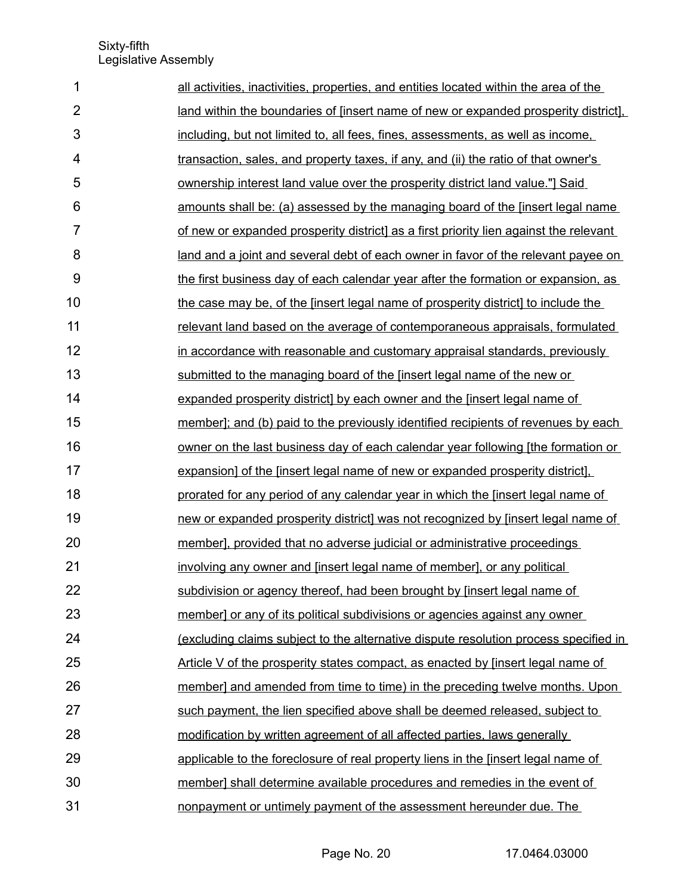| 1              | all activities, inactivities, properties, and entities located within the area of the       |
|----------------|---------------------------------------------------------------------------------------------|
| $\overline{2}$ | land within the boundaries of [insert name of new or expanded prosperity district],         |
| 3              | including, but not limited to, all fees, fines, assessments, as well as income,             |
| 4              | transaction, sales, and property taxes, if any, and (ii) the ratio of that owner's          |
| 5              | ownership interest land value over the prosperity district land value."] Said               |
| 6              | amounts shall be: (a) assessed by the managing board of the [insert legal name              |
| $\overline{7}$ | of new or expanded prosperity district] as a first priority lien against the relevant       |
| 8              | land and a joint and several debt of each owner in favor of the relevant payee on           |
| 9              | the first business day of each calendar year after the formation or expansion, as           |
| 10             | the case may be, of the [insert legal name of prosperity district] to include the           |
| 11             | relevant land based on the average of contemporaneous appraisals, formulated                |
| 12             | in accordance with reasonable and customary appraisal standards, previously                 |
| 13             | submitted to the managing board of the finsert legal name of the new or                     |
| 14             | expanded prosperity district] by each owner and the [insert legal name of                   |
| 15             | member]; and (b) paid to the previously identified recipients of revenues by each           |
| 16             | owner on the last business day of each calendar year following [the formation or            |
| 17             | expansion] of the [insert legal name of new or expanded prosperity district].               |
| 18             | prorated for any period of any calendar year in which the [insert legal name of             |
| 19             | new or expanded prosperity district] was not recognized by [insert legal name of            |
| 20             | member], provided that no adverse judicial or administrative proceedings                    |
| 21             | involving any owner and [insert legal name of member], or any political                     |
| 22             | subdivision or agency thereof, had been brought by [insert legal name of                    |
| 23             | member] or any of its political subdivisions or agencies against any owner                  |
| 24             | <u>(excluding claims subject to the alternative dispute resolution process specified in</u> |
| 25             | Article V of the prosperity states compact, as enacted by [insert legal name of             |
| 26             | member] and amended from time to time) in the preceding twelve months. Upon                 |
| 27             | such payment, the lien specified above shall be deemed released, subject to                 |
| 28             | modification by written agreement of all affected parties, laws generally                   |
| 29             | applicable to the foreclosure of real property liens in the [insert legal name of           |
| 30             | member] shall determine available procedures and remedies in the event of                   |
| 31             | nonpayment or untimely payment of the assessment hereunder due. The                         |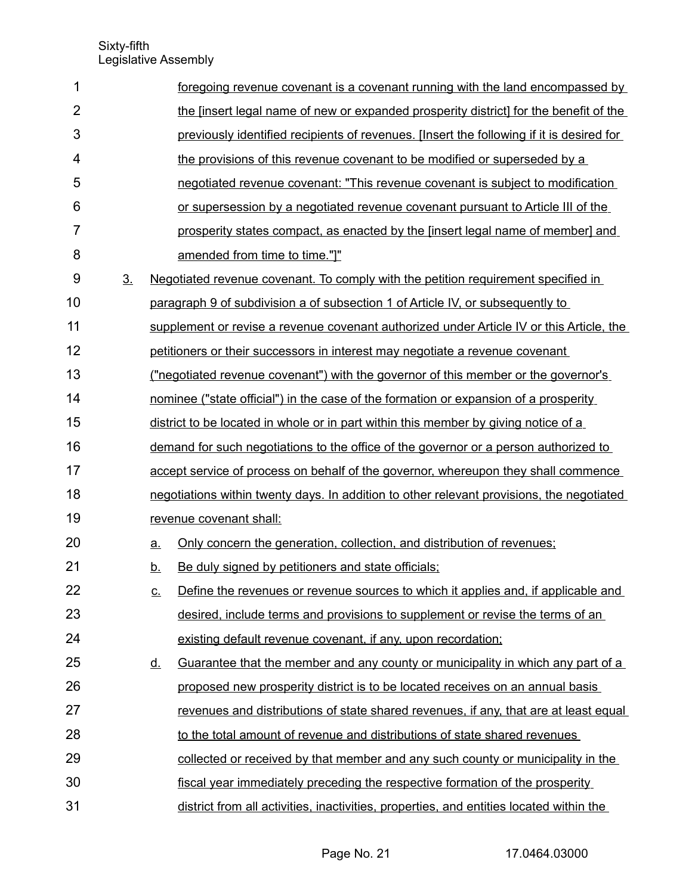| 1              |                |                   | foregoing revenue covenant is a covenant running with the land encompassed by             |
|----------------|----------------|-------------------|-------------------------------------------------------------------------------------------|
| $\overline{2}$ |                |                   | the [insert legal name of new or expanded prosperity district] for the benefit of the     |
| 3              |                |                   | previously identified recipients of revenues. [Insert the following if it is desired for  |
| 4              |                |                   | the provisions of this revenue covenant to be modified or superseded by a                 |
| 5              |                |                   | negotiated revenue covenant: "This revenue covenant is subject to modification            |
| 6              |                |                   | or supersession by a negotiated revenue covenant pursuant to Article III of the           |
| 7              |                |                   | prosperity states compact, as enacted by the [insert legal name of member] and            |
| 8              |                |                   | amended from time to time."]"                                                             |
| 9              | 3 <sub>1</sub> |                   | Negotiated revenue covenant. To comply with the petition requirement specified in         |
| 10             |                |                   | paragraph 9 of subdivision a of subsection 1 of Article IV, or subsequently to            |
| 11             |                |                   | supplement or revise a revenue covenant authorized under Article IV or this Article, the  |
| 12             |                |                   | petitioners or their successors in interest may negotiate a revenue covenant              |
| 13             |                |                   | <u>("negotiated revenue covenant") with the governor of this member or the governor's</u> |
| 14             |                |                   | nominee ("state official") in the case of the formation or expansion of a prosperity      |
| 15             |                |                   | district to be located in whole or in part within this member by giving notice of a       |
| 16             |                |                   | demand for such negotiations to the office of the governor or a person authorized to      |
| 17             |                |                   | accept service of process on behalf of the governor, whereupon they shall commence        |
| 18             |                |                   | negotiations within twenty days. In addition to other relevant provisions, the negotiated |
| 19             |                |                   | revenue covenant shall:                                                                   |
| 20             |                | $\underline{a}$ . | Only concern the generation, collection, and distribution of revenues;                    |
| 21             |                | <u>b.</u>         | Be duly signed by petitioners and state officials;                                        |
| 22             |                | <u>c.</u>         | Define the revenues or revenue sources to which it applies and, if applicable and         |
| 23             |                |                   | desired, include terms and provisions to supplement or revise the terms of an             |
| 24             |                |                   | existing default revenue covenant, if any, upon recordation;                              |
| 25             |                | <u>d.</u>         | <u>Guarantee that the member and any county or municipality in which any part of a</u>    |
| 26             |                |                   | proposed new prosperity district is to be located receives on an annual basis             |
| 27             |                |                   | revenues and distributions of state shared revenues, if any, that are at least equal      |
| 28             |                |                   | to the total amount of revenue and distributions of state shared revenues                 |
| 29             |                |                   | collected or received by that member and any such county or municipality in the           |
| 30             |                |                   | fiscal year immediately preceding the respective formation of the prosperity              |
| 31             |                |                   | district from all activities, inactivities, properties, and entities located within the   |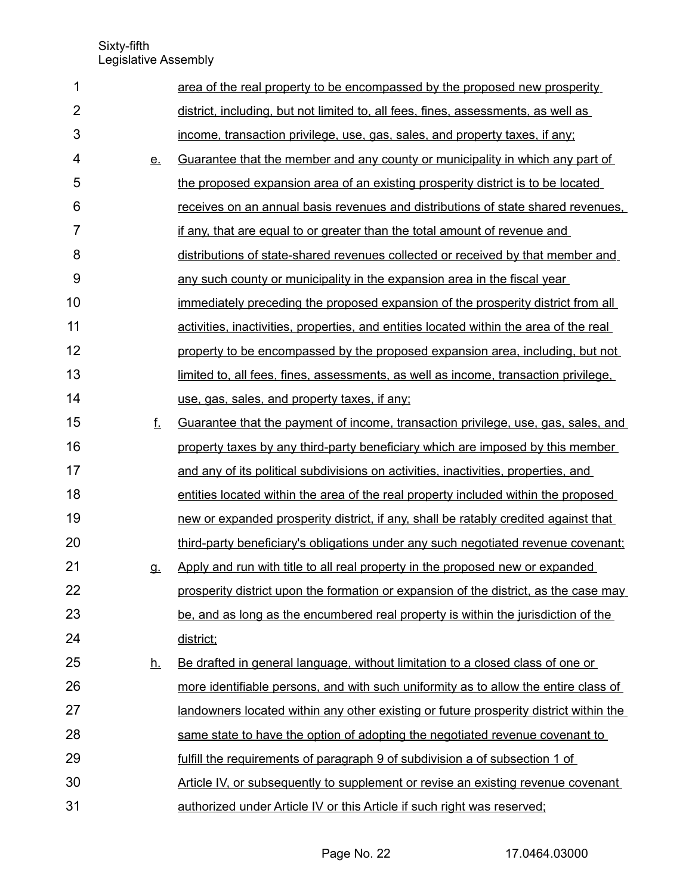| 1              |           | area of the real property to be encompassed by the proposed new prosperity               |
|----------------|-----------|------------------------------------------------------------------------------------------|
| $\overline{2}$ |           | district, including, but not limited to, all fees, fines, assessments, as well as        |
| 3              |           | income, transaction privilege, use, gas, sales, and property taxes, if any;              |
| 4              | <u>e.</u> | Guarantee that the member and any county or municipality in which any part of            |
| 5              |           | the proposed expansion area of an existing prosperity district is to be located          |
| 6              |           | receives on an annual basis revenues and distributions of state shared revenues.         |
| $\overline{7}$ |           | if any, that are equal to or greater than the total amount of revenue and                |
| 8              |           | distributions of state-shared revenues collected or received by that member and          |
| 9              |           | any such county or municipality in the expansion area in the fiscal year                 |
| 10             |           | <u>immediately preceding the proposed expansion of the prosperity district from all</u>  |
| 11             |           | activities, inactivities, properties, and entities located within the area of the real   |
| 12             |           | property to be encompassed by the proposed expansion area, including, but not            |
| 13             |           | limited to, all fees, fines, assessments, as well as income, transaction privilege.      |
| 14             |           | use, gas, sales, and property taxes, if any;                                             |
| 15             | f.        | <u>Guarantee that the payment of income, transaction privilege, use, gas, sales, and</u> |
| 16             |           | property taxes by any third-party beneficiary which are imposed by this member           |
| 17             |           | and any of its political subdivisions on activities, inactivities, properties, and       |
| 18             |           | entities located within the area of the real property included within the proposed       |
| 19             |           | new or expanded prosperity district, if any, shall be ratably credited against that      |
| 20             |           | third-party beneficiary's obligations under any such negotiated revenue covenant;        |
| 21             | g.        | Apply and run with title to all real property in the proposed new or expanded            |
| 22             |           | prosperity district upon the formation or expansion of the district, as the case may     |
| 23             |           | be, and as long as the encumbered real property is within the jurisdiction of the        |
| 24             |           | district;                                                                                |
| 25             | <u>h.</u> | Be drafted in general language, without limitation to a closed class of one or           |
| 26             |           | more identifiable persons, and with such uniformity as to allow the entire class of      |
| 27             |           | landowners located within any other existing or future prosperity district within the    |
| 28             |           | same state to have the option of adopting the negotiated revenue covenant to             |
| 29             |           | fulfill the requirements of paragraph 9 of subdivision a of subsection 1 of              |
| 30             |           | Article IV, or subsequently to supplement or revise an existing revenue covenant         |
| 31             |           | authorized under Article IV or this Article if such right was reserved;                  |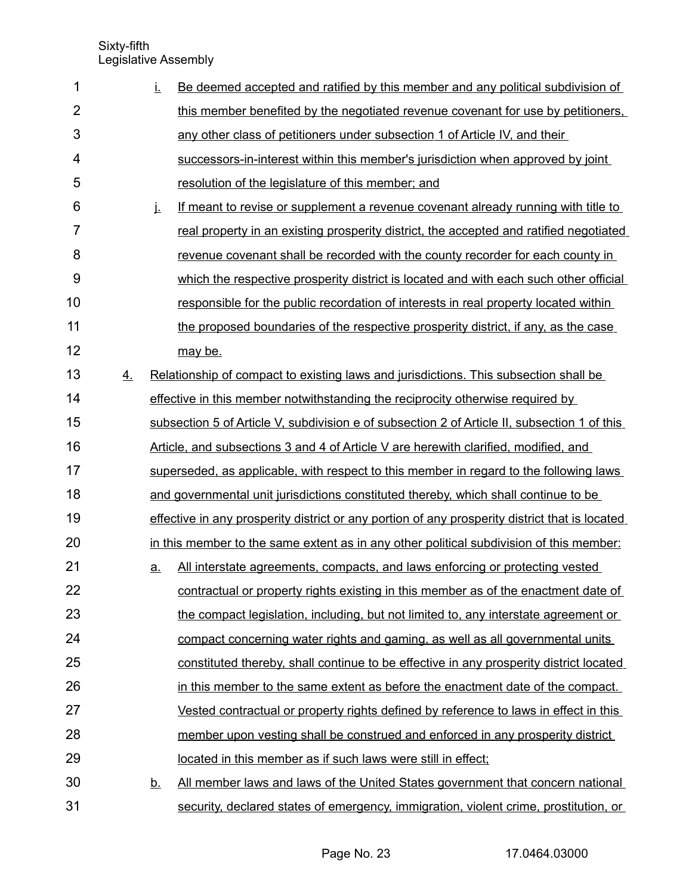| 1              |    | İ.        | Be deemed accepted and ratified by this member and any political subdivision of                |  |  |
|----------------|----|-----------|------------------------------------------------------------------------------------------------|--|--|
| $\overline{2}$ |    |           | this member benefited by the negotiated revenue covenant for use by petitioners.               |  |  |
| 3              |    |           | any other class of petitioners under subsection 1 of Article IV, and their                     |  |  |
| 4              |    |           | successors-in-interest within this member's jurisdiction when approved by joint                |  |  |
| 5              |    |           | resolution of the legislature of this member; and                                              |  |  |
| 6              |    | j.        | If meant to revise or supplement a revenue covenant already running with title to              |  |  |
| $\overline{7}$ |    |           | real property in an existing prosperity district, the accepted and ratified negotiated         |  |  |
| 8              |    |           | revenue covenant shall be recorded with the county recorder for each county in                 |  |  |
| 9              |    |           | which the respective prosperity district is located and with each such other official          |  |  |
| 10             |    |           | responsible for the public recordation of interests in real property located within            |  |  |
| 11             |    |           | the proposed boundaries of the respective prosperity district, if any, as the case             |  |  |
| 12             |    |           | may be.                                                                                        |  |  |
| 13             | 4. |           | Relationship of compact to existing laws and jurisdictions. This subsection shall be           |  |  |
| 14             |    |           | effective in this member notwithstanding the reciprocity otherwise required by                 |  |  |
| 15             |    |           | subsection 5 of Article V, subdivision e of subsection 2 of Article II, subsection 1 of this   |  |  |
| 16             |    |           | Article, and subsections 3 and 4 of Article V are herewith clarified, modified, and            |  |  |
| 17             |    |           | superseded, as applicable, with respect to this member in regard to the following laws         |  |  |
| 18             |    |           | and governmental unit jurisdictions constituted thereby, which shall continue to be            |  |  |
| 19             |    |           | effective in any prosperity district or any portion of any prosperity district that is located |  |  |
| 20             |    |           | in this member to the same extent as in any other political subdivision of this member:        |  |  |
| 21             |    | <u>a.</u> | All interstate agreements, compacts, and laws enforcing or protecting vested                   |  |  |
| 22             |    |           | contractual or property rights existing in this member as of the enactment date of             |  |  |
| 23             |    |           | the compact legislation, including, but not limited to, any interstate agreement or            |  |  |
| 24             |    |           | compact concerning water rights and gaming, as well as all governmental units                  |  |  |
| 25             |    |           | constituted thereby, shall continue to be effective in any prosperity district located         |  |  |
| 26             |    |           | in this member to the same extent as before the enactment date of the compact.                 |  |  |
| 27             |    |           | Vested contractual or property rights defined by reference to laws in effect in this           |  |  |
| 28             |    |           | member upon vesting shall be construed and enforced in any prosperity district                 |  |  |
| 29             |    |           | located in this member as if such laws were still in effect;                                   |  |  |
| 30             |    | <u>b.</u> | All member laws and laws of the United States government that concern national                 |  |  |
| 31             |    |           | security, declared states of emergency, immigration, violent crime, prostitution, or           |  |  |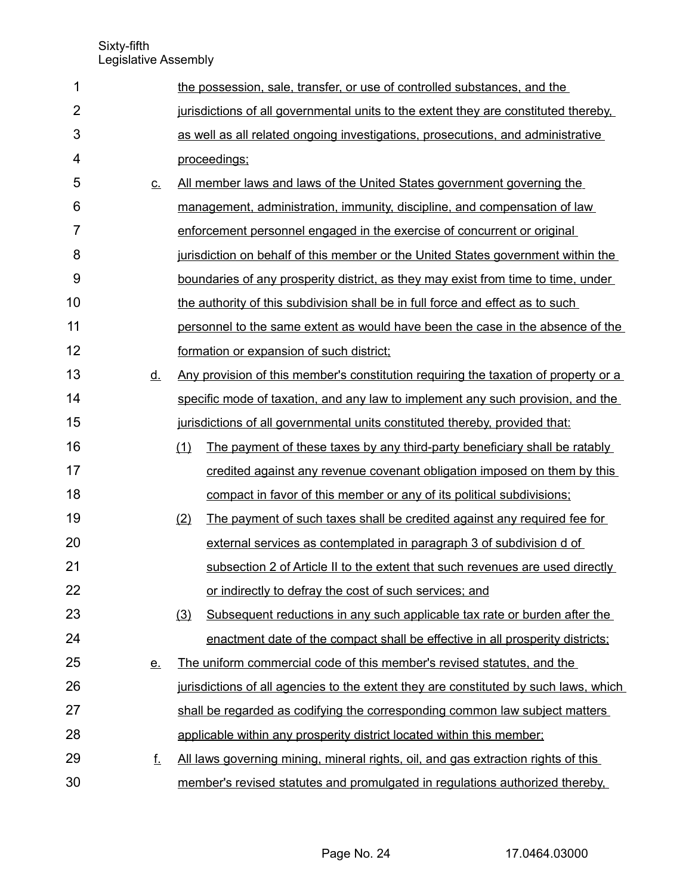| 1              |           | the possession, sale, transfer, or use of controlled substances, and the                   |
|----------------|-----------|--------------------------------------------------------------------------------------------|
| $\overline{2}$ |           | jurisdictions of all governmental units to the extent they are constituted thereby.        |
| 3              |           | as well as all related ongoing investigations, prosecutions, and administrative            |
| 4              |           | proceedings;                                                                               |
| 5              | $C_{-}$   | All member laws and laws of the United States government governing the                     |
| 6              |           | management, administration, immunity, discipline, and compensation of law                  |
| 7              |           | enforcement personnel engaged in the exercise of concurrent or original                    |
| 8              |           | jurisdiction on behalf of this member or the United States government within the           |
| 9              |           | boundaries of any prosperity district, as they may exist from time to time, under          |
| 10             |           | the authority of this subdivision shall be in full force and effect as to such             |
| 11             |           | personnel to the same extent as would have been the case in the absence of the             |
| 12             |           | formation or expansion of such district;                                                   |
| 13             | <u>d.</u> | <u>Any provision of this member's constitution requiring the taxation of property or a</u> |
| 14             |           | specific mode of taxation, and any law to implement any such provision, and the            |
| 15             |           | jurisdictions of all governmental units constituted thereby, provided that:                |
| 16             |           | The payment of these taxes by any third-party beneficiary shall be ratably<br>(1)          |
| 17             |           | credited against any revenue covenant obligation imposed on them by this                   |
| 18             |           | compact in favor of this member or any of its political subdivisions;                      |
| 19             |           | The payment of such taxes shall be credited against any required fee for<br>(2)            |
| 20             |           | external services as contemplated in paragraph 3 of subdivision d of                       |
| 21             |           | subsection 2 of Article II to the extent that such revenues are used directly              |
| 22             |           | or indirectly to defray the cost of such services; and                                     |
| 23             |           | Subsequent reductions in any such applicable tax rate or burden after the<br>(3)           |
| 24             |           | enactment date of the compact shall be effective in all prosperity districts;              |
| 25             | <u>e.</u> | The uniform commercial code of this member's revised statutes, and the                     |
| 26             |           | jurisdictions of all agencies to the extent they are constituted by such laws, which       |
| 27             |           | shall be regarded as codifying the corresponding common law subject matters                |
| 28             |           | applicable within any prosperity district located within this member;                      |
| 29             | f.        | All laws governing mining, mineral rights, oil, and gas extraction rights of this          |
| 30             |           | member's revised statutes and promulgated in regulations authorized thereby.               |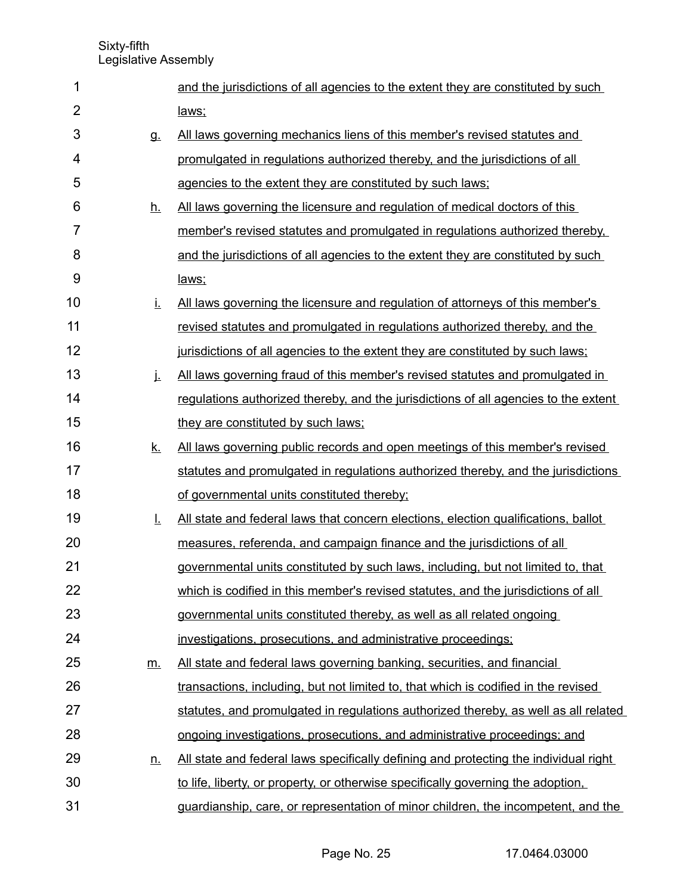| 1              |           | and the jurisdictions of all agencies to the extent they are constituted by such     |
|----------------|-----------|--------------------------------------------------------------------------------------|
| $\overline{2}$ |           | laws:                                                                                |
| 3              | g.        | All laws governing mechanics liens of this member's revised statutes and             |
| 4              |           | promulgated in regulations authorized thereby, and the jurisdictions of all          |
| 5              |           | agencies to the extent they are constituted by such laws;                            |
| 6              | <u>h.</u> | All laws governing the licensure and regulation of medical doctors of this           |
| 7              |           | member's revised statutes and promulgated in regulations authorized thereby.         |
| 8              |           | and the jurisdictions of all agencies to the extent they are constituted by such     |
| 9              |           | laws;                                                                                |
| 10             | Ĺ.        | <u>All laws governing the licensure and regulation of attorneys of this member's</u> |
| 11             |           | revised statutes and promulgated in regulations authorized thereby, and the          |
| 12             |           | jurisdictions of all agencies to the extent they are constituted by such laws;       |
| 13             | j.        | All laws governing fraud of this member's revised statutes and promulgated in        |
| 14             |           | regulations authorized thereby, and the jurisdictions of all agencies to the extent  |
| 15             |           | they are constituted by such laws:                                                   |
| 16             | <u>k.</u> | All laws governing public records and open meetings of this member's revised         |
| 17             |           | statutes and promulgated in regulations authorized thereby, and the jurisdictions    |
| 18             |           | of governmental units constituted thereby;                                           |
| 19             | Ī.        | All state and federal laws that concern elections, election qualifications, ballot   |
| 20             |           | measures, referenda, and campaign finance and the jurisdictions of all               |
| 21             |           | governmental units constituted by such laws, including, but not limited to, that     |
| 22             |           | which is codified in this member's revised statutes, and the jurisdictions of all    |
| 23             |           | governmental units constituted thereby, as well as all related ongoing               |
| 24             |           | investigations, prosecutions, and administrative proceedings;                        |
| 25             | <u>m.</u> | All state and federal laws governing banking, securities, and financial              |
| 26             |           | transactions, including, but not limited to, that which is codified in the revised   |
| 27             |           | statutes, and promulgated in regulations authorized thereby, as well as all related  |
| 28             |           | ongoing investigations, prosecutions, and administrative proceedings; and            |
| 29             | <u>n.</u> | All state and federal laws specifically defining and protecting the individual right |
| 30             |           | to life, liberty, or property, or otherwise specifically governing the adoption.     |
| 31             |           | guardianship, care, or representation of minor children, the incompetent, and the    |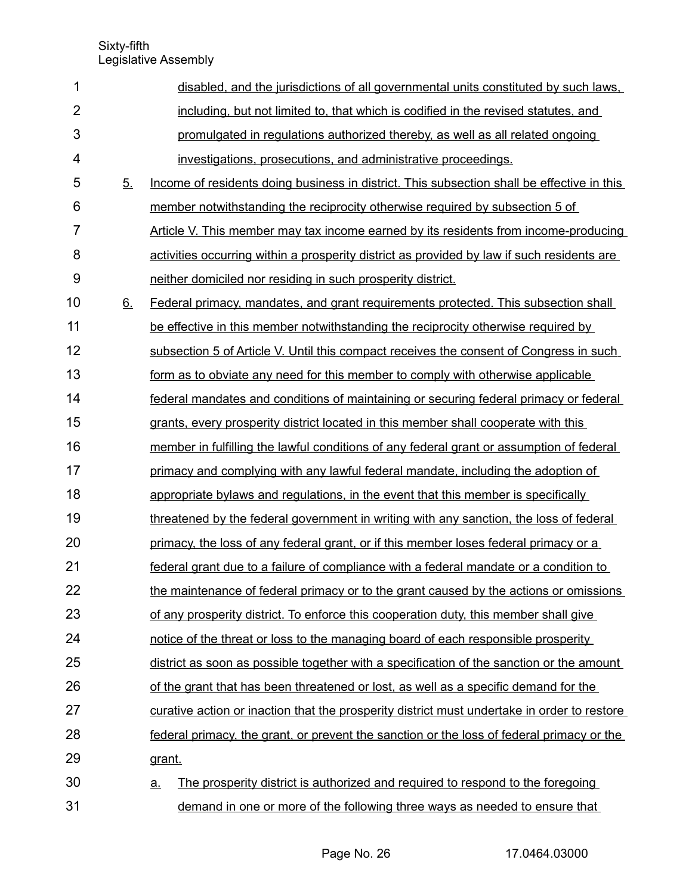| 1                       |    | disabled, and the jurisdictions of all governmental units constituted by such laws.         |  |  |  |  |  |
|-------------------------|----|---------------------------------------------------------------------------------------------|--|--|--|--|--|
| $\overline{2}$          |    | including, but not limited to, that which is codified in the revised statutes, and          |  |  |  |  |  |
| 3                       |    | promulgated in regulations authorized thereby, as well as all related ongoing               |  |  |  |  |  |
| $\overline{\mathbf{4}}$ |    | investigations, prosecutions, and administrative proceedings.                               |  |  |  |  |  |
| 5                       | 5. | Income of residents doing business in district. This subsection shall be effective in this  |  |  |  |  |  |
| 6                       |    | member notwithstanding the reciprocity otherwise required by subsection 5 of                |  |  |  |  |  |
| $\overline{7}$          |    | Article V. This member may tax income earned by its residents from income-producing         |  |  |  |  |  |
| 8                       |    | activities occurring within a prosperity district as provided by law if such residents are  |  |  |  |  |  |
| 9                       |    | neither domiciled nor residing in such prosperity district.                                 |  |  |  |  |  |
| 10                      | 6. | Federal primacy, mandates, and grant requirements protected. This subsection shall          |  |  |  |  |  |
| 11                      |    | be effective in this member notwithstanding the reciprocity otherwise required by           |  |  |  |  |  |
| 12                      |    | subsection 5 of Article V. Until this compact receives the consent of Congress in such      |  |  |  |  |  |
| 13                      |    | form as to obviate any need for this member to comply with otherwise applicable             |  |  |  |  |  |
| 14                      |    | federal mandates and conditions of maintaining or securing federal primacy or federal       |  |  |  |  |  |
| 15                      |    | grants, every prosperity district located in this member shall cooperate with this          |  |  |  |  |  |
| 16                      |    | member in fulfilling the lawful conditions of any federal grant or assumption of federal    |  |  |  |  |  |
| 17                      |    | primacy and complying with any lawful federal mandate, including the adoption of            |  |  |  |  |  |
| 18                      |    | appropriate bylaws and regulations, in the event that this member is specifically           |  |  |  |  |  |
| 19                      |    | threatened by the federal government in writing with any sanction, the loss of federal      |  |  |  |  |  |
| 20                      |    | primacy, the loss of any federal grant, or if this member loses federal primacy or a        |  |  |  |  |  |
| 21                      |    | federal grant due to a failure of compliance with a federal mandate or a condition to       |  |  |  |  |  |
| 22                      |    | the maintenance of federal primacy or to the grant caused by the actions or omissions       |  |  |  |  |  |
| 23                      |    | of any prosperity district. To enforce this cooperation duty, this member shall give        |  |  |  |  |  |
| 24                      |    | notice of the threat or loss to the managing board of each responsible prosperity           |  |  |  |  |  |
| 25                      |    | district as soon as possible together with a specification of the sanction or the amount    |  |  |  |  |  |
| 26                      |    | of the grant that has been threatened or lost, as well as a specific demand for the         |  |  |  |  |  |
| 27                      |    | curative action or inaction that the prosperity district must undertake in order to restore |  |  |  |  |  |
| 28                      |    | federal primacy, the grant, or prevent the sanction or the loss of federal primacy or the   |  |  |  |  |  |
| 29                      |    | grant.                                                                                      |  |  |  |  |  |
| 30                      |    | The prosperity district is authorized and required to respond to the foregoing<br>a.        |  |  |  |  |  |
| 31                      |    | demand in one or more of the following three ways as needed to ensure that                  |  |  |  |  |  |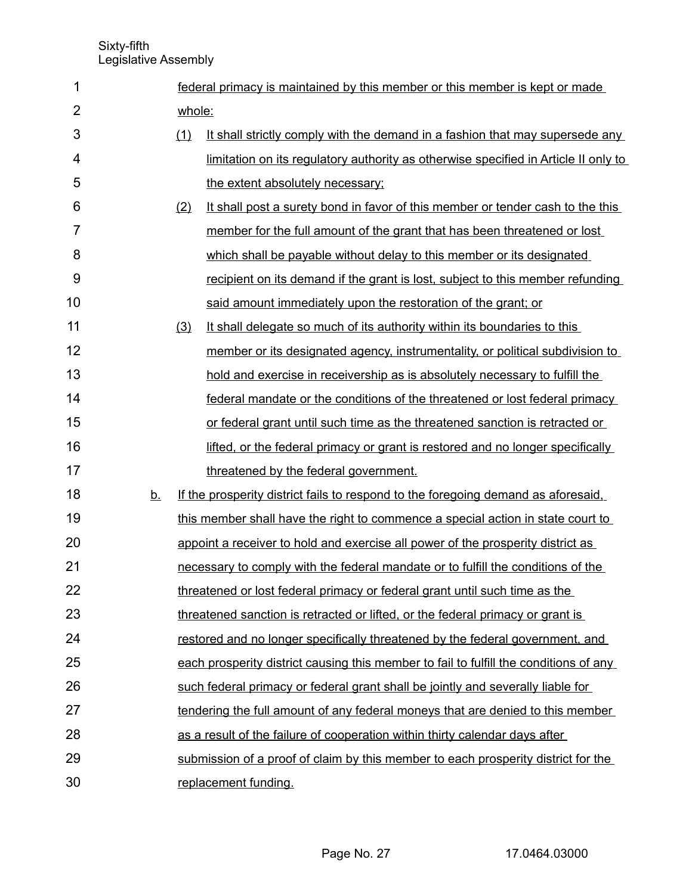| 1              |           |     | federal primacy is maintained by this member or this member is kept or made           |  |  |  |  |  |
|----------------|-----------|-----|---------------------------------------------------------------------------------------|--|--|--|--|--|
| $\overline{2}$ |           |     | whole:                                                                                |  |  |  |  |  |
| 3              |           | (1) | It shall strictly comply with the demand in a fashion that may supersede any          |  |  |  |  |  |
| 4              |           |     | limitation on its regulatory authority as otherwise specified in Article II only to   |  |  |  |  |  |
| 5              |           |     | the extent absolutely necessary;                                                      |  |  |  |  |  |
| 6              |           | (2) | It shall post a surety bond in favor of this member or tender cash to the this        |  |  |  |  |  |
| 7              |           |     | member for the full amount of the grant that has been threatened or lost              |  |  |  |  |  |
| 8              |           |     | which shall be payable without delay to this member or its designated                 |  |  |  |  |  |
| 9              |           |     | recipient on its demand if the grant is lost, subject to this member refunding        |  |  |  |  |  |
| 10             |           |     | said amount immediately upon the restoration of the grant; or                         |  |  |  |  |  |
| 11             |           | (3) | It shall delegate so much of its authority within its boundaries to this              |  |  |  |  |  |
| 12             |           |     | member or its designated agency, instrumentality, or political subdivision to         |  |  |  |  |  |
| 13             |           |     | hold and exercise in receivership as is absolutely necessary to fulfill the           |  |  |  |  |  |
| 14             |           |     | federal mandate or the conditions of the threatened or lost federal primacy           |  |  |  |  |  |
| 15             |           |     | or federal grant until such time as the threatened sanction is retracted or           |  |  |  |  |  |
| 16             |           |     | lifted, or the federal primacy or grant is restored and no longer specifically        |  |  |  |  |  |
| 17             |           |     | threatened by the federal government.                                                 |  |  |  |  |  |
| 18             | <u>b.</u> |     | If the prosperity district fails to respond to the foregoing demand as aforesaid.     |  |  |  |  |  |
| 19             |           |     | this member shall have the right to commence a special action in state court to       |  |  |  |  |  |
| 20             |           |     | appoint a receiver to hold and exercise all power of the prosperity district as       |  |  |  |  |  |
| 21             |           |     | necessary to comply with the federal mandate or to fulfill the conditions of the      |  |  |  |  |  |
| 22             |           |     | threatened or lost federal primacy or federal grant until such time as the            |  |  |  |  |  |
| 23             |           |     | threatened sanction is retracted or lifted, or the federal primacy or grant is        |  |  |  |  |  |
| 24             |           |     | restored and no longer specifically threatened by the federal government, and         |  |  |  |  |  |
| 25             |           |     | each prosperity district causing this member to fail to fulfill the conditions of any |  |  |  |  |  |
| 26             |           |     | such federal primacy or federal grant shall be jointly and severally liable for       |  |  |  |  |  |
| 27             |           |     | tendering the full amount of any federal moneys that are denied to this member        |  |  |  |  |  |
| 28             |           |     | as a result of the failure of cooperation within thirty calendar days after           |  |  |  |  |  |
| 29             |           |     | submission of a proof of claim by this member to each prosperity district for the     |  |  |  |  |  |
| 30             |           |     | replacement funding.                                                                  |  |  |  |  |  |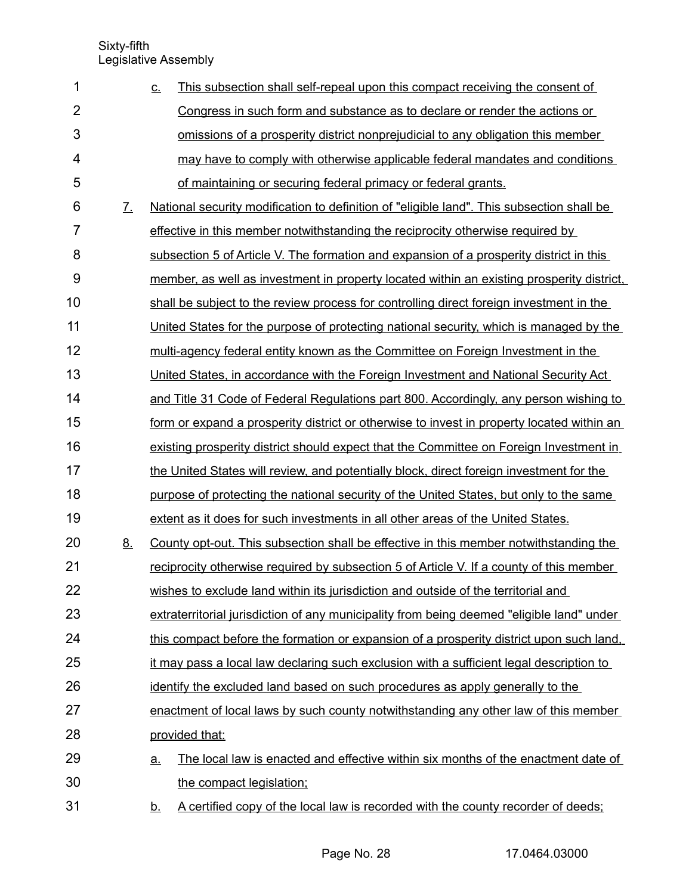| 1              |                       | This subsection shall self-repeal upon this compact receiving the consent of<br><u>C.</u>      |  |  |  |  |  |  |
|----------------|-----------------------|------------------------------------------------------------------------------------------------|--|--|--|--|--|--|
| $\overline{2}$ |                       | Congress in such form and substance as to declare or render the actions or                     |  |  |  |  |  |  |
| 3              |                       | omissions of a prosperity district nonprejudicial to any obligation this member                |  |  |  |  |  |  |
| 4              |                       | may have to comply with otherwise applicable federal mandates and conditions                   |  |  |  |  |  |  |
| 5              |                       | of maintaining or securing federal primacy or federal grants.                                  |  |  |  |  |  |  |
| 6              | $\mathcal{I}_{\cdot}$ | National security modification to definition of "eligible land". This subsection shall be      |  |  |  |  |  |  |
| $\overline{7}$ |                       | effective in this member notwithstanding the reciprocity otherwise required by                 |  |  |  |  |  |  |
| 8              |                       | subsection 5 of Article V. The formation and expansion of a prosperity district in this        |  |  |  |  |  |  |
| 9              |                       | member, as well as investment in property located within an existing prosperity district,      |  |  |  |  |  |  |
| 10             |                       | shall be subject to the review process for controlling direct foreign investment in the        |  |  |  |  |  |  |
| 11             |                       | United States for the purpose of protecting national security, which is managed by the         |  |  |  |  |  |  |
| 12             |                       | multi-agency federal entity known as the Committee on Foreign Investment in the                |  |  |  |  |  |  |
| 13             |                       | United States, in accordance with the Foreign Investment and National Security Act             |  |  |  |  |  |  |
| 14             |                       | and Title 31 Code of Federal Regulations part 800. Accordingly, any person wishing to          |  |  |  |  |  |  |
| 15             |                       | form or expand a prosperity district or otherwise to invest in property located within an      |  |  |  |  |  |  |
| 16             |                       | existing prosperity district should expect that the Committee on Foreign Investment in         |  |  |  |  |  |  |
| 17             |                       | the United States will review, and potentially block, direct foreign investment for the        |  |  |  |  |  |  |
| 18             |                       | purpose of protecting the national security of the United States, but only to the same         |  |  |  |  |  |  |
| 19             |                       | extent as it does for such investments in all other areas of the United States.                |  |  |  |  |  |  |
| 20             | 8.                    | County opt-out. This subsection shall be effective in this member notwithstanding the          |  |  |  |  |  |  |
| 21             |                       | reciprocity otherwise required by subsection 5 of Article V. If a county of this member        |  |  |  |  |  |  |
| 22             |                       | wishes to exclude land within its jurisdiction and outside of the territorial and              |  |  |  |  |  |  |
| 23             |                       | extraterritorial jurisdiction of any municipality from being deemed "eligible land" under      |  |  |  |  |  |  |
| 24             |                       | this compact before the formation or expansion of a prosperity district upon such land.        |  |  |  |  |  |  |
| 25             |                       | it may pass a local law declaring such exclusion with a sufficient legal description to        |  |  |  |  |  |  |
| 26             |                       | identify the excluded land based on such procedures as apply generally to the                  |  |  |  |  |  |  |
| 27             |                       | enactment of local laws by such county notwithstanding any other law of this member            |  |  |  |  |  |  |
| 28             |                       | provided that:                                                                                 |  |  |  |  |  |  |
| 29             |                       | The local law is enacted and effective within six months of the enactment date of<br><u>a.</u> |  |  |  |  |  |  |
| 30             |                       | the compact legislation;                                                                       |  |  |  |  |  |  |
| 31             |                       | A certified copy of the local law is recorded with the county recorder of deeds;<br><u>b.</u>  |  |  |  |  |  |  |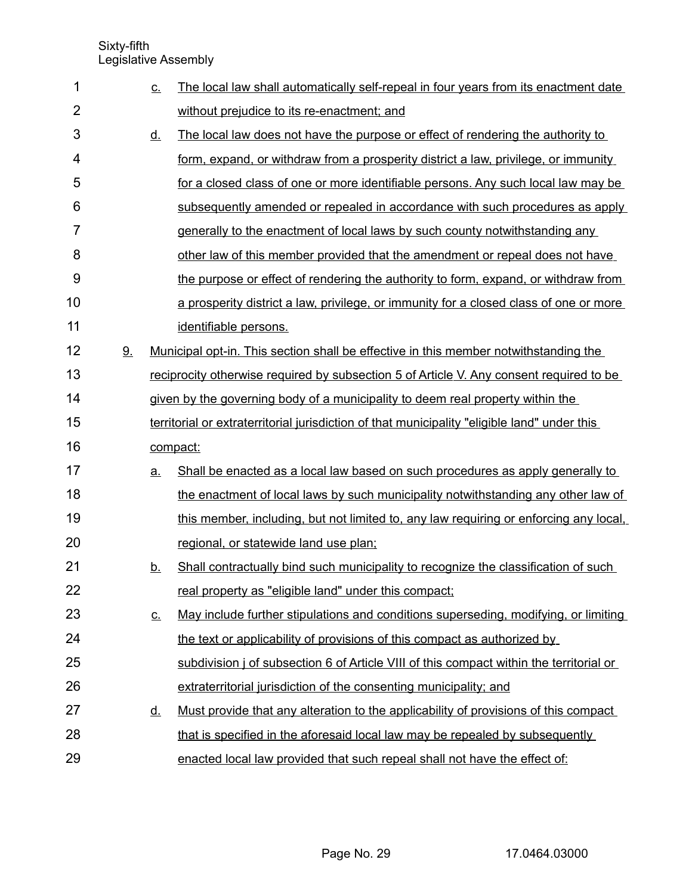| 1  |    | <u>C.</u>                                                                                    | The local law shall automatically self-repeal in four years from its enactment date         |  |  |  |  |
|----|----|----------------------------------------------------------------------------------------------|---------------------------------------------------------------------------------------------|--|--|--|--|
| 2  |    |                                                                                              | without prejudice to its re-enactment; and                                                  |  |  |  |  |
| 3  |    | <u>d.</u>                                                                                    | The local law does not have the purpose or effect of rendering the authority to             |  |  |  |  |
| 4  |    |                                                                                              | form, expand, or withdraw from a prosperity district a law, privilege, or immunity          |  |  |  |  |
| 5  |    |                                                                                              | for a closed class of one or more identifiable persons. Any such local law may be           |  |  |  |  |
| 6  |    |                                                                                              | subsequently amended or repealed in accordance with such procedures as apply                |  |  |  |  |
| 7  |    |                                                                                              | generally to the enactment of local laws by such county notwithstanding any                 |  |  |  |  |
| 8  |    |                                                                                              | other law of this member provided that the amendment or repeal does not have                |  |  |  |  |
| 9  |    |                                                                                              | the purpose or effect of rendering the authority to form, expand, or withdraw from          |  |  |  |  |
| 10 |    |                                                                                              | a prosperity district a law, privilege, or immunity for a closed class of one or more       |  |  |  |  |
| 11 |    |                                                                                              | identifiable persons.                                                                       |  |  |  |  |
| 12 | 9. |                                                                                              | <u>Municipal opt-in. This section shall be effective in this member notwithstanding the</u> |  |  |  |  |
| 13 |    |                                                                                              | reciprocity otherwise required by subsection 5 of Article V. Any consent required to be     |  |  |  |  |
| 14 |    |                                                                                              | given by the governing body of a municipality to deem real property within the              |  |  |  |  |
| 15 |    | territorial or extraterritorial jurisdiction of that municipality "eligible land" under this |                                                                                             |  |  |  |  |
| 16 |    |                                                                                              | compact:                                                                                    |  |  |  |  |
| 17 |    | a.                                                                                           | Shall be enacted as a local law based on such procedures as apply generally to              |  |  |  |  |
| 18 |    |                                                                                              | the enactment of local laws by such municipality notwithstanding any other law of           |  |  |  |  |
| 19 |    |                                                                                              | this member, including, but not limited to, any law requiring or enforcing any local,       |  |  |  |  |
| 20 |    |                                                                                              | regional, or statewide land use plan;                                                       |  |  |  |  |
| 21 |    | <u>b.</u>                                                                                    | Shall contractually bind such municipality to recognize the classification of such          |  |  |  |  |
| 22 |    |                                                                                              | real property as "eligible land" under this compact;                                        |  |  |  |  |
| 23 |    | <u>C.</u>                                                                                    | May include further stipulations and conditions superseding, modifying, or limiting         |  |  |  |  |
| 24 |    |                                                                                              | the text or applicability of provisions of this compact as authorized by                    |  |  |  |  |
| 25 |    |                                                                                              | subdivision j of subsection 6 of Article VIII of this compact within the territorial or     |  |  |  |  |
| 26 |    |                                                                                              | extraterritorial jurisdiction of the consenting municipality; and                           |  |  |  |  |
| 27 |    | <u>d.</u>                                                                                    | Must provide that any alteration to the applicability of provisions of this compact         |  |  |  |  |
| 28 |    |                                                                                              | that is specified in the aforesaid local law may be repealed by subsequently                |  |  |  |  |
| 29 |    |                                                                                              | enacted local law provided that such repeal shall not have the effect of:                   |  |  |  |  |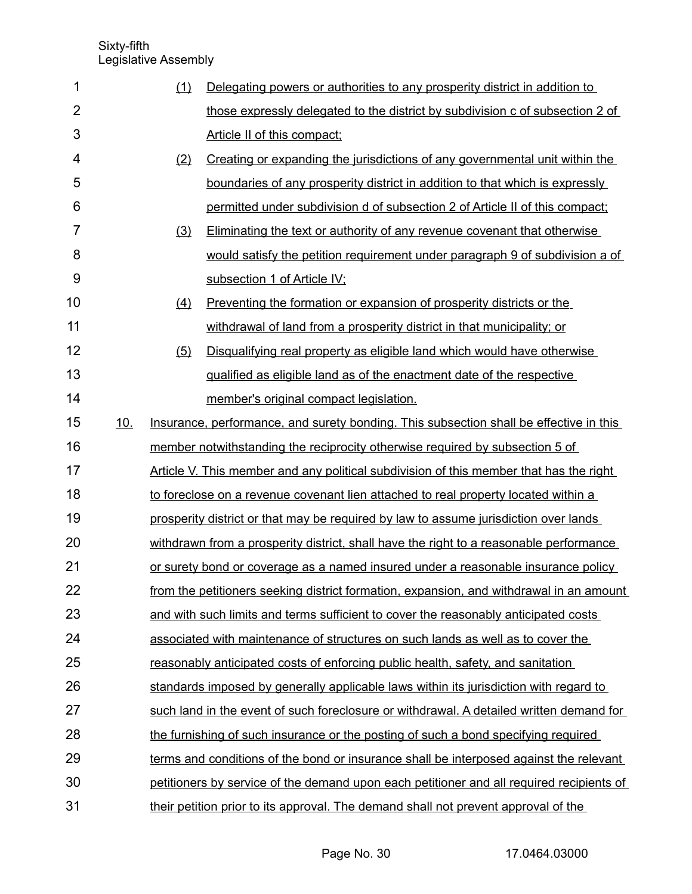| 1              |     | (1) | Delegating powers or authorities to any prosperity district in addition to               |
|----------------|-----|-----|------------------------------------------------------------------------------------------|
| $\overline{2}$ |     |     | those expressly delegated to the district by subdivision c of subsection 2 of            |
| 3              |     |     | Article II of this compact:                                                              |
| 4              |     | (2) | Creating or expanding the jurisdictions of any governmental unit within the              |
| 5              |     |     | boundaries of any prosperity district in addition to that which is expressly             |
| 6              |     |     | permitted under subdivision d of subsection 2 of Article II of this compact;             |
| $\overline{7}$ |     | (3) | Eliminating the text or authority of any revenue covenant that otherwise                 |
| 8              |     |     | would satisfy the petition requirement under paragraph 9 of subdivision a of             |
| 9              |     |     | subsection 1 of Article IV;                                                              |
| 10             |     | (4) | Preventing the formation or expansion of prosperity districts or the                     |
| 11             |     |     | withdrawal of land from a prosperity district in that municipality; or                   |
| 12             |     | (5) | Disqualifying real property as eligible land which would have otherwise                  |
| 13             |     |     | qualified as eligible land as of the enactment date of the respective                    |
| 14             |     |     | member's original compact legislation.                                                   |
| 15             | 10. |     | Insurance, performance, and surety bonding. This subsection shall be effective in this   |
| 16             |     |     | member notwithstanding the reciprocity otherwise required by subsection 5 of             |
| 17             |     |     | Article V. This member and any political subdivision of this member that has the right   |
| 18             |     |     | to foreclose on a revenue covenant lien attached to real property located within a       |
| 19             |     |     | prosperity district or that may be required by law to assume jurisdiction over lands     |
| 20             |     |     | withdrawn from a prosperity district, shall have the right to a reasonable performance   |
| 21             |     |     | or surety bond or coverage as a named insured under a reasonable insurance policy        |
| 22             |     |     | from the petitioners seeking district formation, expansion, and withdrawal in an amount  |
| 23             |     |     | and with such limits and terms sufficient to cover the reasonably anticipated costs      |
| 24             |     |     | associated with maintenance of structures on such lands as well as to cover the          |
| 25             |     |     | reasonably anticipated costs of enforcing public health, safety, and sanitation          |
| 26             |     |     | standards imposed by generally applicable laws within its jurisdiction with regard to    |
| 27             |     |     | such land in the event of such foreclosure or withdrawal. A detailed written demand for  |
| 28             |     |     | the furnishing of such insurance or the posting of such a bond specifying required       |
| 29             |     |     | terms and conditions of the bond or insurance shall be interposed against the relevant   |
| 30             |     |     | petitioners by service of the demand upon each petitioner and all required recipients of |
| 31             |     |     | their petition prior to its approval. The demand shall not prevent approval of the       |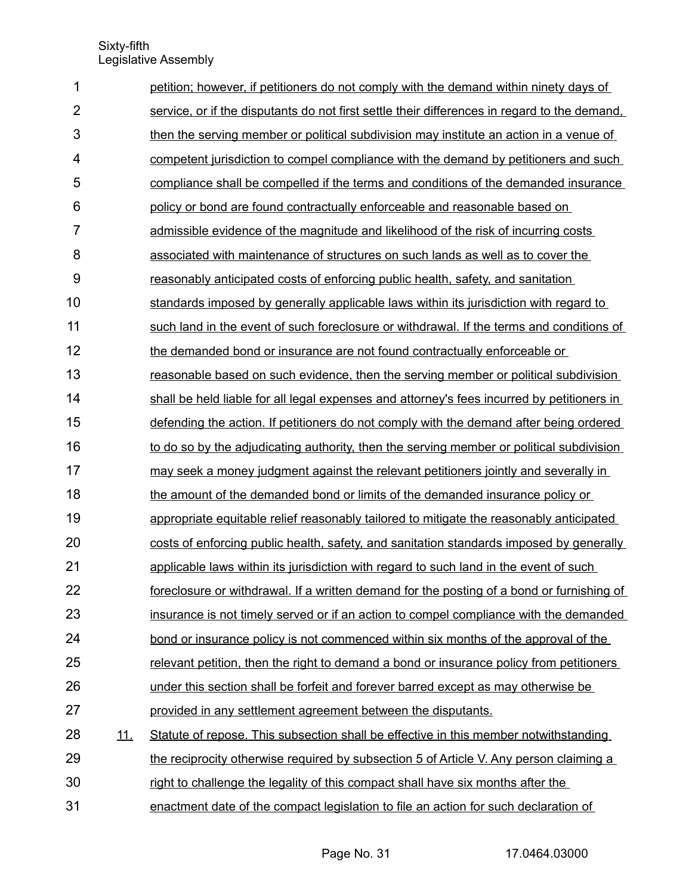| 1              |            | petition; however, if petitioners do not comply with the demand within ninety days of        |
|----------------|------------|----------------------------------------------------------------------------------------------|
| $\overline{2}$ |            | service, or if the disputants do not first settle their differences in regard to the demand. |
| 3              |            | then the serving member or political subdivision may institute an action in a venue of       |
| $\overline{4}$ |            | competent jurisdiction to compel compliance with the demand by petitioners and such          |
| 5              |            | compliance shall be compelled if the terms and conditions of the demanded insurance          |
| 6              |            | policy or bond are found contractually enforceable and reasonable based on                   |
| $\overline{7}$ |            | admissible evidence of the magnitude and likelihood of the risk of incurring costs           |
| 8              |            | associated with maintenance of structures on such lands as well as to cover the              |
| 9              |            | reasonably anticipated costs of enforcing public health, safety, and sanitation              |
| 10             |            | standards imposed by generally applicable laws within its jurisdiction with regard to        |
| 11             |            | such land in the event of such foreclosure or withdrawal. If the terms and conditions of     |
| 12             |            | the demanded bond or insurance are not found contractually enforceable or                    |
| 13             |            | reasonable based on such evidence, then the serving member or political subdivision          |
| 14             |            | shall be held liable for all legal expenses and attorney's fees incurred by petitioners in   |
| 15             |            | defending the action. If petitioners do not comply with the demand after being ordered       |
| 16             |            | to do so by the adjudicating authority, then the serving member or political subdivision     |
| 17             |            | may seek a money judgment against the relevant petitioners jointly and severally in          |
| 18             |            | the amount of the demanded bond or limits of the demanded insurance policy or                |
| 19             |            | appropriate equitable relief reasonably tailored to mitigate the reasonably anticipated      |
| 20             |            | costs of enforcing public health, safety, and sanitation standards imposed by generally      |
| 21             |            | applicable laws within its jurisdiction with regard to such land in the event of such        |
| 22             |            | foreclosure or withdrawal. If a written demand for the posting of a bond or furnishing of    |
| 23             |            | insurance is not timely served or if an action to compel compliance with the demanded        |
| 24             |            | bond or insurance policy is not commenced within six months of the approval of the           |
| 25             |            | relevant petition, then the right to demand a bond or insurance policy from petitioners      |
| 26             |            | under this section shall be forfeit and forever barred except as may otherwise be            |
| 27             |            | provided in any settlement agreement between the disputants.                                 |
| 28             | <u>11.</u> | Statute of repose. This subsection shall be effective in this member notwithstanding         |
| 29             |            | the reciprocity otherwise required by subsection 5 of Article V. Any person claiming a       |
| 30             |            | right to challenge the legality of this compact shall have six months after the              |
| 31             |            | enactment date of the compact legislation to file an action for such declaration of          |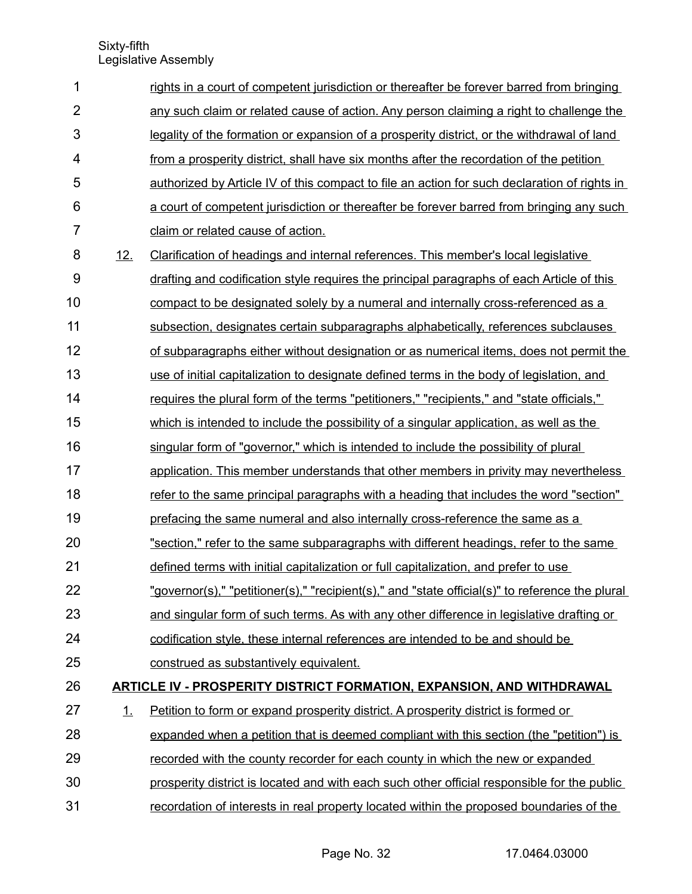| $\mathbf 1$      |     | rights in a court of competent jurisdiction or thereafter be forever barred from bringing       |
|------------------|-----|-------------------------------------------------------------------------------------------------|
| $\overline{2}$   |     | any such claim or related cause of action. Any person claiming a right to challenge the         |
| 3                |     | legality of the formation or expansion of a prosperity district, or the withdrawal of land      |
| 4                |     | from a prosperity district, shall have six months after the recordation of the petition         |
| 5                |     | authorized by Article IV of this compact to file an action for such declaration of rights in    |
| 6                |     | a court of competent jurisdiction or thereafter be forever barred from bringing any such        |
| $\overline{7}$   |     | claim or related cause of action.                                                               |
| 8                | 12. | Clarification of headings and internal references. This member's local legislative              |
| $\boldsymbol{9}$ |     | drafting and codification style requires the principal paragraphs of each Article of this       |
| 10               |     | compact to be designated solely by a numeral and internally cross-referenced as a               |
| 11               |     | subsection, designates certain subparagraphs alphabetically, references subclauses              |
| 12               |     | of subparagraphs either without designation or as numerical items, does not permit the          |
| 13               |     | use of initial capitalization to designate defined terms in the body of legislation, and        |
| 14               |     | requires the plural form of the terms "petitioners," "recipients," and "state officials,"       |
| 15               |     | which is intended to include the possibility of a singular application, as well as the          |
| 16               |     | singular form of "governor," which is intended to include the possibility of plural             |
| 17               |     | application. This member understands that other members in privity may nevertheless             |
| 18               |     | refer to the same principal paragraphs with a heading that includes the word "section"          |
| 19               |     | prefacing the same numeral and also internally cross-reference the same as a                    |
| 20               |     | "section," refer to the same subparagraphs with different headings, refer to the same           |
| 21               |     | defined terms with initial capitalization or full capitalization, and prefer to use             |
| 22               |     | "governor(s)," "petitioner(s)," "recipient(s)," and "state official(s)" to reference the plural |
| 23               |     | and singular form of such terms. As with any other difference in legislative drafting or        |
| 24               |     | codification style, these internal references are intended to be and should be                  |
| 25               |     | construed as substantively equivalent.                                                          |
| 26               |     | <b>ARTICLE IV - PROSPERITY DISTRICT FORMATION, EXPANSION, AND WITHDRAWAL</b>                    |
| 27               | 1.  | Petition to form or expand prosperity district. A prosperity district is formed or              |
| 28               |     | expanded when a petition that is deemed compliant with this section (the "petition") is         |
| 29               |     | recorded with the county recorder for each county in which the new or expanded                  |
| 30               |     | prosperity district is located and with each such other official responsible for the public     |
| 31               |     | recordation of interests in real property located within the proposed boundaries of the         |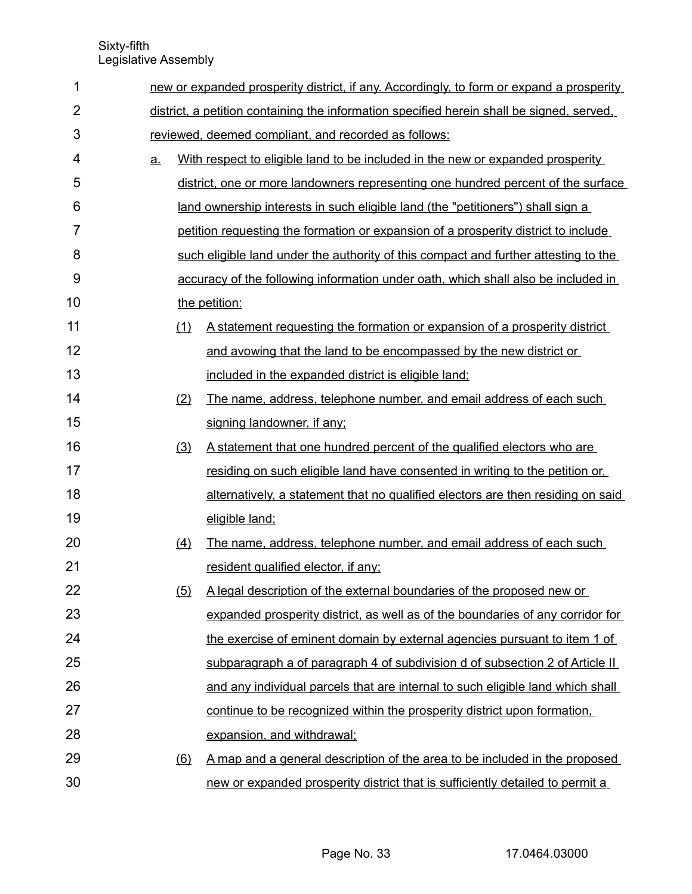| 1              |           | new or expanded prosperity district, if any. Accordingly, to form or expand a prosperity  |                                                                                     |  |  |  |  |
|----------------|-----------|-------------------------------------------------------------------------------------------|-------------------------------------------------------------------------------------|--|--|--|--|
| $\overline{2}$ |           | district, a petition containing the information specified herein shall be signed, served, |                                                                                     |  |  |  |  |
| 3              |           |                                                                                           | reviewed, deemed compliant, and recorded as follows:                                |  |  |  |  |
| 4              | <u>a.</u> |                                                                                           | With respect to eligible land to be included in the new or expanded prosperity      |  |  |  |  |
| 5              |           |                                                                                           | district, one or more landowners representing one hundred percent of the surface    |  |  |  |  |
| 6              |           |                                                                                           | land ownership interests in such eligible land (the "petitioners") shall sign a     |  |  |  |  |
| $\overline{7}$ |           |                                                                                           | petition requesting the formation or expansion of a prosperity district to include  |  |  |  |  |
| 8              |           |                                                                                           | such eligible land under the authority of this compact and further attesting to the |  |  |  |  |
| $9$            |           |                                                                                           | accuracy of the following information under oath, which shall also be included in   |  |  |  |  |
| 10             |           |                                                                                           | the petition:                                                                       |  |  |  |  |
| 11             |           | (1)                                                                                       | A statement requesting the formation or expansion of a prosperity district          |  |  |  |  |
| 12             |           |                                                                                           | and avowing that the land to be encompassed by the new district or                  |  |  |  |  |
| 13             |           |                                                                                           | included in the expanded district is eligible land;                                 |  |  |  |  |
| 14             |           | (2)                                                                                       | The name, address, telephone number, and email address of each such                 |  |  |  |  |
| 15             |           |                                                                                           | signing landowner, if any;                                                          |  |  |  |  |
| 16             |           | (3)                                                                                       | A statement that one hundred percent of the qualified electors who are              |  |  |  |  |
| 17             |           |                                                                                           | residing on such eligible land have consented in writing to the petition or,        |  |  |  |  |
| 18             |           |                                                                                           | alternatively, a statement that no qualified electors are then residing on said     |  |  |  |  |
| 19             |           |                                                                                           | eligible land;                                                                      |  |  |  |  |
| 20             |           | (4)                                                                                       | The name, address, telephone number, and email address of each such                 |  |  |  |  |
| 21             |           |                                                                                           | resident qualified elector, if any:                                                 |  |  |  |  |
| 22             |           | (5)                                                                                       | A legal description of the external boundaries of the proposed new or               |  |  |  |  |
| 23             |           |                                                                                           | expanded prosperity district, as well as of the boundaries of any corridor for      |  |  |  |  |
| 24             |           |                                                                                           | the exercise of eminent domain by external agencies pursuant to item 1 of           |  |  |  |  |
| 25             |           |                                                                                           | subparagraph a of paragraph 4 of subdivision d of subsection 2 of Article II        |  |  |  |  |
| 26             |           |                                                                                           | and any individual parcels that are internal to such eligible land which shall      |  |  |  |  |
| 27             |           |                                                                                           | continue to be recognized within the prosperity district upon formation,            |  |  |  |  |
| 28             |           |                                                                                           | expansion, and withdrawal;                                                          |  |  |  |  |
| 29             |           | (6)                                                                                       | A map and a general description of the area to be included in the proposed          |  |  |  |  |
| 30             |           |                                                                                           | new or expanded prosperity district that is sufficiently detailed to permit a       |  |  |  |  |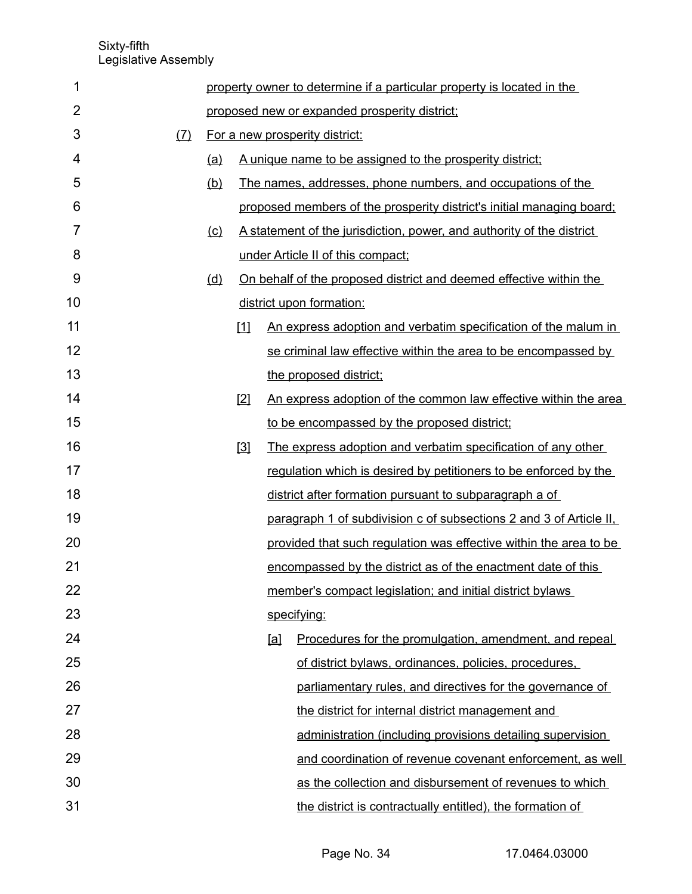| 1              |     |     |                                               |     | property owner to determine if a particular property is located in the |  |  |
|----------------|-----|-----|-----------------------------------------------|-----|------------------------------------------------------------------------|--|--|
| $\overline{2}$ |     |     | proposed new or expanded prosperity district; |     |                                                                        |  |  |
| 3              | (7) |     | For a new prosperity district:                |     |                                                                        |  |  |
| 4              |     | (a) |                                               |     | A unique name to be assigned to the prosperity district:               |  |  |
| 5              |     | (b) |                                               |     | The names, addresses, phone numbers, and occupations of the            |  |  |
| 6              |     |     |                                               |     | proposed members of the prosperity district's initial managing board;  |  |  |
| $\overline{7}$ |     | (c) |                                               |     | A statement of the jurisdiction, power, and authority of the district  |  |  |
| 8              |     |     |                                               |     | under Article II of this compact;                                      |  |  |
| 9              |     | (d) |                                               |     | On behalf of the proposed district and deemed effective within the     |  |  |
| 10             |     |     |                                               |     | district upon formation:                                               |  |  |
| 11             |     |     | Ш                                             |     | An express adoption and verbatim specification of the malum in         |  |  |
| 12             |     |     |                                               |     | se criminal law effective within the area to be encompassed by         |  |  |
| 13             |     |     |                                               |     | the proposed district;                                                 |  |  |
| 14             |     |     | $[2]$                                         |     | An express adoption of the common law effective within the area        |  |  |
| 15             |     |     |                                               |     | to be encompassed by the proposed district;                            |  |  |
| 16             |     |     | $[3]$                                         |     | The express adoption and verbatim specification of any other           |  |  |
| 17             |     |     |                                               |     | regulation which is desired by petitioners to be enforced by the       |  |  |
| 18             |     |     |                                               |     | district after formation pursuant to subparagraph a of                 |  |  |
| 19             |     |     |                                               |     | paragraph 1 of subdivision c of subsections 2 and 3 of Article II,     |  |  |
| 20             |     |     |                                               |     | provided that such regulation was effective within the area to be      |  |  |
| 21             |     |     |                                               |     | encompassed by the district as of the enactment date of this           |  |  |
| 22             |     |     |                                               |     | member's compact legislation; and initial district bylaws              |  |  |
| 23             |     |     |                                               |     | specifying:                                                            |  |  |
| 24             |     |     |                                               | [a] | Procedures for the promulgation, amendment, and repeal                 |  |  |
| 25             |     |     |                                               |     | of district bylaws, ordinances, policies, procedures,                  |  |  |
| 26             |     |     |                                               |     | parliamentary rules, and directives for the governance of              |  |  |
| 27             |     |     |                                               |     | the district for internal district management and                      |  |  |
| 28             |     |     |                                               |     | administration (including provisions detailing supervision             |  |  |
| 29             |     |     |                                               |     | and coordination of revenue covenant enforcement, as well              |  |  |
| 30             |     |     |                                               |     | as the collection and disbursement of revenues to which                |  |  |
| 31             |     |     |                                               |     | the district is contractually entitled), the formation of              |  |  |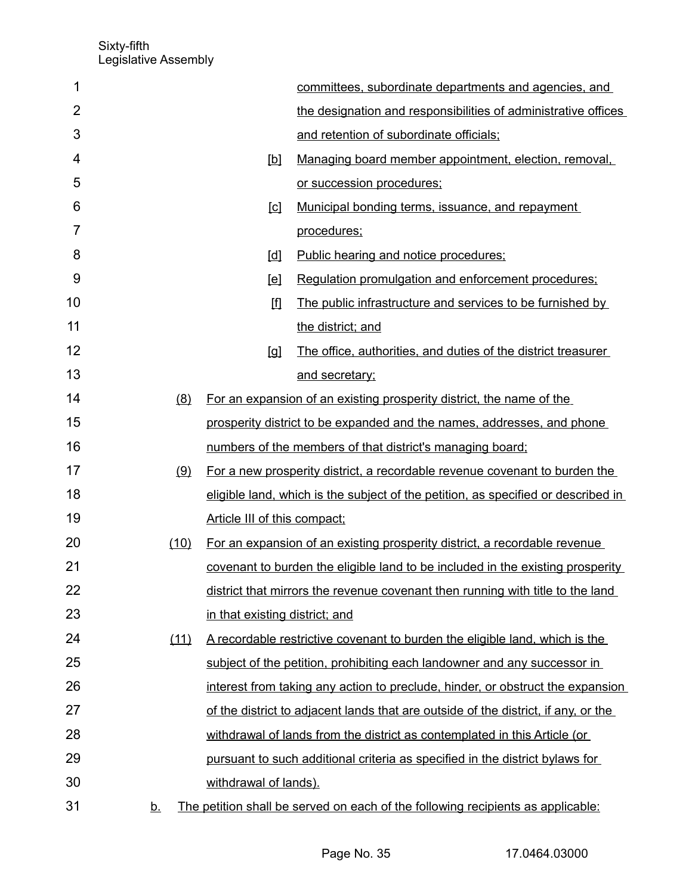| 1              |           |                                | committees, subordinate departments and agencies, and                              |
|----------------|-----------|--------------------------------|------------------------------------------------------------------------------------|
| $\overline{2}$ |           |                                | the designation and responsibilities of administrative offices                     |
| 3              |           |                                | and retention of subordinate officials;                                            |
| 4              |           | $[b]$                          | Managing board member appointment, election, removal,                              |
| 5              |           |                                | or succession procedures;                                                          |
| 6              |           | $\Box$                         | Municipal bonding terms, issuance, and repayment                                   |
| 7              |           |                                | procedures;                                                                        |
| 8              |           | [d]                            | Public hearing and notice procedures;                                              |
| 9              |           | [el]                           | Regulation promulgation and enforcement procedures:                                |
| 10             |           | 囬                              | The public infrastructure and services to be furnished by                          |
| 11             |           |                                | the district; and                                                                  |
| 12             |           | $\lbrack \mathfrak{a} \rbrack$ | The office, authorities, and duties of the district treasurer                      |
| 13             |           |                                | and secretary;                                                                     |
| 14             | (8)       |                                | For an expansion of an existing prosperity district, the name of the               |
| 15             |           |                                | prosperity district to be expanded and the names, addresses, and phone             |
| 16             |           |                                | numbers of the members of that district's managing board;                          |
| 17             | (9)       |                                | For a new prosperity district, a recordable revenue covenant to burden the         |
| 18             |           |                                | eligible land, which is the subject of the petition, as specified or described in  |
| 19             |           | Article III of this compact;   |                                                                                    |
| 20             | (10)      |                                | For an expansion of an existing prosperity district, a recordable revenue          |
| 21             |           |                                | covenant to burden the eligible land to be included in the existing prosperity     |
| 22             |           |                                | district that mirrors the revenue covenant then running with title to the land     |
| 23             |           | in that existing district; and |                                                                                    |
| 24             | (11)      |                                | A recordable restrictive covenant to burden the eligible land, which is the        |
| 25             |           |                                | subject of the petition, prohibiting each landowner and any successor in           |
| 26             |           |                                | interest from taking any action to preclude, hinder, or obstruct the expansion     |
| 27             |           |                                | of the district to adjacent lands that are outside of the district, if any, or the |
| 28             |           |                                | withdrawal of lands from the district as contemplated in this Article (or          |
| 29             |           |                                | pursuant to such additional criteria as specified in the district bylaws for       |
| 30             |           | withdrawal of lands).          |                                                                                    |
| 31             | <u>b.</u> |                                | The petition shall be served on each of the following recipients as applicable:    |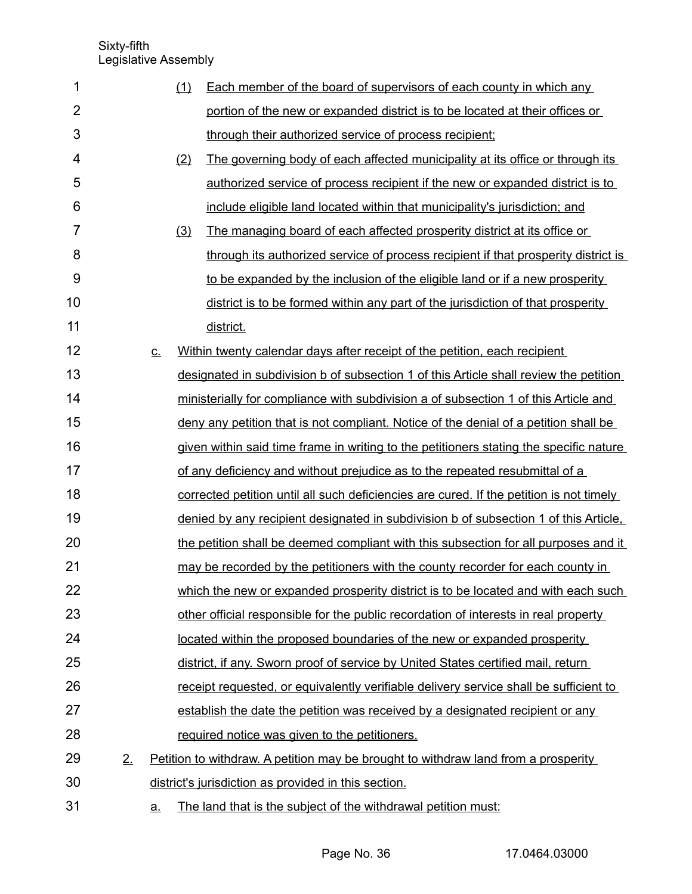| 1              |    |           | (1) | Each member of the board of supervisors of each county in which any                         |
|----------------|----|-----------|-----|---------------------------------------------------------------------------------------------|
| $\overline{2}$ |    |           |     | portion of the new or expanded district is to be located at their offices or                |
| 3              |    |           |     | through their authorized service of process recipient;                                      |
| 4              |    |           | (2) | The governing body of each affected municipality at its office or through its               |
| 5              |    |           |     | authorized service of process recipient if the new or expanded district is to               |
| 6              |    |           |     | include eligible land located within that municipality's jurisdiction; and                  |
| $\overline{7}$ |    |           | (3) | The managing board of each affected prosperity district at its office or                    |
| 8              |    |           |     | through its authorized service of process recipient if that prosperity district is          |
| 9              |    |           |     | to be expanded by the inclusion of the eligible land or if a new prosperity                 |
| 10             |    |           |     | district is to be formed within any part of the jurisdiction of that prosperity             |
| 11             |    |           |     | district.                                                                                   |
| 12             |    | <u>c.</u> |     | Within twenty calendar days after receipt of the petition, each recipient                   |
| 13             |    |           |     | designated in subdivision b of subsection 1 of this Article shall review the petition       |
| 14             |    |           |     | ministerially for compliance with subdivision a of subsection 1 of this Article and         |
| 15             |    |           |     | <u>deny any petition that is not compliant. Notice of the denial of a petition shall be</u> |
| 16             |    |           |     | given within said time frame in writing to the petitioners stating the specific nature      |
| 17             |    |           |     | of any deficiency and without prejudice as to the repeated resubmittal of a                 |
| 18             |    |           |     | corrected petition until all such deficiencies are cured. If the petition is not timely     |
| 19             |    |           |     | denied by any recipient designated in subdivision b of subsection 1 of this Article.        |
| 20             |    |           |     | the petition shall be deemed compliant with this subsection for all purposes and it         |
| 21             |    |           |     | may be recorded by the petitioners with the county recorder for each county in              |
| 22             |    |           |     | which the new or expanded prosperity district is to be located and with each such           |
| 23             |    |           |     | other official responsible for the public recordation of interests in real property         |
| 24             |    |           |     | located within the proposed boundaries of the new or expanded prosperity                    |
| 25             |    |           |     | district, if any. Sworn proof of service by United States certified mail, return            |
| 26             |    |           |     | receipt requested, or equivalently verifiable delivery service shall be sufficient to       |
| 27             |    |           |     | establish the date the petition was received by a designated recipient or any               |
| 28             |    |           |     | required notice was given to the petitioners.                                               |
| 29             | 2. |           |     | Petition to withdraw. A petition may be brought to withdraw land from a prosperity          |
| 30             |    |           |     | district's jurisdiction as provided in this section.                                        |
| 31             |    | <u>a.</u> |     | The land that is the subject of the withdrawal petition must:                               |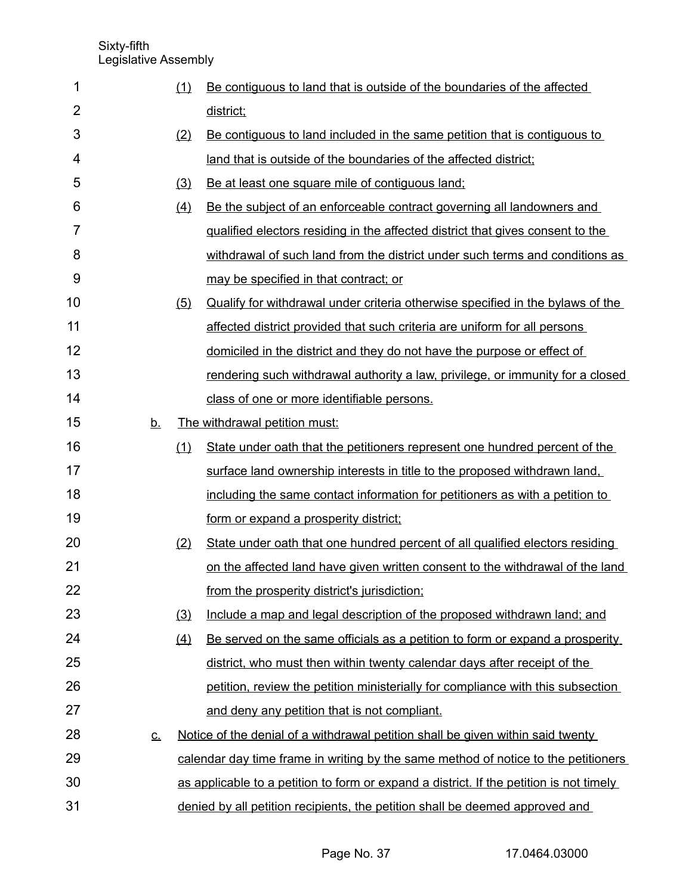|           |     | district;                                                                               |
|-----------|-----|-----------------------------------------------------------------------------------------|
|           | (2) | Be contiguous to land included in the same petition that is contiguous to               |
|           |     | land that is outside of the boundaries of the affected district;                        |
|           | (3) | Be at least one square mile of contiguous land;                                         |
|           | (4) | Be the subject of an enforceable contract governing all landowners and                  |
|           |     | qualified electors residing in the affected district that gives consent to the          |
|           |     | withdrawal of such land from the district under such terms and conditions as            |
|           |     | may be specified in that contract; or                                                   |
|           | (5) | Qualify for withdrawal under criteria otherwise specified in the bylaws of the          |
|           |     | affected district provided that such criteria are uniform for all persons               |
|           |     | domiciled in the district and they do not have the purpose or effect of                 |
|           |     | rendering such withdrawal authority a law, privilege, or immunity for a closed          |
|           |     | class of one or more identifiable persons.                                              |
| <u>b.</u> |     | The withdrawal petition must:                                                           |
|           | (1) | State under oath that the petitioners represent one hundred percent of the              |
|           |     | surface land ownership interests in title to the proposed withdrawn land,               |
|           |     | including the same contact information for petitioners as with a petition to            |
|           |     | form or expand a prosperity district;                                                   |
|           | (2) | State under oath that one hundred percent of all qualified electors residing            |
|           |     | <u>on the affected land have given written consent to the withdrawal of the land</u>    |
|           |     | from the prosperity district's jurisdiction;                                            |
|           | (3) | Include a map and legal description of the proposed withdrawn land; and                 |
|           | (4) | Be served on the same officials as a petition to form or expand a prosperity            |
|           |     | district, who must then within twenty calendar days after receipt of the                |
|           |     | petition, review the petition ministerially for compliance with this subsection         |
|           |     | and deny any petition that is not compliant.                                            |
| <u>c.</u> |     | Notice of the denial of a withdrawal petition shall be given within said twenty         |
|           |     | calendar day time frame in writing by the same method of notice to the petitioners      |
|           |     | as applicable to a petition to form or expand a district. If the petition is not timely |
|           |     | denied by all petition recipients, the petition shall be deemed approved and            |
|           |     |                                                                                         |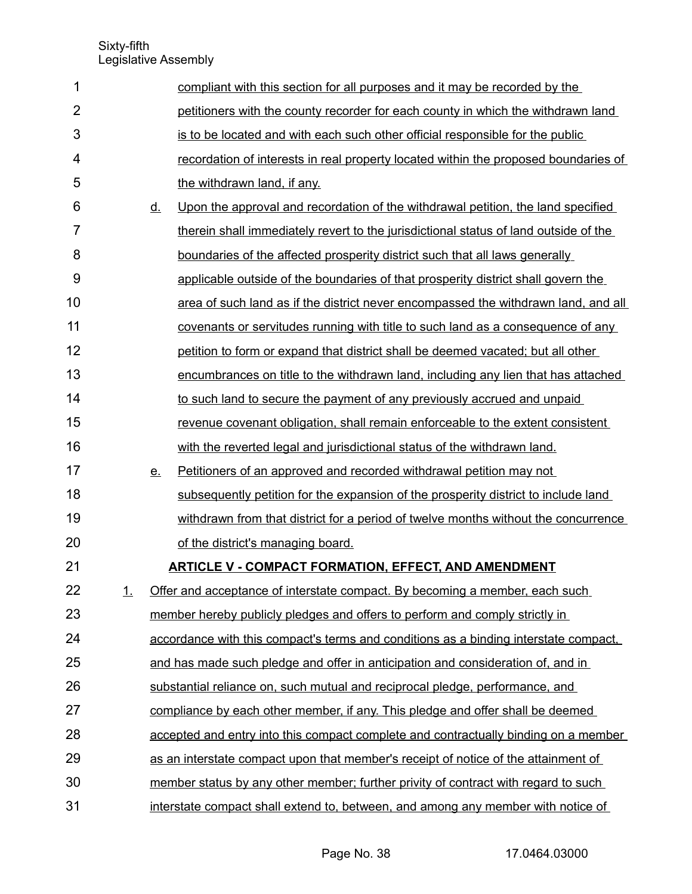| 1              |    |           | compliant with this section for all purposes and it may be recorded by the           |
|----------------|----|-----------|--------------------------------------------------------------------------------------|
| $\overline{2}$ |    |           | petitioners with the county recorder for each county in which the withdrawn land     |
| 3              |    |           | is to be located and with each such other official responsible for the public        |
| 4              |    |           | recordation of interests in real property located within the proposed boundaries of  |
| 5              |    |           | the withdrawn land, if any.                                                          |
| 6              |    | <u>d.</u> | Upon the approval and recordation of the withdrawal petition, the land specified     |
| $\overline{7}$ |    |           | therein shall immediately revert to the jurisdictional status of land outside of the |
| 8              |    |           | boundaries of the affected prosperity district such that all laws generally          |
| 9              |    |           | applicable outside of the boundaries of that prosperity district shall govern the    |
| 10             |    |           | area of such land as if the district never encompassed the withdrawn land, and all   |
| 11             |    |           | covenants or servitudes running with title to such land as a consequence of any      |
| 12             |    |           | petition to form or expand that district shall be deemed vacated; but all other      |
| 13             |    |           | encumbrances on title to the withdrawn land, including any lien that has attached    |
| 14             |    |           | to such land to secure the payment of any previously accrued and unpaid              |
| 15             |    |           | revenue covenant obligation, shall remain enforceable to the extent consistent       |
| 16             |    |           | with the reverted legal and jurisdictional status of the withdrawn land.             |
| 17             |    | <u>e.</u> | Petitioners of an approved and recorded withdrawal petition may not                  |
| 18             |    |           | subsequently petition for the expansion of the prosperity district to include land   |
| 19             |    |           | withdrawn from that district for a period of twelve months without the concurrence   |
| 20             |    |           | of the district's managing board.                                                    |
| 21             |    |           | <b>ARTICLE V - COMPACT FORMATION, EFFECT, AND AMENDMENT</b>                          |
| 22             | 1. |           | Offer and acceptance of interstate compact. By becoming a member, each such          |
| 23             |    |           | member hereby publicly pledges and offers to perform and comply strictly in          |
| 24             |    |           | accordance with this compact's terms and conditions as a binding interstate compact. |
| 25             |    |           | and has made such pledge and offer in anticipation and consideration of, and in      |
| 26             |    |           | substantial reliance on, such mutual and reciprocal pledge, performance, and         |
| 27             |    |           | compliance by each other member, if any. This pledge and offer shall be deemed       |
| 28             |    |           | accepted and entry into this compact complete and contractually binding on a member  |
| 29             |    |           | as an interstate compact upon that member's receipt of notice of the attainment of   |
| 30             |    |           | member status by any other member; further privity of contract with regard to such   |
| 31             |    |           | interstate compact shall extend to, between, and among any member with notice of     |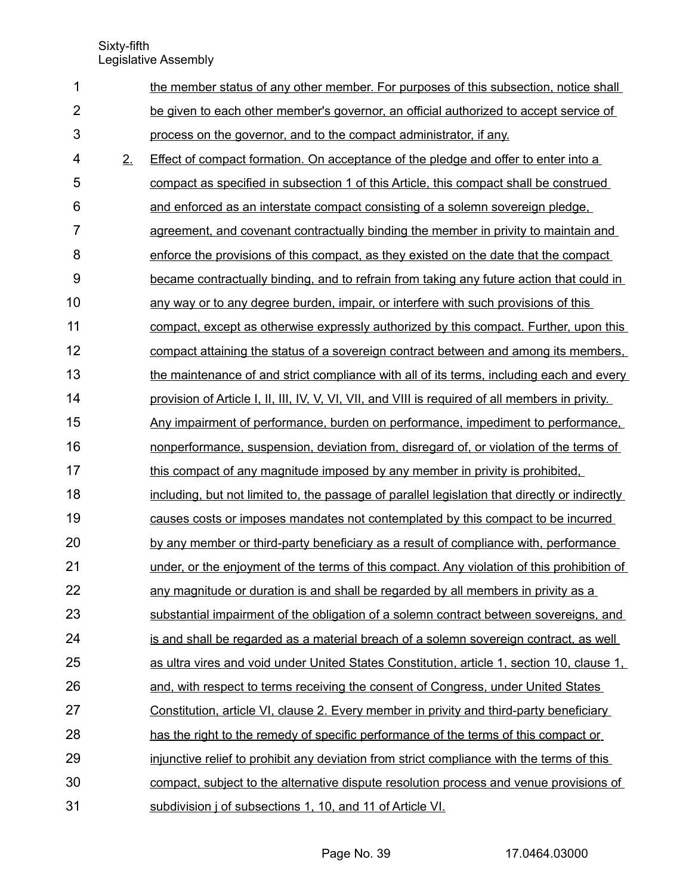| 1              |    | the member status of any other member. For purposes of this subsection, notice shall             |
|----------------|----|--------------------------------------------------------------------------------------------------|
| $\overline{2}$ |    | be given to each other member's governor, an official authorized to accept service of            |
| 3              |    | process on the governor, and to the compact administrator, if any.                               |
| 4              | 2. | Effect of compact formation. On acceptance of the pledge and offer to enter into a               |
| 5              |    | compact as specified in subsection 1 of this Article, this compact shall be construed            |
| 6              |    | and enforced as an interstate compact consisting of a solemn sovereign pledge.                   |
| $\overline{7}$ |    | agreement, and covenant contractually binding the member in privity to maintain and              |
| 8              |    | enforce the provisions of this compact, as they existed on the date that the compact             |
| 9              |    | became contractually binding, and to refrain from taking any future action that could in         |
| 10             |    | any way or to any degree burden, impair, or interfere with such provisions of this               |
| 11             |    | compact, except as otherwise expressly authorized by this compact. Further, upon this            |
| 12             |    | compact attaining the status of a sovereign contract between and among its members,              |
| 13             |    | the maintenance of and strict compliance with all of its terms, including each and every         |
| 14             |    | provision of Article I, II, III, IV, V, VI, VII, and VIII is required of all members in privity. |
| 15             |    | Any impairment of performance, burden on performance, impediment to performance,                 |
| 16             |    | nonperformance, suspension, deviation from, disregard of, or violation of the terms of           |
| 17             |    | this compact of any magnitude imposed by any member in privity is prohibited.                    |
| 18             |    | including, but not limited to, the passage of parallel legislation that directly or indirectly   |
| 19             |    | causes costs or imposes mandates not contemplated by this compact to be incurred                 |
| 20             |    | by any member or third-party beneficiary as a result of compliance with, performance             |
| 21             |    | under, or the enjoyment of the terms of this compact. Any violation of this prohibition of       |
| 22             |    | any magnitude or duration is and shall be regarded by all members in privity as a                |
| 23             |    | substantial impairment of the obligation of a solemn contract between sovereigns, and            |
| 24             |    | is and shall be regarded as a material breach of a solemn sovereign contract, as well            |
| 25             |    | as ultra vires and void under United States Constitution, article 1, section 10, clause 1,       |
| 26             |    | and, with respect to terms receiving the consent of Congress, under United States                |
| 27             |    | Constitution, article VI, clause 2. Every member in privity and third-party beneficiary          |
| 28             |    | has the right to the remedy of specific performance of the terms of this compact or              |
| 29             |    | injunctive relief to prohibit any deviation from strict compliance with the terms of this        |
| 30             |    | compact, subject to the alternative dispute resolution process and venue provisions of           |
| 31             |    | subdivision j of subsections 1, 10, and 11 of Article VI.                                        |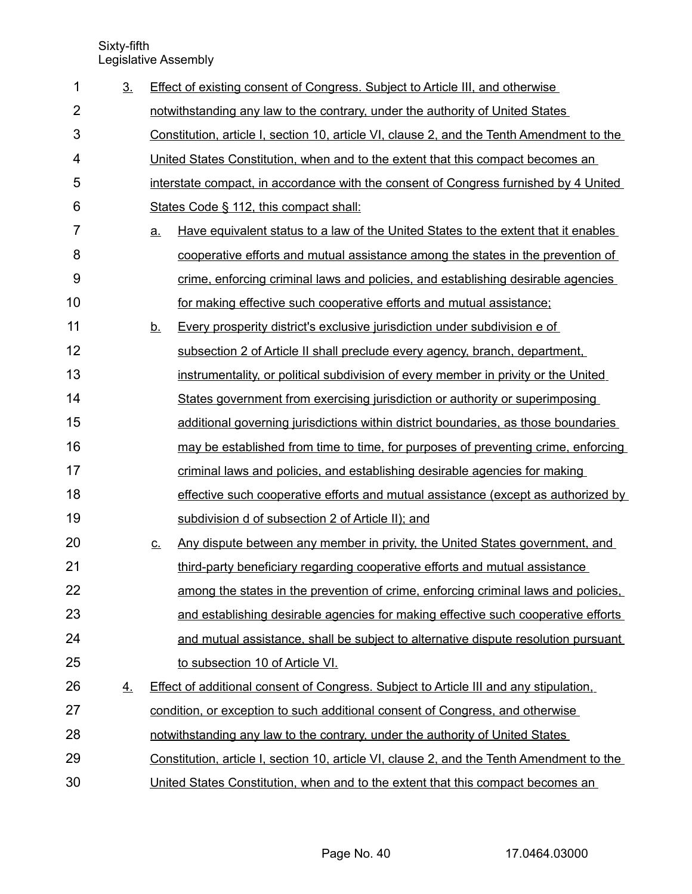| 1              | 3 <sub>1</sub> |                            | <b>Effect of existing consent of Congress. Subject to Article III, and otherwise</b>      |
|----------------|----------------|----------------------------|-------------------------------------------------------------------------------------------|
| $\overline{2}$ |                |                            | notwithstanding any law to the contrary, under the authority of United States             |
| 3              |                |                            | Constitution, article I, section 10, article VI, clause 2, and the Tenth Amendment to the |
| 4              |                |                            | United States Constitution, when and to the extent that this compact becomes an           |
| 5              |                |                            | interstate compact, in accordance with the consent of Congress furnished by 4 United      |
| 6              |                |                            | States Code § 112, this compact shall:                                                    |
| 7              |                | a.                         | Have equivalent status to a law of the United States to the extent that it enables        |
| 8              |                |                            | cooperative efforts and mutual assistance among the states in the prevention of           |
| 9              |                |                            | crime, enforcing criminal laws and policies, and establishing desirable agencies          |
| 10             |                |                            | for making effective such cooperative efforts and mutual assistance;                      |
| 11             |                | <u>b.</u>                  | Every prosperity district's exclusive jurisdiction under subdivision e of                 |
| 12             |                |                            | subsection 2 of Article II shall preclude every agency, branch, department,               |
| 13             |                |                            | instrumentality, or political subdivision of every member in privity or the United        |
| 14             |                |                            | States government from exercising jurisdiction or authority or superimposing              |
| 15             |                |                            | additional governing jurisdictions within district boundaries, as those boundaries        |
| 16             |                |                            | may be established from time to time, for purposes of preventing crime, enforcing         |
| 17             |                |                            | criminal laws and policies, and establishing desirable agencies for making                |
| 18             |                |                            | effective such cooperative efforts and mutual assistance (except as authorized by         |
| 19             |                |                            | subdivision d of subsection 2 of Article II); and                                         |
| 20             |                | $\underline{\mathsf{C}}$ . | Any dispute between any member in privity, the United States government, and              |
| 21             |                |                            | third-party beneficiary regarding cooperative efforts and mutual assistance               |
| 22             |                |                            | among the states in the prevention of crime, enforcing criminal laws and policies.        |
| 23             |                |                            | and establishing desirable agencies for making effective such cooperative efforts         |
| 24             |                |                            | and mutual assistance, shall be subject to alternative dispute resolution pursuant        |
| 25             |                |                            | to subsection 10 of Article VI.                                                           |
| 26             | 4.             |                            | Effect of additional consent of Congress. Subject to Article III and any stipulation,     |
| 27             |                |                            | condition, or exception to such additional consent of Congress, and otherwise             |
| 28             |                |                            | notwithstanding any law to the contrary, under the authority of United States             |
| 29             |                |                            | Constitution, article I, section 10, article VI, clause 2, and the Tenth Amendment to the |
| 30             |                |                            | United States Constitution, when and to the extent that this compact becomes an           |

Page No. 40 17.0464.03000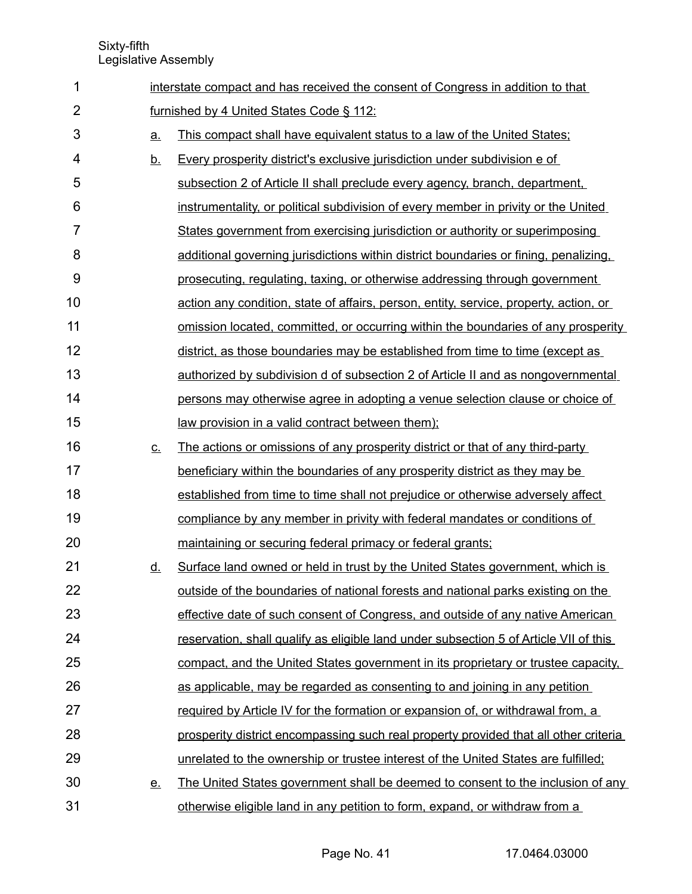| 1              |                   | interstate compact and has received the consent of Congress in addition to that       |  |  |  |  |
|----------------|-------------------|---------------------------------------------------------------------------------------|--|--|--|--|
| $\overline{2}$ |                   | furnished by 4 United States Code § 112:                                              |  |  |  |  |
| 3              | $\underline{a}$ . | This compact shall have equivalent status to a law of the United States;              |  |  |  |  |
| 4              | <u>b.</u>         | Every prosperity district's exclusive jurisdiction under subdivision e of             |  |  |  |  |
| 5              |                   | subsection 2 of Article II shall preclude every agency, branch, department,           |  |  |  |  |
| 6              |                   | instrumentality, or political subdivision of every member in privity or the United    |  |  |  |  |
| 7              |                   | States government from exercising jurisdiction or authority or superimposing          |  |  |  |  |
| 8              |                   | additional governing jurisdictions within district boundaries or fining, penalizing,  |  |  |  |  |
| 9              |                   | prosecuting, regulating, taxing, or otherwise addressing through government           |  |  |  |  |
| 10             |                   | action any condition, state of affairs, person, entity, service, property, action, or |  |  |  |  |
| 11             |                   | omission located, committed, or occurring within the boundaries of any prosperity     |  |  |  |  |
| 12             |                   | district, as those boundaries may be established from time to time (except as         |  |  |  |  |
| 13             |                   | authorized by subdivision d of subsection 2 of Article II and as nongovernmental      |  |  |  |  |
| 14             |                   | persons may otherwise agree in adopting a venue selection clause or choice of         |  |  |  |  |
| 15             |                   | law provision in a valid contract between them);                                      |  |  |  |  |
| 16             | <u>C.</u>         | The actions or omissions of any prosperity district or that of any third-party        |  |  |  |  |
| 17             |                   | beneficiary within the boundaries of any prosperity district as they may be           |  |  |  |  |
| 18             |                   | established from time to time shall not prejudice or otherwise adversely affect       |  |  |  |  |
| 19             |                   | compliance by any member in privity with federal mandates or conditions of            |  |  |  |  |
| 20             |                   | maintaining or securing federal primacy or federal grants;                            |  |  |  |  |
| 21             | <u>d.</u>         | Surface land owned or held in trust by the United States government, which is         |  |  |  |  |
| 22             |                   | outside of the boundaries of national forests and national parks existing on the      |  |  |  |  |
| 23             |                   | effective date of such consent of Congress, and outside of any native American        |  |  |  |  |
| 24             |                   | reservation, shall qualify as eligible land under subsection 5 of Article VII of this |  |  |  |  |
| 25             |                   | compact, and the United States government in its proprietary or trustee capacity.     |  |  |  |  |
| 26             |                   | as applicable, may be regarded as consenting to and joining in any petition           |  |  |  |  |
| 27             |                   | required by Article IV for the formation or expansion of, or withdrawal from, a       |  |  |  |  |
| 28             |                   | prosperity district encompassing such real property provided that all other criteria  |  |  |  |  |
| 29             |                   | unrelated to the ownership or trustee interest of the United States are fulfilled;    |  |  |  |  |
| 30             | <u>e.</u>         | The United States government shall be deemed to consent to the inclusion of any       |  |  |  |  |
| 31             |                   | otherwise eligible land in any petition to form, expand, or withdraw from a           |  |  |  |  |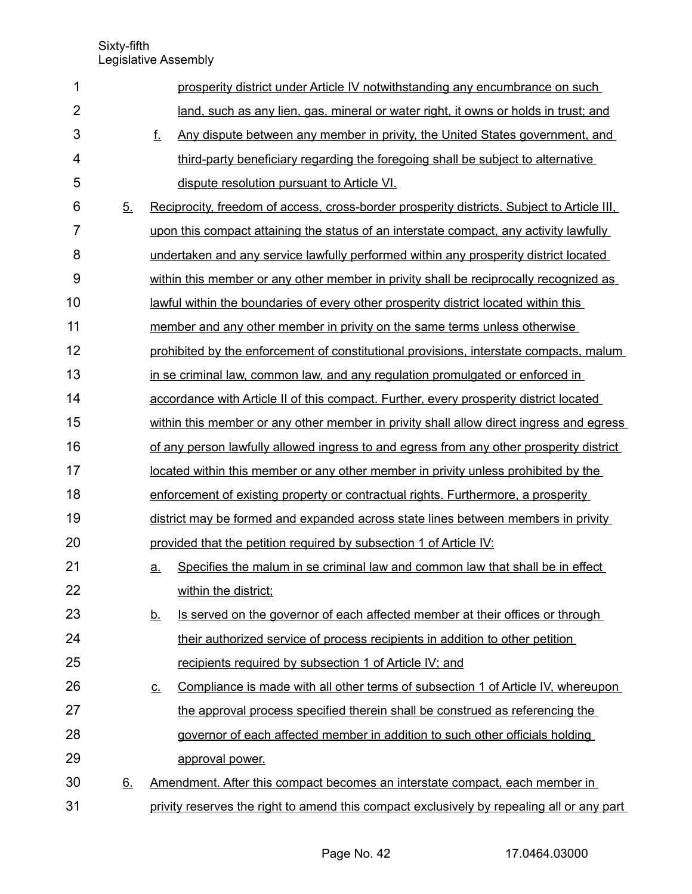| 1              |                | prosperity district under Article IV notwithstanding any encumbrance on such                                 |
|----------------|----------------|--------------------------------------------------------------------------------------------------------------|
| $\overline{2}$ |                | land, such as any lien, gas, mineral or water right, it owns or holds in trust; and                          |
| 3              |                | f.<br>Any dispute between any member in privity, the United States government, and                           |
| 4              |                | third-party beneficiary regarding the foregoing shall be subject to alternative                              |
| 5              |                | dispute resolution pursuant to Article VI.                                                                   |
| 6              | 5 <sub>1</sub> | Reciprocity, freedom of access, cross-border prosperity districts. Subject to Article III,                   |
| 7              |                | upon this compact attaining the status of an interstate compact, any activity lawfully                       |
| 8              |                | undertaken and any service lawfully performed within any prosperity district located                         |
| 9              |                | within this member or any other member in privity shall be reciprocally recognized as                        |
| 10             |                | lawful within the boundaries of every other prosperity district located within this                          |
| 11             |                | member and any other member in privity on the same terms unless otherwise                                    |
| 12             |                | prohibited by the enforcement of constitutional provisions, interstate compacts, malum                       |
| 13             |                | in se criminal law, common law, and any regulation promulgated or enforced in                                |
| 14             |                | accordance with Article II of this compact. Further, every prosperity district located                       |
| 15             |                | within this member or any other member in privity shall allow direct ingress and egress                      |
| 16             |                | of any person lawfully allowed ingress to and egress from any other prosperity district                      |
| 17             |                | located within this member or any other member in privity unless prohibited by the                           |
| 18             |                | enforcement of existing property or contractual rights. Furthermore, a prosperity                            |
| 19             |                | district may be formed and expanded across state lines between members in privity                            |
| 20             |                | provided that the petition required by subsection 1 of Article IV:                                           |
| 21             |                | Specifies the malum in se criminal law and common law that shall be in effect<br><u>a.</u>                   |
| 22             |                | within the district;                                                                                         |
| 23             |                | Is served on the governor of each affected member at their offices or through<br><u>b.</u>                   |
| 24             |                | their authorized service of process recipients in addition to other petition                                 |
| 25             |                | recipients required by subsection 1 of Article IV; and                                                       |
| 26             |                | Compliance is made with all other terms of subsection 1 of Article IV, whereupon<br>$\underline{\mathsf{C}}$ |
| 27             |                | the approval process specified therein shall be construed as referencing the                                 |
| 28             |                | governor of each affected member in addition to such other officials holding                                 |
| 29             |                | approval power.                                                                                              |
| 30             | 6.             | Amendment. After this compact becomes an interstate compact, each member in                                  |
| 31             |                | privity reserves the right to amend this compact exclusively by repealing all or any part                    |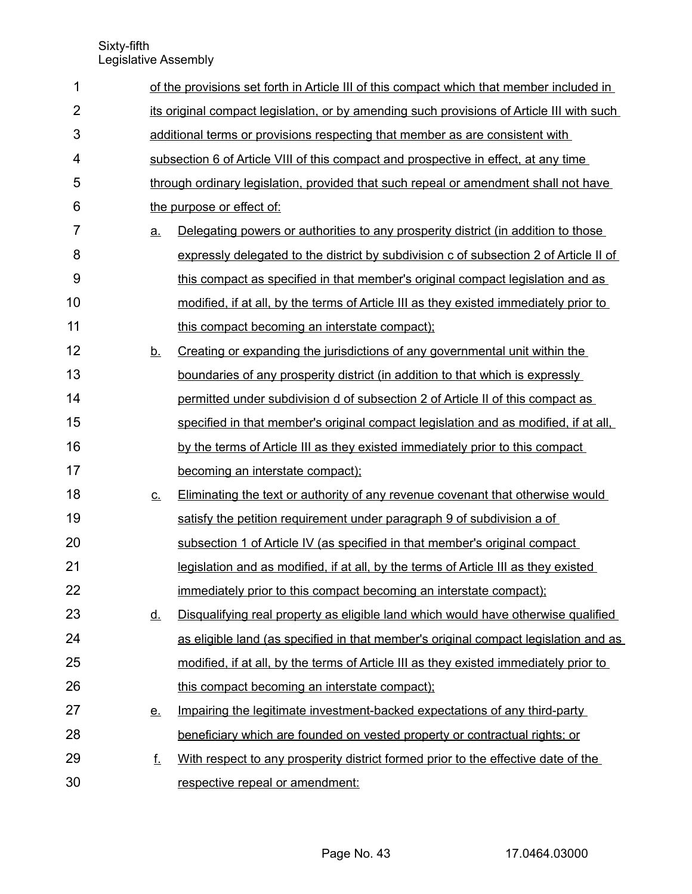| 1              |           | of the provisions set forth in Article III of this compact which that member included in  |  |  |  |  |
|----------------|-----------|-------------------------------------------------------------------------------------------|--|--|--|--|
| $\overline{2}$ |           | its original compact legislation, or by amending such provisions of Article III with such |  |  |  |  |
| 3              |           | additional terms or provisions respecting that member as are consistent with              |  |  |  |  |
| 4              |           | subsection 6 of Article VIII of this compact and prospective in effect, at any time       |  |  |  |  |
| 5              |           | through ordinary legislation, provided that such repeal or amendment shall not have       |  |  |  |  |
| 6              |           | the purpose or effect of:                                                                 |  |  |  |  |
| 7              | <u>a.</u> | Delegating powers or authorities to any prosperity district (in addition to those         |  |  |  |  |
| 8              |           | expressly delegated to the district by subdivision c of subsection 2 of Article II of     |  |  |  |  |
| 9              |           | this compact as specified in that member's original compact legislation and as            |  |  |  |  |
| 10             |           | modified, if at all, by the terms of Article III as they existed immediately prior to     |  |  |  |  |
| 11             |           | this compact becoming an interstate compact);                                             |  |  |  |  |
| 12             | <u>b.</u> | Creating or expanding the jurisdictions of any governmental unit within the               |  |  |  |  |
| 13             |           | boundaries of any prosperity district (in addition to that which is expressly             |  |  |  |  |
| 14             |           | permitted under subdivision d of subsection 2 of Article II of this compact as            |  |  |  |  |
| 15             |           | specified in that member's original compact legislation and as modified, if at all,       |  |  |  |  |
| 16             |           | by the terms of Article III as they existed immediately prior to this compact             |  |  |  |  |
| 17             |           | becoming an interstate compact);                                                          |  |  |  |  |
| 18             | <u>c.</u> | Eliminating the text or authority of any revenue covenant that otherwise would            |  |  |  |  |
| 19             |           | satisfy the petition requirement under paragraph 9 of subdivision a of                    |  |  |  |  |
| 20             |           | subsection 1 of Article IV (as specified in that member's original compact                |  |  |  |  |
| 21             |           | legislation and as modified, if at all, by the terms of Article III as they existed       |  |  |  |  |
| 22             |           | immediately prior to this compact becoming an interstate compact);                        |  |  |  |  |
| 23             | <u>d.</u> | Disqualifying real property as eligible land which would have otherwise qualified         |  |  |  |  |
| 24             |           | as eligible land (as specified in that member's original compact legislation and as       |  |  |  |  |
| 25             |           | modified, if at all, by the terms of Article III as they existed immediately prior to     |  |  |  |  |
| 26             |           | this compact becoming an interstate compact);                                             |  |  |  |  |
| 27             | <u>e.</u> | Impairing the legitimate investment-backed expectations of any third-party                |  |  |  |  |
| 28             |           | beneficiary which are founded on vested property or contractual rights; or                |  |  |  |  |
| 29             | f.        | With respect to any prosperity district formed prior to the effective date of the         |  |  |  |  |
| 30             |           | respective repeal or amendment:                                                           |  |  |  |  |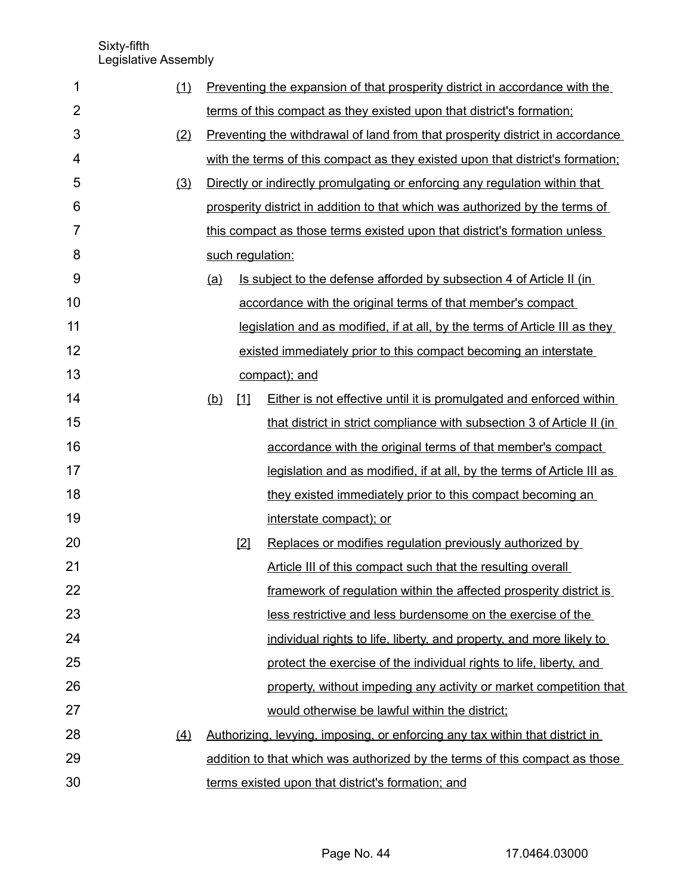| 1              | (1) |     |             | Preventing the expansion of that prosperity district in accordance with the    |
|----------------|-----|-----|-------------|--------------------------------------------------------------------------------|
| $\overline{2}$ |     |     |             | terms of this compact as they existed upon that district's formation;          |
| 3              | (2) |     |             | Preventing the withdrawal of land from that prosperity district in accordance  |
| 4              |     |     |             | with the terms of this compact as they existed upon that district's formation; |
| 5              | (3) |     |             | Directly or indirectly promulgating or enforcing any regulation within that    |
| 6              |     |     |             | prosperity district in addition to that which was authorized by the terms of   |
| 7              |     |     |             | this compact as those terms existed upon that district's formation unless      |
| 8              |     |     |             | such regulation:                                                               |
| 9              |     | (a) |             | Is subject to the defense afforded by subsection 4 of Article II (in           |
| 10             |     |     |             | accordance with the original terms of that member's compact                    |
| 11             |     |     |             | legislation and as modified, if at all, by the terms of Article III as they    |
| 12             |     |     |             | existed immediately prior to this compact becoming an interstate               |
| 13             |     |     |             | compact); and                                                                  |
| 14             |     | (b) | $\boxed{1}$ | Either is not effective until it is promulgated and enforced within            |
| 15             |     |     |             | that district in strict compliance with subsection 3 of Article II (in         |
| 16             |     |     |             | accordance with the original terms of that member's compact                    |
| 17             |     |     |             | legislation and as modified, if at all, by the terms of Article III as         |
| 18             |     |     |             | they existed immediately prior to this compact becoming an                     |
| 19             |     |     |             | interstate compact); or                                                        |
| 20             |     |     | $[2]$       | Replaces or modifies regulation previously authorized by                       |
| 21             |     |     |             | Article III of this compact such that the resulting overall                    |
| 22             |     |     |             | framework of regulation within the affected prosperity district is             |
| 23             |     |     |             | less restrictive and less burdensome on the exercise of the                    |
| 24             |     |     |             | individual rights to life, liberty, and property, and more likely to           |
| 25             |     |     |             | protect the exercise of the individual rights to life, liberty, and            |
| 26             |     |     |             | property, without impeding any activity or market competition that             |
| 27             |     |     |             | would otherwise be lawful within the district;                                 |
| 28             | (4) |     |             | Authorizing, levying, imposing, or enforcing any tax within that district in   |
| 29             |     |     |             | addition to that which was authorized by the terms of this compact as those    |
| 30             |     |     |             | terms existed upon that district's formation; and                              |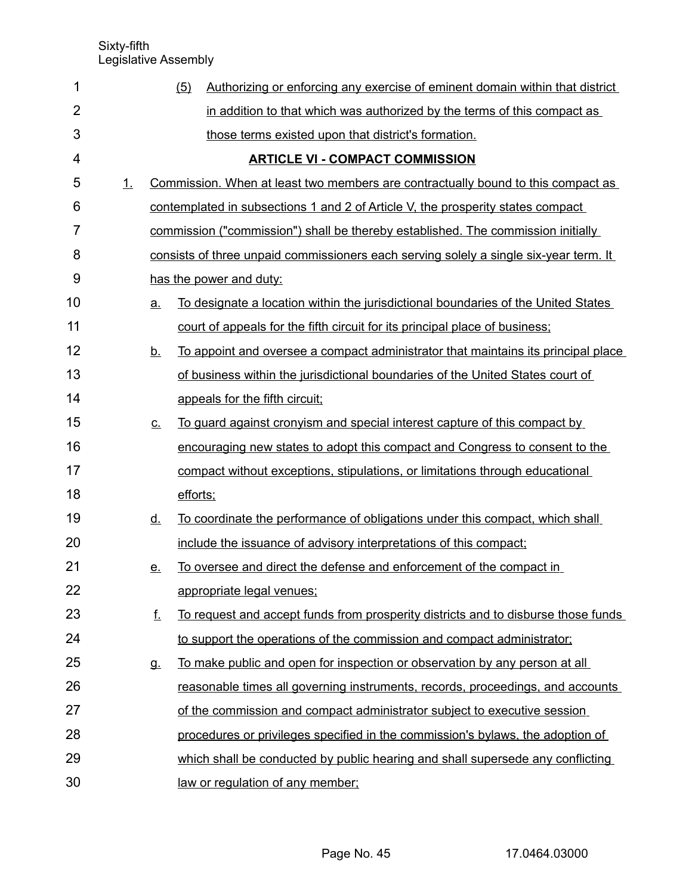| 1              |    |           | Authorizing or enforcing any exercise of eminent domain within that district<br>(5)   |
|----------------|----|-----------|---------------------------------------------------------------------------------------|
| $\overline{2}$ |    |           | in addition to that which was authorized by the terms of this compact as              |
| 3              |    |           | those terms existed upon that district's formation.                                   |
| 4              |    |           | <b>ARTICLE VI - COMPACT COMMISSION</b>                                                |
| 5              | 1. |           | Commission. When at least two members are contractually bound to this compact as      |
| 6              |    |           | contemplated in subsections 1 and 2 of Article V, the prosperity states compact       |
| 7              |    |           | commission ("commission") shall be thereby established. The commission initially      |
| 8              |    |           | consists of three unpaid commissioners each serving solely a single six-year term. It |
| 9              |    |           | has the power and duty:                                                               |
| 10             |    | <u>a.</u> | To designate a location within the jurisdictional boundaries of the United States     |
| 11             |    |           | court of appeals for the fifth circuit for its principal place of business;           |
| 12             |    | <u>b.</u> | To appoint and oversee a compact administrator that maintains its principal place     |
| 13             |    |           | of business within the jurisdictional boundaries of the United States court of        |
| 14             |    |           | appeals for the fifth circuit;                                                        |
| 15             |    | <u>c.</u> | To guard against cronyism and special interest capture of this compact by             |
| 16             |    |           | encouraging new states to adopt this compact and Congress to consent to the           |
| 17             |    |           | compact without exceptions, stipulations, or limitations through educational          |
| 18             |    |           | efforts;                                                                              |
| 19             |    | <u>d.</u> | To coordinate the performance of obligations under this compact, which shall          |
| 20             |    |           | include the issuance of advisory interpretations of this compact;                     |
| 21             |    | <u>e.</u> | To oversee and direct the defense and enforcement of the compact in                   |
| 22             |    |           | appropriate legal venues;                                                             |
| 23             |    | f.        | To request and accept funds from prosperity districts and to disburse those funds     |
| 24             |    |           | to support the operations of the commission and compact administrator;                |
| 25             |    | <b>g.</b> | To make public and open for inspection or observation by any person at all            |
| 26             |    |           | reasonable times all governing instruments, records, proceedings, and accounts        |
| 27             |    |           | of the commission and compact administrator subject to executive session              |
| 28             |    |           | procedures or privileges specified in the commission's bylaws, the adoption of        |
| 29             |    |           | which shall be conducted by public hearing and shall supersede any conflicting        |
| 30             |    |           | law or regulation of any member;                                                      |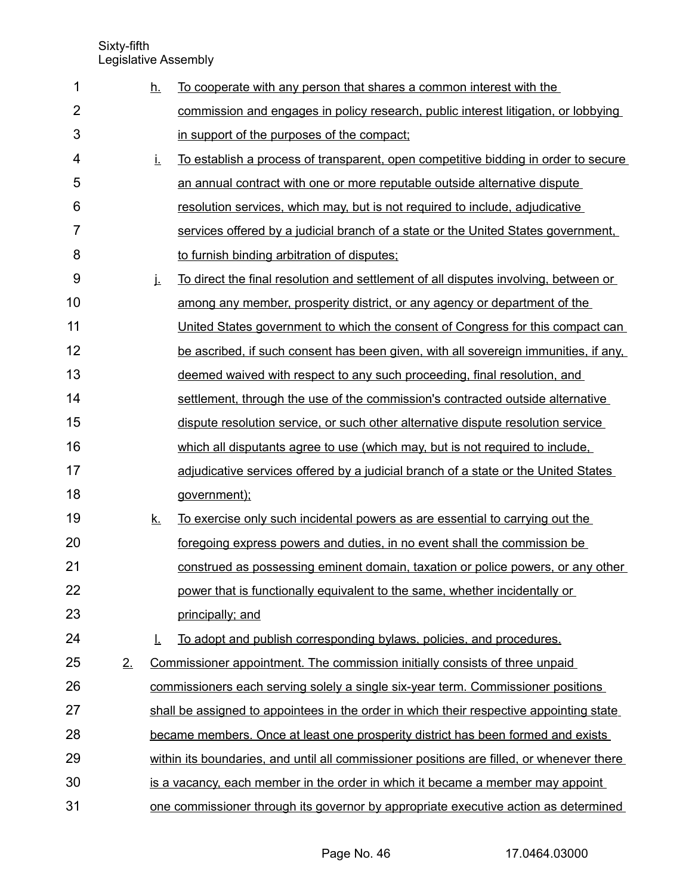| 1              |    | <u>h.</u> | To cooperate with any person that shares a common interest with the                       |
|----------------|----|-----------|-------------------------------------------------------------------------------------------|
| $\overline{2}$ |    |           | commission and engages in policy research, public interest litigation, or lobbying        |
| 3              |    |           | in support of the purposes of the compact;                                                |
| 4              |    | İ.        | <u>To establish a process of transparent, open competitive bidding in order to secure</u> |
| 5              |    |           | an annual contract with one or more reputable outside alternative dispute                 |
| 6              |    |           | resolution services, which may, but is not required to include, adjudicative              |
| 7              |    |           | services offered by a judicial branch of a state or the United States government.         |
| 8              |    |           | to furnish binding arbitration of disputes;                                               |
| 9              |    | j.        | To direct the final resolution and settlement of all disputes involving, between or       |
| 10             |    |           | among any member, prosperity district, or any agency or department of the                 |
| 11             |    |           | United States government to which the consent of Congress for this compact can            |
| 12             |    |           | be ascribed, if such consent has been given, with all sovereign immunities, if any,       |
| 13             |    |           | deemed waived with respect to any such proceeding, final resolution, and                  |
| 14             |    |           | settlement, through the use of the commission's contracted outside alternative            |
| 15             |    |           | dispute resolution service, or such other alternative dispute resolution service          |
| 16             |    |           | which all disputants agree to use (which may, but is not required to include,             |
| 17             |    |           | adjudicative services offered by a judicial branch of a state or the United States        |
| 18             |    |           | government);                                                                              |
| 19             |    | <u>k.</u> | To exercise only such incidental powers as are essential to carrying out the              |
| 20             |    |           | foregoing express powers and duties, in no event shall the commission be                  |
| 21             |    |           | construed as possessing eminent domain, taxation or police powers, or any other           |
| 22             |    |           | power that is functionally equivalent to the same, whether incidentally or                |
| 23             |    |           | principally; and                                                                          |
| 24             |    | T.        | To adopt and publish corresponding bylaws, policies, and procedures.                      |
| 25             | 2. |           | Commissioner appointment. The commission initially consists of three unpaid               |
| 26             |    |           | commissioners each serving solely a single six-year term. Commissioner positions          |
| 27             |    |           | shall be assigned to appointees in the order in which their respective appointing state   |
| 28             |    |           | became members. Once at least one prosperity district has been formed and exists          |
| 29             |    |           | within its boundaries, and until all commissioner positions are filled, or whenever there |
| 30             |    |           | is a vacancy, each member in the order in which it became a member may appoint            |
| 31             |    |           | one commissioner through its governor by appropriate executive action as determined       |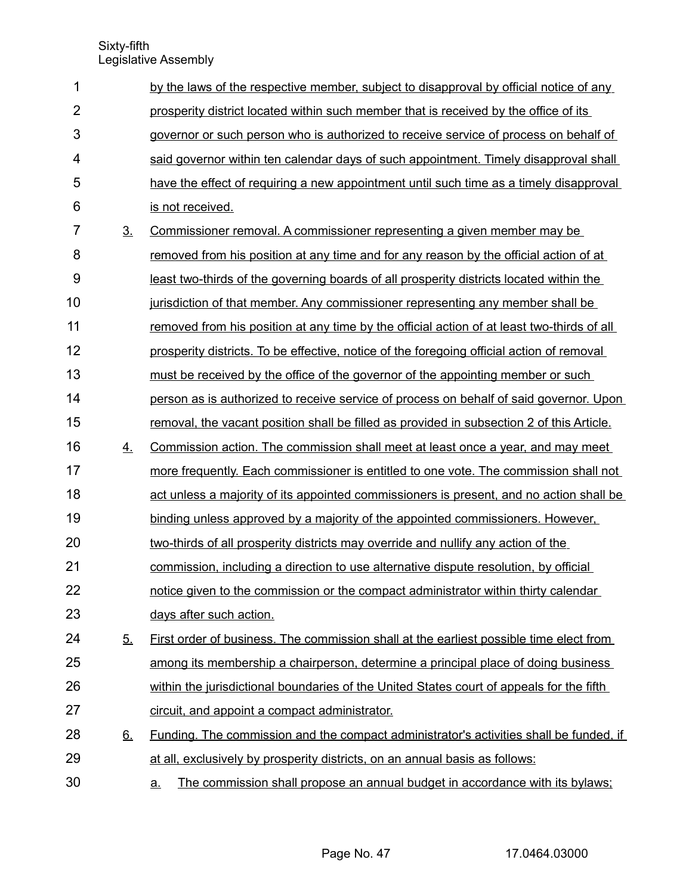| 1              |                | by the laws of the respective member, subject to disapproval by official notice of any        |
|----------------|----------------|-----------------------------------------------------------------------------------------------|
| $\overline{2}$ |                | prosperity district located within such member that is received by the office of its          |
| 3              |                | governor or such person who is authorized to receive service of process on behalf of          |
| 4              |                | said governor within ten calendar days of such appointment. Timely disapproval shall          |
| 5              |                | have the effect of requiring a new appointment until such time as a timely disapproval        |
| 6              |                | is not received.                                                                              |
| 7              | 3 <sub>1</sub> | Commissioner removal. A commissioner representing a given member may be                       |
| 8              |                | removed from his position at any time and for any reason by the official action of at         |
| 9              |                | least two-thirds of the governing boards of all prosperity districts located within the       |
| 10             |                | jurisdiction of that member. Any commissioner representing any member shall be                |
| 11             |                | removed from his position at any time by the official action of at least two-thirds of all    |
| 12             |                | prosperity districts. To be effective, notice of the foregoing official action of removal     |
| 13             |                | must be received by the office of the governor of the appointing member or such               |
| 14             |                | person as is authorized to receive service of process on behalf of said governor. Upon        |
| 15             |                | removal, the vacant position shall be filled as provided in subsection 2 of this Article.     |
| 16             | 4.             | Commission action. The commission shall meet at least once a year, and may meet               |
| 17             |                | more frequently. Each commissioner is entitled to one vote. The commission shall not          |
| 18             |                | act unless a majority of its appointed commissioners is present, and no action shall be       |
| 19             |                | binding unless approved by a majority of the appointed commissioners. However,                |
| 20             |                | two-thirds of all prosperity districts may override and nullify any action of the             |
| 21             |                | commission, including a direction to use alternative dispute resolution, by official          |
| 22             |                | notice given to the commission or the compact administrator within thirty calendar            |
| 23             |                | days after such action.                                                                       |
| 24             | <u>5.</u>      | First order of business. The commission shall at the earliest possible time elect from        |
| 25             |                | among its membership a chairperson, determine a principal place of doing business             |
| 26             |                | within the jurisdictional boundaries of the United States court of appeals for the fifth      |
| 27             |                | circuit, and appoint a compact administrator.                                                 |
| 28             | <u>6.</u>      | <u>Funding. The commission and the compact administrator's activities shall be funded, if</u> |
| 29             |                | at all, exclusively by prosperity districts, on an annual basis as follows:                   |
| 30             |                | The commission shall propose an annual budget in accordance with its bylaws;<br><u>a.</u>     |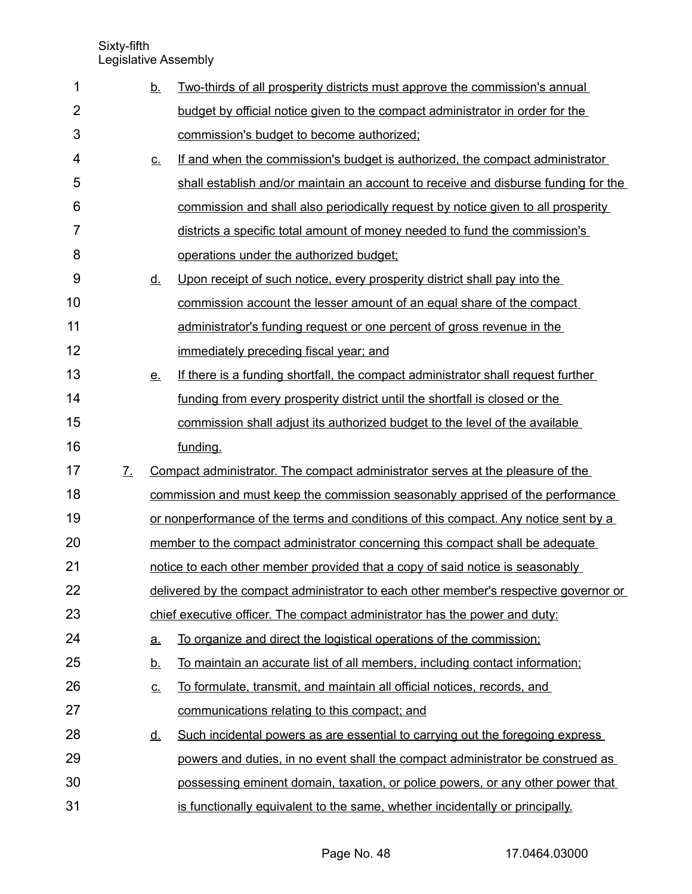| 1              |                   | <u>b.</u>                  | Two-thirds of all prosperity districts must approve the commission's annual          |  |  |  |  |  |
|----------------|-------------------|----------------------------|--------------------------------------------------------------------------------------|--|--|--|--|--|
| $\overline{2}$ |                   |                            | budget by official notice given to the compact administrator in order for the        |  |  |  |  |  |
| 3              |                   |                            | commission's budget to become authorized;                                            |  |  |  |  |  |
| 4              |                   | $\underline{\mathsf{C}}$ . | If and when the commission's budget is authorized, the compact administrator         |  |  |  |  |  |
| 5              |                   |                            | shall establish and/or maintain an account to receive and disburse funding for the   |  |  |  |  |  |
| 6              |                   |                            | commission and shall also periodically request by notice given to all prosperity     |  |  |  |  |  |
| $\overline{7}$ |                   |                            | districts a specific total amount of money needed to fund the commission's           |  |  |  |  |  |
| 8              |                   |                            | operations under the authorized budget;                                              |  |  |  |  |  |
| 9              |                   | <u>d.</u>                  | Upon receipt of such notice, every prosperity district shall pay into the            |  |  |  |  |  |
| 10             |                   |                            | commission account the lesser amount of an equal share of the compact                |  |  |  |  |  |
| 11             |                   |                            | administrator's funding request or one percent of gross revenue in the               |  |  |  |  |  |
| 12             |                   |                            | immediately preceding fiscal year; and                                               |  |  |  |  |  |
| 13             |                   | <u>e.</u>                  | If there is a funding shortfall, the compact administrator shall request further     |  |  |  |  |  |
| 14             |                   |                            | funding from every prosperity district until the shortfall is closed or the          |  |  |  |  |  |
| 15             |                   |                            | commission shall adjust its authorized budget to the level of the available          |  |  |  |  |  |
| 16             |                   |                            | funding.                                                                             |  |  |  |  |  |
| 17             | $\mathcal{I}_{-}$ |                            | Compact administrator. The compact administrator serves at the pleasure of the       |  |  |  |  |  |
| 18             |                   |                            | commission and must keep the commission seasonably apprised of the performance       |  |  |  |  |  |
| 19             |                   |                            | or nonperformance of the terms and conditions of this compact. Any notice sent by a  |  |  |  |  |  |
| 20             |                   |                            | member to the compact administrator concerning this compact shall be adequate        |  |  |  |  |  |
| 21             |                   |                            | notice to each other member provided that a copy of said notice is seasonably        |  |  |  |  |  |
| 22             |                   |                            | delivered by the compact administrator to each other member's respective governor or |  |  |  |  |  |
| 23             |                   |                            | chief executive officer. The compact administrator has the power and duty:           |  |  |  |  |  |
| 24             |                   | a.                         | To organize and direct the logistical operations of the commission;                  |  |  |  |  |  |
| 25             |                   | <u>b.</u>                  | To maintain an accurate list of all members, including contact information;          |  |  |  |  |  |
| 26             |                   | <u>c.</u>                  | To formulate, transmit, and maintain all official notices, records, and              |  |  |  |  |  |
| 27             |                   |                            | communications relating to this compact; and                                         |  |  |  |  |  |
| 28             |                   | <u>d.</u>                  | Such incidental powers as are essential to carrying out the foregoing express        |  |  |  |  |  |
| 29             |                   |                            | powers and duties, in no event shall the compact administrator be construed as       |  |  |  |  |  |
| 30             |                   |                            | possessing eminent domain, taxation, or police powers, or any other power that       |  |  |  |  |  |
| 31             |                   |                            | is functionally equivalent to the same, whether incidentally or principally.         |  |  |  |  |  |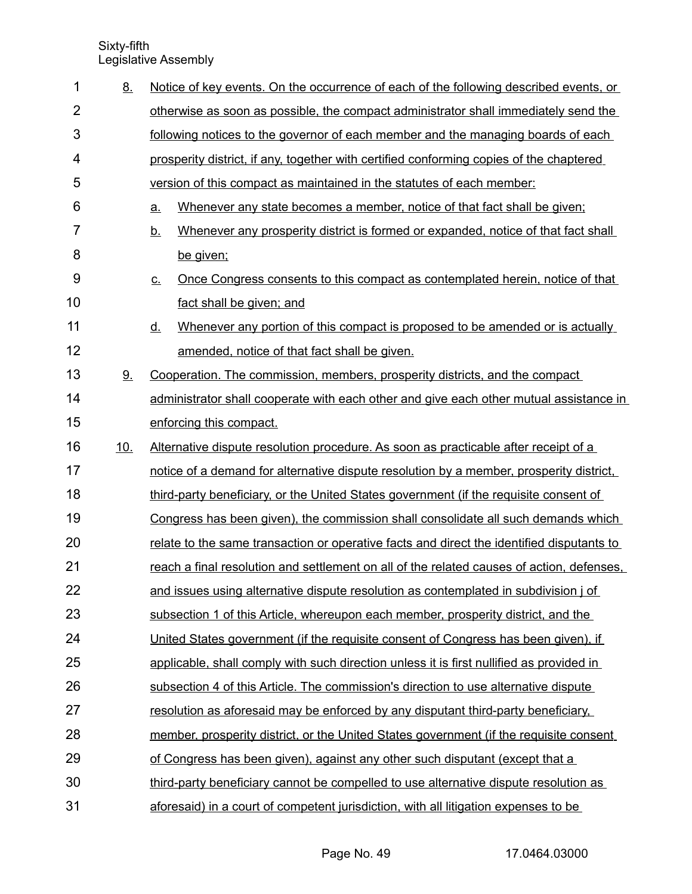| 1              | 8.         |           | Notice of key events. On the occurrence of each of the following described events, or     |  |  |  |  |  |
|----------------|------------|-----------|-------------------------------------------------------------------------------------------|--|--|--|--|--|
| $\overline{2}$ |            |           | otherwise as soon as possible, the compact administrator shall immediately send the       |  |  |  |  |  |
| 3              |            |           | following notices to the governor of each member and the managing boards of each          |  |  |  |  |  |
| 4              |            |           | prosperity district, if any, together with certified conforming copies of the chaptered   |  |  |  |  |  |
| 5              |            |           | version of this compact as maintained in the statutes of each member:                     |  |  |  |  |  |
| 6              |            | a.        | Whenever any state becomes a member, notice of that fact shall be given;                  |  |  |  |  |  |
| 7              |            | <u>b.</u> | Whenever any prosperity district is formed or expanded, notice of that fact shall         |  |  |  |  |  |
| 8              |            |           | be given;                                                                                 |  |  |  |  |  |
| 9              |            | <u>C.</u> | <u>Once Congress consents to this compact as contemplated herein, notice of that</u>      |  |  |  |  |  |
| 10             |            |           | fact shall be given; and                                                                  |  |  |  |  |  |
| 11             |            | <u>d.</u> | Whenever any portion of this compact is proposed to be amended or is actually             |  |  |  |  |  |
| 12             |            |           | amended, notice of that fact shall be given.                                              |  |  |  |  |  |
| 13             | 9.         |           | Cooperation. The commission, members, prosperity districts, and the compact               |  |  |  |  |  |
| 14             |            |           | administrator shall cooperate with each other and give each other mutual assistance in    |  |  |  |  |  |
| 15             |            |           | enforcing this compact.                                                                   |  |  |  |  |  |
| 16             | <u>10.</u> |           | Alternative dispute resolution procedure. As soon as practicable after receipt of a       |  |  |  |  |  |
| 17             |            |           | notice of a demand for alternative dispute resolution by a member, prosperity district,   |  |  |  |  |  |
| 18             |            |           | third-party beneficiary, or the United States government (if the requisite consent of     |  |  |  |  |  |
| 19             |            |           | Congress has been given), the commission shall consolidate all such demands which         |  |  |  |  |  |
| 20             |            |           | relate to the same transaction or operative facts and direct the identified disputants to |  |  |  |  |  |
| 21             |            |           | reach a final resolution and settlement on all of the related causes of action, defenses, |  |  |  |  |  |
| 22             |            |           | and issues using alternative dispute resolution as contemplated in subdivision j of       |  |  |  |  |  |
| 23             |            |           | subsection 1 of this Article, whereupon each member, prosperity district, and the         |  |  |  |  |  |
| 24             |            |           | United States government (if the requisite consent of Congress has been given), if        |  |  |  |  |  |
| 25             |            |           | applicable, shall comply with such direction unless it is first nullified as provided in  |  |  |  |  |  |
| 26             |            |           | subsection 4 of this Article. The commission's direction to use alternative dispute       |  |  |  |  |  |
| 27             |            |           | resolution as aforesaid may be enforced by any disputant third-party beneficiary.         |  |  |  |  |  |
| 28             |            |           | member, prosperity district, or the United States government (if the requisite consent    |  |  |  |  |  |
| 29             |            |           | of Congress has been given), against any other such disputant (except that a              |  |  |  |  |  |
| 30             |            |           | third-party beneficiary cannot be compelled to use alternative dispute resolution as      |  |  |  |  |  |
| 31             |            |           | aforesaid) in a court of competent jurisdiction, with all litigation expenses to be       |  |  |  |  |  |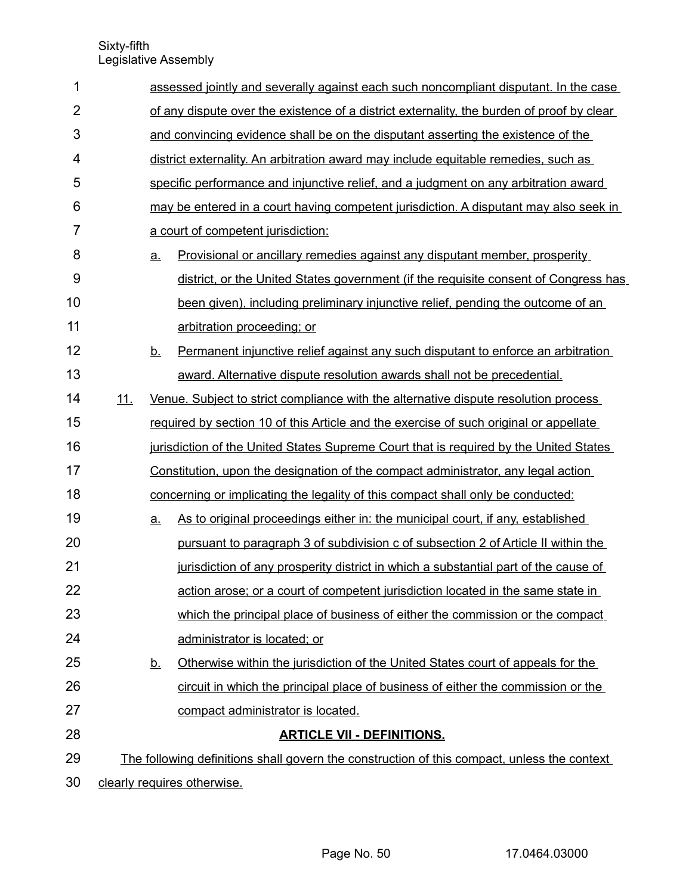| 1              |                             |                                                                                       | assessed jointly and severally against each such noncompliant disputant. In the case        |  |  |  |  |
|----------------|-----------------------------|---------------------------------------------------------------------------------------|---------------------------------------------------------------------------------------------|--|--|--|--|
| $\overline{2}$ |                             |                                                                                       | of any dispute over the existence of a district externality, the burden of proof by clear   |  |  |  |  |
| 3              |                             | and convincing evidence shall be on the disputant asserting the existence of the      |                                                                                             |  |  |  |  |
| 4              |                             |                                                                                       | district externality. An arbitration award may include equitable remedies, such as          |  |  |  |  |
| 5              |                             |                                                                                       | specific performance and injunctive relief, and a judgment on any arbitration award         |  |  |  |  |
| 6              |                             |                                                                                       | may be entered in a court having competent jurisdiction. A disputant may also seek in       |  |  |  |  |
| $\overline{7}$ |                             |                                                                                       | a court of competent jurisdiction:                                                          |  |  |  |  |
| 8              |                             | $\underline{a}$ .                                                                     | Provisional or ancillary remedies against any disputant member, prosperity                  |  |  |  |  |
| 9              |                             |                                                                                       | district, or the United States government (if the requisite consent of Congress has         |  |  |  |  |
| 10             |                             |                                                                                       | been given), including preliminary injunctive relief, pending the outcome of an             |  |  |  |  |
| 11             |                             |                                                                                       | arbitration proceeding; or                                                                  |  |  |  |  |
| 12             |                             | <u>b.</u>                                                                             | Permanent injunctive relief against any such disputant to enforce an arbitration            |  |  |  |  |
| 13             |                             |                                                                                       | award. Alternative dispute resolution awards shall not be precedential.                     |  |  |  |  |
| 14             | 11.                         |                                                                                       | Venue. Subject to strict compliance with the alternative dispute resolution process         |  |  |  |  |
| 15             |                             | required by section 10 of this Article and the exercise of such original or appellate |                                                                                             |  |  |  |  |
| 16             |                             | jurisdiction of the United States Supreme Court that is required by the United States |                                                                                             |  |  |  |  |
| 17             |                             | Constitution, upon the designation of the compact administrator, any legal action     |                                                                                             |  |  |  |  |
| 18             |                             | concerning or implicating the legality of this compact shall only be conducted:       |                                                                                             |  |  |  |  |
| 19             |                             | a.                                                                                    | As to original proceedings either in: the municipal court, if any, established              |  |  |  |  |
| 20             |                             |                                                                                       | pursuant to paragraph 3 of subdivision c of subsection 2 of Article II within the           |  |  |  |  |
| 21             |                             |                                                                                       | jurisdiction of any prosperity district in which a substantial part of the cause of         |  |  |  |  |
| 22             |                             |                                                                                       | action arose; or a court of competent jurisdiction located in the same state in             |  |  |  |  |
| 23             |                             |                                                                                       | which the principal place of business of either the commission or the compact               |  |  |  |  |
| 24             |                             |                                                                                       | administrator is located; or                                                                |  |  |  |  |
| 25             |                             | <u>b.</u>                                                                             | Otherwise within the jurisdiction of the United States court of appeals for the             |  |  |  |  |
| 26             |                             |                                                                                       | circuit in which the principal place of business of either the commission or the            |  |  |  |  |
| 27             |                             |                                                                                       | compact administrator is located.                                                           |  |  |  |  |
| 28             |                             |                                                                                       | <b>ARTICLE VII - DEFINITIONS.</b>                                                           |  |  |  |  |
| 29             |                             |                                                                                       | The following definitions shall govern the construction of this compact, unless the context |  |  |  |  |
| 30             | clearly requires otherwise. |                                                                                       |                                                                                             |  |  |  |  |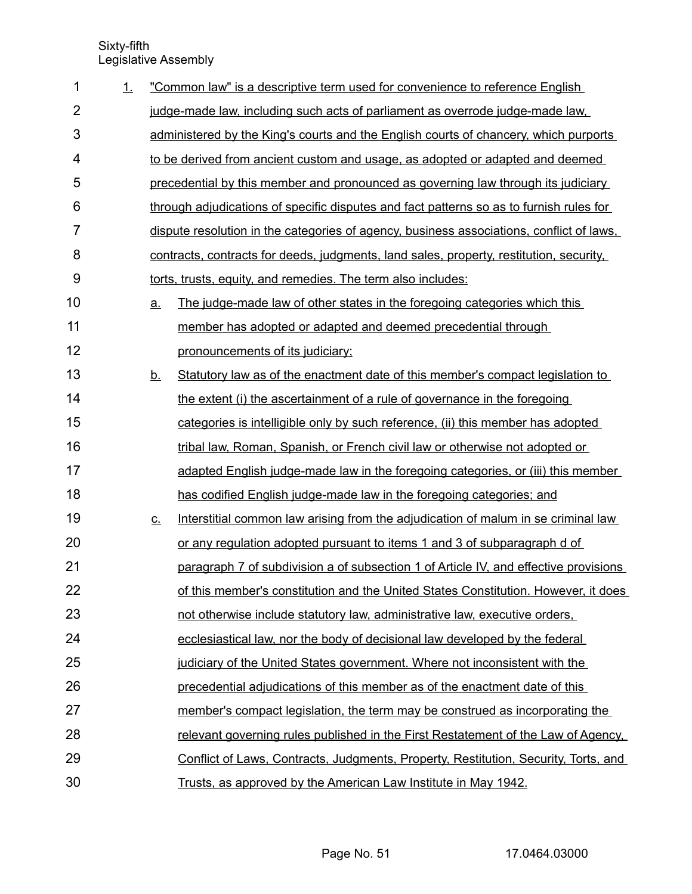| 1              | 1. |           | "Common law" is a descriptive term used for convenience to reference English             |
|----------------|----|-----------|------------------------------------------------------------------------------------------|
| $\overline{2}$ |    |           | judge-made law, including such acts of parliament as overrode judge-made law,            |
| 3              |    |           | administered by the King's courts and the English courts of chancery, which purports     |
| 4              |    |           | to be derived from ancient custom and usage, as adopted or adapted and deemed            |
| 5              |    |           | precedential by this member and pronounced as governing law through its judiciary        |
| 6              |    |           | through adjudications of specific disputes and fact patterns so as to furnish rules for  |
| 7              |    |           | dispute resolution in the categories of agency, business associations, conflict of laws, |
| 8              |    |           | contracts, contracts for deeds, judgments, land sales, property, restitution, security,  |
| 9              |    |           | torts, trusts, equity, and remedies. The term also includes:                             |
| 10             |    | <u>a.</u> | The judge-made law of other states in the foregoing categories which this                |
| 11             |    |           | member has adopted or adapted and deemed precedential through                            |
| 12             |    |           | pronouncements of its judiciary;                                                         |
| 13             |    | <u>b.</u> | Statutory law as of the enactment date of this member's compact legislation to           |
| 14             |    |           | the extent (i) the ascertainment of a rule of governance in the foregoing                |
| 15             |    |           | categories is intelligible only by such reference, (ii) this member has adopted          |
| 16             |    |           | tribal law, Roman, Spanish, or French civil law or otherwise not adopted or              |
| 17             |    |           | adapted English judge-made law in the foregoing categories, or (iii) this member         |
| 18             |    |           | has codified English judge-made law in the foregoing categories; and                     |
| 19             |    | <u>C.</u> | Interstitial common law arising from the adjudication of malum in se criminal law        |
| 20             |    |           | or any regulation adopted pursuant to items 1 and 3 of subparagraph d of                 |
| 21             |    |           | paragraph 7 of subdivision a of subsection 1 of Article IV, and effective provisions     |
| 22             |    |           | of this member's constitution and the United States Constitution. However, it does       |
| 23             |    |           | not otherwise include statutory law, administrative law, executive orders,               |
| 24             |    |           | ecclesiastical law, nor the body of decisional law developed by the federal              |
| 25             |    |           | judiciary of the United States government. Where not inconsistent with the               |
| 26             |    |           | precedential adjudications of this member as of the enactment date of this               |
| 27             |    |           | member's compact legislation, the term may be construed as incorporating the             |
| 28             |    |           | relevant governing rules published in the First Restatement of the Law of Agency.        |
| 29             |    |           | Conflict of Laws, Contracts, Judgments, Property, Restitution, Security, Torts, and      |
| 30             |    |           | Trusts, as approved by the American Law Institute in May 1942.                           |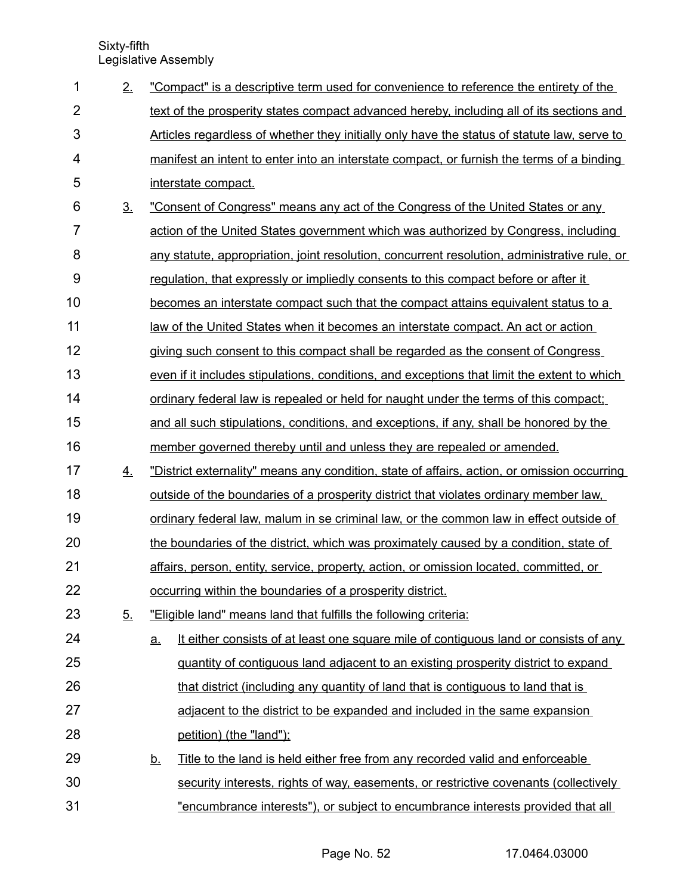| 1              | 2.             | "Compact" is a descriptive term used for convenience to reference the entirety of the             |  |  |  |  |
|----------------|----------------|---------------------------------------------------------------------------------------------------|--|--|--|--|
| $\overline{2}$ |                | text of the prosperity states compact advanced hereby, including all of its sections and          |  |  |  |  |
| 3              |                | Articles regardless of whether they initially only have the status of statute law, serve to       |  |  |  |  |
| 4              |                | manifest an intent to enter into an interstate compact, or furnish the terms of a binding         |  |  |  |  |
| 5              |                | interstate compact.                                                                               |  |  |  |  |
| 6              | 3 <sub>1</sub> | "Consent of Congress" means any act of the Congress of the United States or any                   |  |  |  |  |
| 7              |                | action of the United States government which was authorized by Congress, including                |  |  |  |  |
| 8              |                | any statute, appropriation, joint resolution, concurrent resolution, administrative rule, or      |  |  |  |  |
| 9              |                | regulation, that expressly or impliedly consents to this compact before or after it               |  |  |  |  |
| 10             |                | becomes an interstate compact such that the compact attains equivalent status to a                |  |  |  |  |
| 11             |                | law of the United States when it becomes an interstate compact. An act or action                  |  |  |  |  |
| 12             |                | giving such consent to this compact shall be regarded as the consent of Congress                  |  |  |  |  |
| 13             |                | even if it includes stipulations, conditions, and exceptions that limit the extent to which       |  |  |  |  |
| 14             |                | ordinary federal law is repealed or held for naught under the terms of this compact;              |  |  |  |  |
| 15             |                | and all such stipulations, conditions, and exceptions, if any, shall be honored by the            |  |  |  |  |
| 16             |                | member governed thereby until and unless they are repealed or amended.                            |  |  |  |  |
| 17             | 4.             | "District externality" means any condition, state of affairs, action, or omission occurring       |  |  |  |  |
| 18             |                | <u>outside of the boundaries of a prosperity district that violates ordinary member law.</u>      |  |  |  |  |
| 19             |                | ordinary federal law, malum in se criminal law, or the common law in effect outside of            |  |  |  |  |
| 20             |                | the boundaries of the district, which was proximately caused by a condition, state of             |  |  |  |  |
| 21             |                | affairs, person, entity, service, property, action, or omission located, committed, or            |  |  |  |  |
| 22             |                | occurring within the boundaries of a prosperity district.                                         |  |  |  |  |
| 23             | 5 <sub>1</sub> | "Eligible land" means land that fulfills the following criteria:                                  |  |  |  |  |
| 24             |                | It either consists of at least one square mile of contiguous land or consists of any<br><u>a.</u> |  |  |  |  |
| 25             |                | guantity of contiguous land adjacent to an existing prosperity district to expand                 |  |  |  |  |
| 26             |                | that district (including any quantity of land that is contiguous to land that is                  |  |  |  |  |
| 27             |                | adjacent to the district to be expanded and included in the same expansion                        |  |  |  |  |
| 28             |                | petition) (the "land");                                                                           |  |  |  |  |
| 29             |                | Title to the land is held either free from any recorded valid and enforceable<br><u>b</u>         |  |  |  |  |
| 30             |                | security interests, rights of way, easements, or restrictive covenants (collectively              |  |  |  |  |
| 31             |                | "encumbrance interests"), or subject to encumbrance interests provided that all                   |  |  |  |  |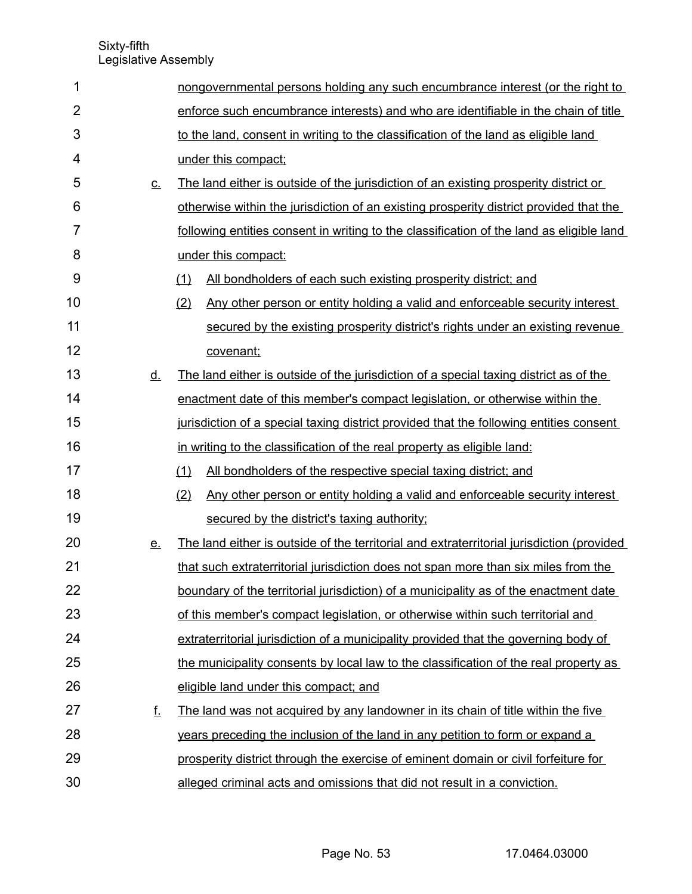| 1              |           | nongovernmental persons holding any such encumbrance interest (or the right to            |  |  |  |  |
|----------------|-----------|-------------------------------------------------------------------------------------------|--|--|--|--|
| $\overline{2}$ |           | enforce such encumbrance interests) and who are identifiable in the chain of title        |  |  |  |  |
| 3              |           | to the land, consent in writing to the classification of the land as eligible land        |  |  |  |  |
| 4              |           | under this compact;                                                                       |  |  |  |  |
| 5              | $C_{-}$   | The land either is outside of the jurisdiction of an existing prosperity district or      |  |  |  |  |
| 6              |           | otherwise within the jurisdiction of an existing prosperity district provided that the    |  |  |  |  |
| 7              |           | following entities consent in writing to the classification of the land as eligible land  |  |  |  |  |
| 8              |           | under this compact:                                                                       |  |  |  |  |
| 9              |           | (1)<br>All bondholders of each such existing prosperity district; and                     |  |  |  |  |
| 10             |           | (2)<br>Any other person or entity holding a valid and enforceable security interest       |  |  |  |  |
| 11             |           | secured by the existing prosperity district's rights under an existing revenue            |  |  |  |  |
| 12             |           | covenant;                                                                                 |  |  |  |  |
| 13             | <u>d.</u> | The land either is outside of the jurisdiction of a special taxing district as of the     |  |  |  |  |
| 14             |           | enactment date of this member's compact legislation, or otherwise within the              |  |  |  |  |
| 15             |           | jurisdiction of a special taxing district provided that the following entities consent    |  |  |  |  |
| 16             |           | in writing to the classification of the real property as eligible land:                   |  |  |  |  |
| 17             |           | All bondholders of the respective special taxing district; and<br>(1)                     |  |  |  |  |
| 18             |           | (2)<br>Any other person or entity holding a valid and enforceable security interest       |  |  |  |  |
| 19             |           | secured by the district's taxing authority;                                               |  |  |  |  |
| 20             | <u>e.</u> | The land either is outside of the territorial and extraterritorial jurisdiction (provided |  |  |  |  |
| 21             |           | that such extraterritorial jurisdiction does not span more than six miles from the        |  |  |  |  |
| 22             |           | boundary of the territorial jurisdiction) of a municipality as of the enactment date      |  |  |  |  |
| 23             |           | of this member's compact legislation, or otherwise within such territorial and            |  |  |  |  |
| 24             |           | extraterritorial jurisdiction of a municipality provided that the governing body of       |  |  |  |  |
| 25             |           | the municipality consents by local law to the classification of the real property as      |  |  |  |  |
| 26             |           | eligible land under this compact; and                                                     |  |  |  |  |
| 27             | <u>f.</u> | The land was not acquired by any landowner in its chain of title within the five          |  |  |  |  |
| 28             |           | years preceding the inclusion of the land in any petition to form or expand a             |  |  |  |  |
| 29             |           | prosperity district through the exercise of eminent domain or civil forfeiture for        |  |  |  |  |
| 30             |           | alleged criminal acts and omissions that did not result in a conviction.                  |  |  |  |  |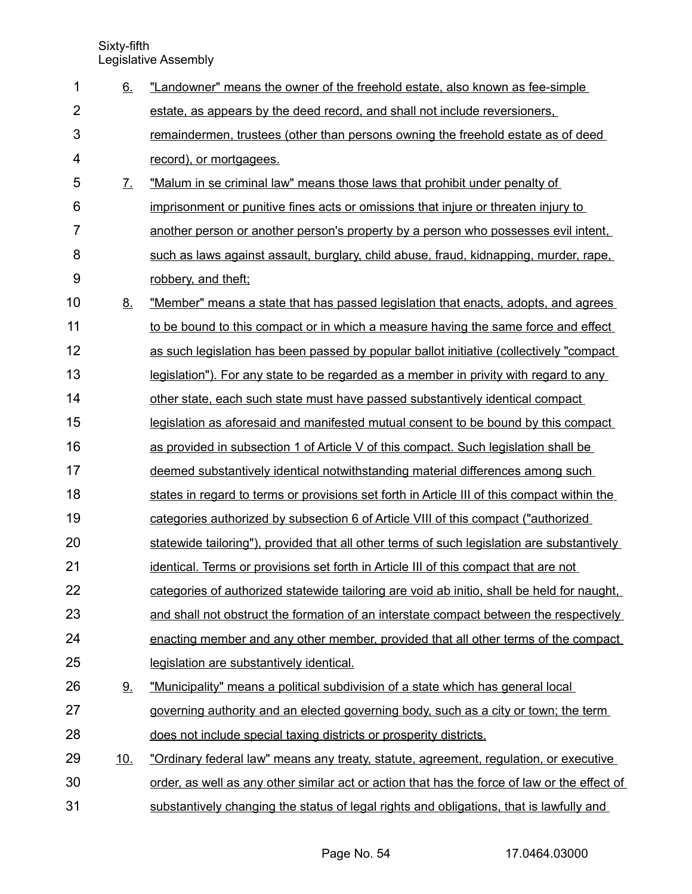| 1              | 6.                | "Landowner" means the owner of the freehold estate, also known as fee-simple                 |
|----------------|-------------------|----------------------------------------------------------------------------------------------|
| $\overline{2}$ |                   | estate, as appears by the deed record, and shall not include reversioners,                   |
| 3              |                   | remaindermen, trustees (other than persons owning the freehold estate as of deed             |
| 4              |                   | record), or mortgagees.                                                                      |
| 5              | $\mathcal{I}_{-}$ | "Malum in se criminal law" means those laws that prohibit under penalty of                   |
| 6              |                   | imprisonment or punitive fines acts or omissions that injure or threaten injury to           |
| $\overline{7}$ |                   | another person or another person's property by a person who possesses evil intent,           |
| 8              |                   | such as laws against assault, burglary, child abuse, fraud, kidnapping, murder, rape,        |
| 9              |                   | robbery, and theft;                                                                          |
| 10             | 8.                | "Member" means a state that has passed legislation that enacts, adopts, and agrees           |
| 11             |                   | to be bound to this compact or in which a measure having the same force and effect           |
| 12             |                   | as such legislation has been passed by popular ballot initiative (collectively "compact      |
| 13             |                   | legislation"). For any state to be regarded as a member in privity with regard to any        |
| 14             |                   | other state, each such state must have passed substantively identical compact                |
| 15             |                   | legislation as aforesaid and manifested mutual consent to be bound by this compact           |
| 16             |                   | as provided in subsection 1 of Article V of this compact. Such legislation shall be          |
| 17             |                   | deemed substantively identical notwithstanding material differences among such               |
| 18             |                   | states in regard to terms or provisions set forth in Article III of this compact within the  |
| 19             |                   | categories authorized by subsection 6 of Article VIII of this compact ("authorized           |
| 20             |                   | statewide tailoring"), provided that all other terms of such legislation are substantively   |
| 21             |                   | identical. Terms or provisions set forth in Article III of this compact that are not         |
| 22             |                   | categories of authorized statewide tailoring are void ab initio, shall be held for naught,   |
| 23             |                   | and shall not obstruct the formation of an interstate compact between the respectively       |
| 24             |                   | enacting member and any other member, provided that all other terms of the compact           |
| 25             |                   | legislation are substantively identical.                                                     |
| 26             | <u>9.</u>         | "Municipality" means a political subdivision of a state which has general local              |
| 27             |                   | governing authority and an elected governing body, such as a city or town; the term          |
| 28             |                   | does not include special taxing districts or prosperity districts.                           |
| 29             | <u>10.</u>        | "Ordinary federal law" means any treaty, statute, agreement, regulation, or executive        |
| 30             |                   | order, as well as any other similar act or action that has the force of law or the effect of |
| 31             |                   | substantively changing the status of legal rights and obligations, that is lawfully and      |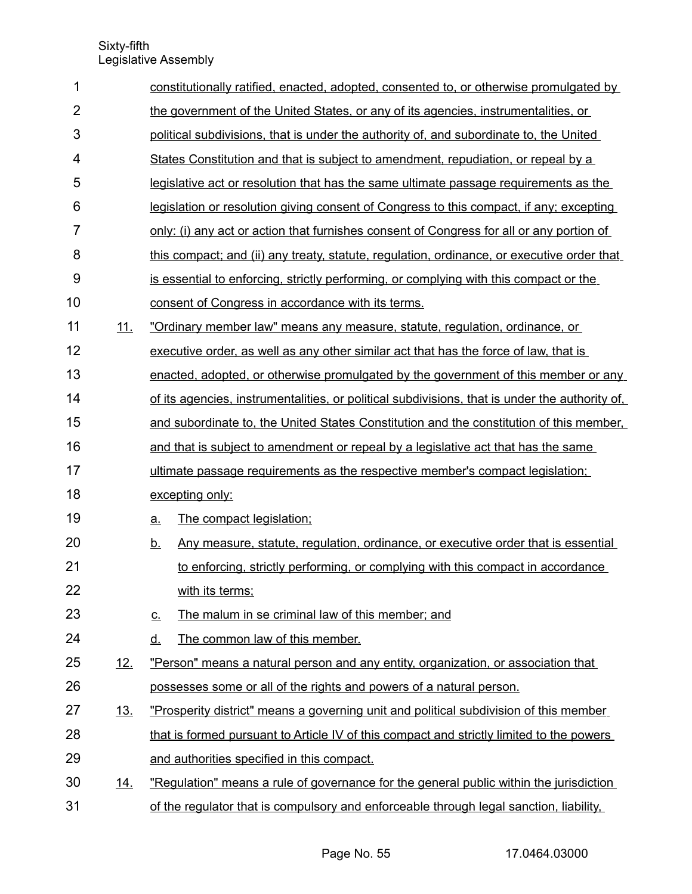| 1              |            | constitutionally ratified, enacted, adopted, consented to, or otherwise promulgated by         |  |  |  |  |  |
|----------------|------------|------------------------------------------------------------------------------------------------|--|--|--|--|--|
| $\overline{2}$ |            | the government of the United States, or any of its agencies, instrumentalities, or             |  |  |  |  |  |
| 3              |            | political subdivisions, that is under the authority of, and subordinate to, the United         |  |  |  |  |  |
| 4              |            | States Constitution and that is subject to amendment, repudiation, or repeal by a              |  |  |  |  |  |
| 5              |            | legislative act or resolution that has the same ultimate passage requirements as the           |  |  |  |  |  |
| 6              |            | legislation or resolution giving consent of Congress to this compact, if any; excepting        |  |  |  |  |  |
| 7              |            | only: (i) any act or action that furnishes consent of Congress for all or any portion of       |  |  |  |  |  |
| 8              |            | this compact; and (ii) any treaty, statute, regulation, ordinance, or executive order that     |  |  |  |  |  |
| $9$            |            | is essential to enforcing, strictly performing, or complying with this compact or the          |  |  |  |  |  |
| 10             |            | consent of Congress in accordance with its terms.                                              |  |  |  |  |  |
| 11             | <u>11.</u> | "Ordinary member law" means any measure, statute, regulation, ordinance, or                    |  |  |  |  |  |
| 12             |            | executive order, as well as any other similar act that has the force of law, that is           |  |  |  |  |  |
| 13             |            | enacted, adopted, or otherwise promulgated by the government of this member or any             |  |  |  |  |  |
| 14             |            | of its agencies, instrumentalities, or political subdivisions, that is under the authority of, |  |  |  |  |  |
| 15             |            | and subordinate to, the United States Constitution and the constitution of this member,        |  |  |  |  |  |
| 16             |            | and that is subject to amendment or repeal by a legislative act that has the same              |  |  |  |  |  |
| 17             |            | ultimate passage requirements as the respective member's compact legislation;                  |  |  |  |  |  |
| 18             |            | excepting only:                                                                                |  |  |  |  |  |
| 19             |            | The compact legislation;<br><u>a.</u>                                                          |  |  |  |  |  |
| 20             |            | Any measure, statute, regulation, ordinance, or executive order that is essential<br><u>b.</u> |  |  |  |  |  |
| 21             |            | to enforcing, strictly performing, or complying with this compact in accordance                |  |  |  |  |  |
| 22             |            | with its terms;                                                                                |  |  |  |  |  |
| 23             |            | The malum in se criminal law of this member; and<br><u>c.</u>                                  |  |  |  |  |  |
| 24             |            | The common law of this member.<br><u>d.</u>                                                    |  |  |  |  |  |
| 25             | <u>12.</u> | "Person" means a natural person and any entity, organization, or association that              |  |  |  |  |  |
| 26             |            | possesses some or all of the rights and powers of a natural person.                            |  |  |  |  |  |
| 27             | <u>13.</u> | "Prosperity district" means a governing unit and political subdivision of this member          |  |  |  |  |  |
| 28             |            | that is formed pursuant to Article IV of this compact and strictly limited to the powers       |  |  |  |  |  |
| 29             |            | and authorities specified in this compact.                                                     |  |  |  |  |  |
| 30             | <u>14.</u> | "Regulation" means a rule of governance for the general public within the jurisdiction         |  |  |  |  |  |
| 31             |            | of the regulator that is compulsory and enforceable through legal sanction, liability,         |  |  |  |  |  |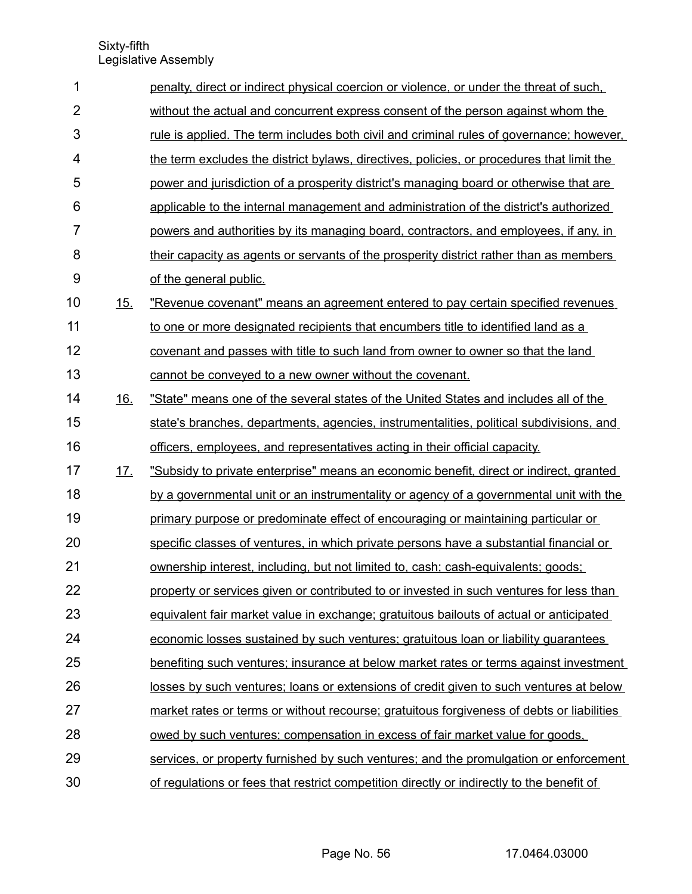| 1              |            | penalty, direct or indirect physical coercion or violence, or under the threat of such,         |
|----------------|------------|-------------------------------------------------------------------------------------------------|
| $\overline{2}$ |            | without the actual and concurrent express consent of the person against whom the                |
| 3              |            | <u>rule is applied. The term includes both civil and criminal rules of governance; however,</u> |
| $\overline{4}$ |            | the term excludes the district bylaws, directives, policies, or procedures that limit the       |
| 5              |            | power and jurisdiction of a prosperity district's managing board or otherwise that are          |
| 6              |            | applicable to the internal management and administration of the district's authorized           |
| $\overline{7}$ |            | powers and authorities by its managing board, contractors, and employees, if any, in            |
| 8              |            | their capacity as agents or servants of the prosperity district rather than as members          |
| $9\,$          |            | of the general public.                                                                          |
| 10             | 15.        | "Revenue covenant" means an agreement entered to pay certain specified revenues                 |
| 11             |            | to one or more designated recipients that encumbers title to identified land as a               |
| 12             |            | covenant and passes with title to such land from owner to owner so that the land                |
| 13             |            | cannot be conveyed to a new owner without the covenant.                                         |
| 14             | <u>16.</u> | "State" means one of the several states of the United States and includes all of the            |
| 15             |            | state's branches, departments, agencies, instrumentalities, political subdivisions, and         |
| 16             |            | officers, employees, and representatives acting in their official capacity.                     |
| 17             | <u>17.</u> | "Subsidy to private enterprise" means an economic benefit, direct or indirect, granted          |
| 18             |            | by a governmental unit or an instrumentality or agency of a governmental unit with the          |
| 19             |            | primary purpose or predominate effect of encouraging or maintaining particular or               |
| 20             |            | specific classes of ventures, in which private persons have a substantial financial or          |
| 21             |            | ownership interest, including, but not limited to, cash; cash-equivalents; goods;               |
| 22             |            | property or services given or contributed to or invested in such ventures for less than         |
| 23             |            | equivalent fair market value in exchange; gratuitous bailouts of actual or anticipated          |
| 24             |            | economic losses sustained by such ventures; gratuitous loan or liability guarantees             |
| 25             |            | benefiting such ventures; insurance at below market rates or terms against investment           |
| 26             |            | losses by such ventures; loans or extensions of credit given to such ventures at below          |
| 27             |            | market rates or terms or without recourse; gratuitous forgiveness of debts or liabilities       |
| 28             |            | owed by such ventures; compensation in excess of fair market value for goods.                   |
| 29             |            | services, or property furnished by such ventures; and the promulgation or enforcement           |
| 30             |            | of regulations or fees that restrict competition directly or indirectly to the benefit of       |

Page No. 56 17.0464.03000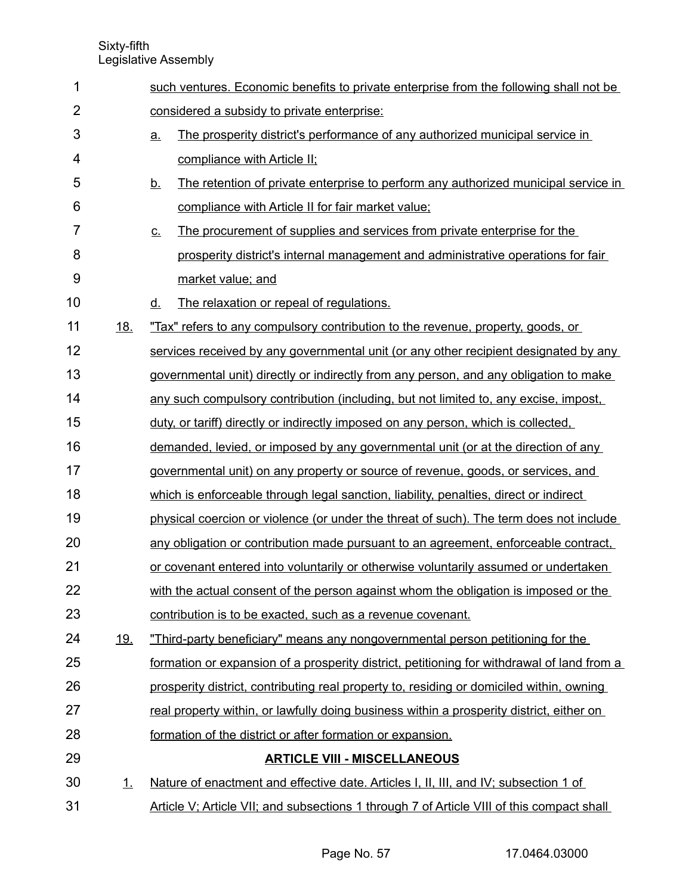such ventures. Economic benefits to private enterprise from the following shall not be considered a subsidy to private enterprise: <u>a.</u> The prosperity district's performance of any authorized municipal service in compliance with Article II; b. The retention of private enterprise to perform any authorized municipal service in compliance with Article II for fair market value; c. The procurement of supplies and services from private enterprise for the prosperity district's internal management and administrative operations for fair market value; and d. The relaxation or repeal of regulations. 18. "Tax" refers to any compulsory contribution to the revenue, property, goods, or services received by any governmental unit (or any other recipient designated by any governmental unit) directly or indirectly from any person, and any obligation to make any such compulsory contribution (including, but not limited to, any excise, impost, duty, or tariff) directly or indirectly imposed on any person, which is collected, demanded, levied, or imposed by any governmental unit (or at the direction of any governmental unit) on any property or source of revenue, goods, or services, and which is enforceable through legal sanction, liability, penalties, direct or indirect physical coercion or violence (or under the threat of such). The term does not include any obligation or contribution made pursuant to an agreement, enforceable contract, or covenant entered into voluntarily or otherwise voluntarily assumed or undertaken with the actual consent of the person against whom the obligation is imposed or the contribution is to be exacted, such as a revenue covenant. 19. "Third-party beneficiary" means any nongovernmental person petitioning for the formation or expansion of a prosperity district, petitioning for withdrawal of land from a prosperity district, contributing real property to, residing or domiciled within, owning real property within, or lawfully doing business within a prosperity district, either on formation of the district or after formation or expansion. **ARTICLE VIII - MISCELLANEOUS** 1. Nature of enactment and effective date. Articles I, II, III, and IV; subsection 1 of Article V; Article VII; and subsections 1 through 7 of Article VIII of this compact shall 1 2 3 4 5 6 7 8 9 10 11 12 13 14 15 16 17 18 19 20 21 22 23 24 25 26 27 28 29 30 31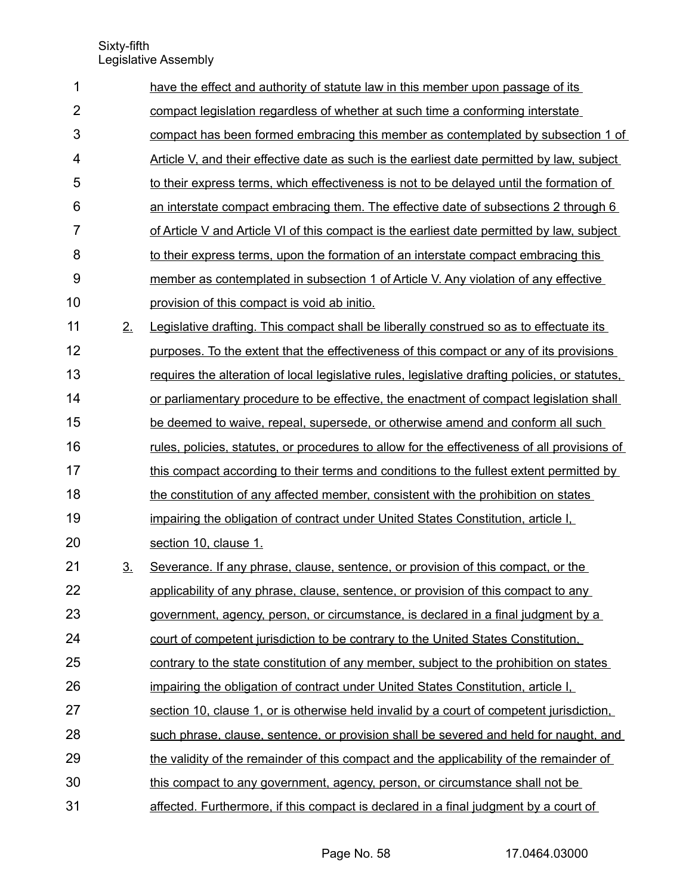| 1              |                | have the effect and authority of statute law in this member upon passage of its                     |
|----------------|----------------|-----------------------------------------------------------------------------------------------------|
| $\overline{2}$ |                | compact legislation regardless of whether at such time a conforming interstate                      |
| 3              |                | compact has been formed embracing this member as contemplated by subsection 1 of                    |
| 4              |                | Article V, and their effective date as such is the earliest date permitted by law, subject          |
| 5              |                | to their express terms, which effectiveness is not to be delayed until the formation of             |
| 6              |                | an interstate compact embracing them. The effective date of subsections 2 through 6                 |
| 7              |                | of Article V and Article VI of this compact is the earliest date permitted by law, subject          |
| 8              |                | to their express terms, upon the formation of an interstate compact embracing this                  |
| 9              |                | member as contemplated in subsection 1 of Article V. Any violation of any effective                 |
| 10             |                | provision of this compact is void ab initio.                                                        |
| 11             | 2.             | Legislative drafting. This compact shall be liberally construed so as to effectuate its             |
| 12             |                | purposes. To the extent that the effectiveness of this compact or any of its provisions             |
| 13             |                | requires the alteration of local legislative rules, legislative drafting policies, or statutes,     |
| 14             |                | or parliamentary procedure to be effective, the enactment of compact legislation shall              |
| 15             |                | be deemed to waive, repeal, supersede, or otherwise amend and conform all such                      |
| 16             |                | <u>rules, policies, statutes, or procedures to allow for the effectiveness of all provisions of</u> |
| 17             |                | this compact according to their terms and conditions to the fullest extent permitted by             |
| 18             |                | the constitution of any affected member, consistent with the prohibition on states                  |
| 19             |                | impairing the obligation of contract under United States Constitution, article I.                   |
| 20             |                | section 10, clause 1.                                                                               |
| 21             | 3 <sub>1</sub> | Severance. If any phrase, clause, sentence, or provision of this compact, or the                    |
| 22             |                | applicability of any phrase, clause, sentence, or provision of this compact to any                  |
| 23             |                | government, agency, person, or circumstance, is declared in a final judgment by a                   |
| 24             |                | court of competent jurisdiction to be contrary to the United States Constitution.                   |
| 25             |                | contrary to the state constitution of any member, subject to the prohibition on states              |
| 26             |                | impairing the obligation of contract under United States Constitution, article I.                   |
| 27             |                | section 10, clause 1, or is otherwise held invalid by a court of competent jurisdiction,            |
| 28             |                | such phrase, clause, sentence, or provision shall be severed and held for naught, and               |
| 29             |                | the validity of the remainder of this compact and the applicability of the remainder of             |
| 30             |                | this compact to any government, agency, person, or circumstance shall not be                        |
| 31             |                | affected. Furthermore, if this compact is declared in a final judgment by a court of                |

Page No. 58 17.0464.03000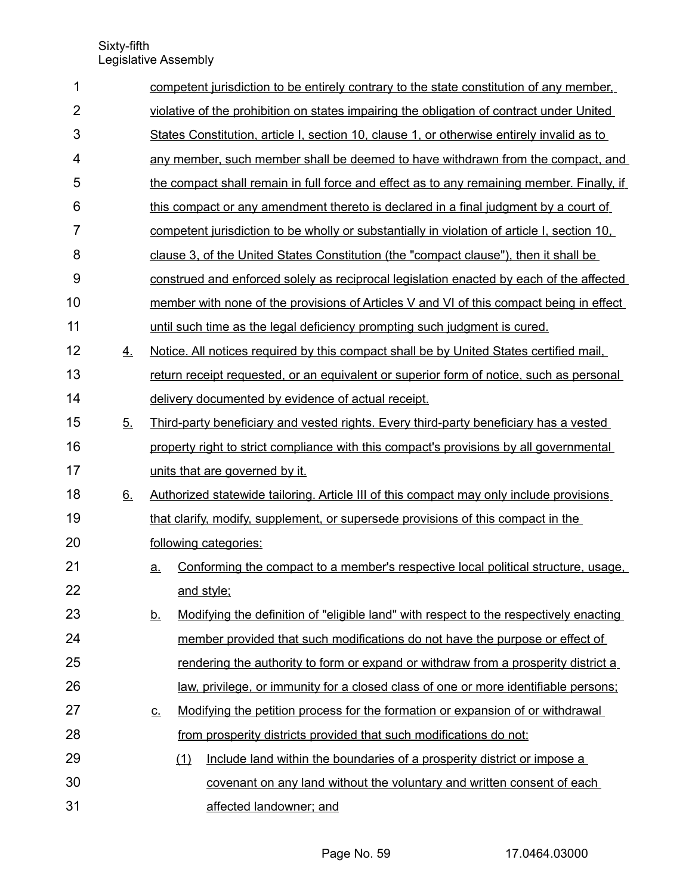| 1              |           |                                                                                          | competent jurisdiction to be entirely contrary to the state constitution of any member.     |  |  |  |  |  |
|----------------|-----------|------------------------------------------------------------------------------------------|---------------------------------------------------------------------------------------------|--|--|--|--|--|
| $\overline{2}$ |           | violative of the prohibition on states impairing the obligation of contract under United |                                                                                             |  |  |  |  |  |
| 3              |           |                                                                                          | States Constitution, article I, section 10, clause 1, or otherwise entirely invalid as to   |  |  |  |  |  |
| 4              |           |                                                                                          | any member, such member shall be deemed to have withdrawn from the compact, and             |  |  |  |  |  |
| 5              |           |                                                                                          | the compact shall remain in full force and effect as to any remaining member. Finally, if   |  |  |  |  |  |
| 6              |           |                                                                                          | this compact or any amendment thereto is declared in a final judgment by a court of         |  |  |  |  |  |
| $\overline{7}$ |           |                                                                                          | competent jurisdiction to be wholly or substantially in violation of article I, section 10, |  |  |  |  |  |
| 8              |           |                                                                                          | clause 3, of the United States Constitution (the "compact clause"), then it shall be        |  |  |  |  |  |
| 9              |           |                                                                                          | construed and enforced solely as reciprocal legislation enacted by each of the affected     |  |  |  |  |  |
| 10             |           |                                                                                          | member with none of the provisions of Articles V and VI of this compact being in effect     |  |  |  |  |  |
| 11             |           |                                                                                          | until such time as the legal deficiency prompting such judgment is cured.                   |  |  |  |  |  |
| 12             | 4.        |                                                                                          | Notice. All notices required by this compact shall be by United States certified mail.      |  |  |  |  |  |
| 13             |           |                                                                                          | return receipt requested, or an equivalent or superior form of notice, such as personal     |  |  |  |  |  |
| 14             |           |                                                                                          | delivery documented by evidence of actual receipt.                                          |  |  |  |  |  |
| 15             | 5.        |                                                                                          | Third-party beneficiary and vested rights. Every third-party beneficiary has a vested       |  |  |  |  |  |
| 16             |           |                                                                                          | property right to strict compliance with this compact's provisions by all governmental      |  |  |  |  |  |
| 17             |           |                                                                                          | units that are governed by it.                                                              |  |  |  |  |  |
| 18             | <u>6.</u> |                                                                                          | Authorized statewide tailoring. Article III of this compact may only include provisions     |  |  |  |  |  |
| 19             |           |                                                                                          | that clarify, modify, supplement, or supersede provisions of this compact in the            |  |  |  |  |  |
| 20             |           |                                                                                          | following categories:                                                                       |  |  |  |  |  |
| 21             |           | <u>a.</u>                                                                                | Conforming the compact to a member's respective local political structure, usage,           |  |  |  |  |  |
| 22             |           |                                                                                          | and style;                                                                                  |  |  |  |  |  |
| 23             |           | <u>b.</u>                                                                                | Modifying the definition of "eligible land" with respect to the respectively enacting       |  |  |  |  |  |
| 24             |           |                                                                                          | member provided that such modifications do not have the purpose or effect of                |  |  |  |  |  |
| 25             |           |                                                                                          | <u>rendering the authority to form or expand or withdraw from a prosperity district a</u>   |  |  |  |  |  |
| 26             |           |                                                                                          | law, privilege, or immunity for a closed class of one or more identifiable persons;         |  |  |  |  |  |
| 27             |           | <u>c.</u>                                                                                | Modifying the petition process for the formation or expansion of or withdrawal              |  |  |  |  |  |
| 28             |           |                                                                                          | from prosperity districts provided that such modifications do not:                          |  |  |  |  |  |
| 29             |           |                                                                                          | Include land within the boundaries of a prosperity district or impose a<br>(1)              |  |  |  |  |  |
| 30             |           |                                                                                          | covenant on any land without the voluntary and written consent of each                      |  |  |  |  |  |
| 31             |           |                                                                                          | affected landowner; and                                                                     |  |  |  |  |  |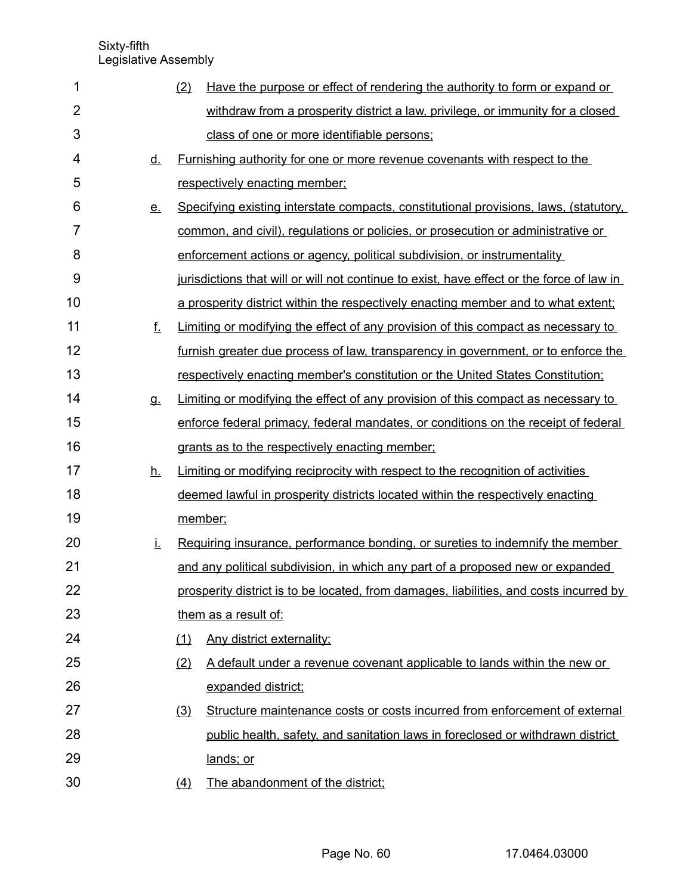| 1              |           | (2) | Have the purpose or effect of rendering the authority to form or expand or                |
|----------------|-----------|-----|-------------------------------------------------------------------------------------------|
| $\overline{2}$ |           |     | withdraw from a prosperity district a law, privilege, or immunity for a closed            |
| 3              |           |     | class of one or more identifiable persons;                                                |
| 4              | <u>d.</u> |     | Furnishing authority for one or more revenue covenants with respect to the                |
| 5              |           |     | respectively enacting member;                                                             |
| 6              | <u>e.</u> |     | Specifying existing interstate compacts, constitutional provisions, laws, (statutory,     |
| 7              |           |     | common, and civil), regulations or policies, or prosecution or administrative or          |
| 8              |           |     | enforcement actions or agency, political subdivision, or instrumentality                  |
| 9              |           |     | jurisdictions that will or will not continue to exist, have effect or the force of law in |
| 10             |           |     | a prosperity district within the respectively enacting member and to what extent;         |
| 11             | f.        |     | Limiting or modifying the effect of any provision of this compact as necessary to         |
| 12             |           |     | furnish greater due process of law, transparency in government, or to enforce the         |
| 13             |           |     | respectively enacting member's constitution or the United States Constitution;            |
| 14             | g.        |     | Limiting or modifying the effect of any provision of this compact as necessary to         |
| 15             |           |     | enforce federal primacy, federal mandates, or conditions on the receipt of federal        |
| 16             |           |     | grants as to the respectively enacting member;                                            |
| 17             | <u>h.</u> |     | Limiting or modifying reciprocity with respect to the recognition of activities           |
| 18             |           |     | deemed lawful in prosperity districts located within the respectively enacting            |
| 19             |           |     | member;                                                                                   |
| 20             | İ.        |     | Requiring insurance, performance bonding, or sureties to indemnify the member             |
| 21             |           |     | and any political subdivision, in which any part of a proposed new or expanded            |
| 22             |           |     | prosperity district is to be located, from damages, liabilities, and costs incurred by    |
| 23             |           |     | them as a result of:                                                                      |
| 24             |           | (1) | Any district externality;                                                                 |
| 25             |           | (2) | A default under a revenue covenant applicable to lands within the new or                  |
| 26             |           |     | expanded district;                                                                        |
| 27             |           | (3) | Structure maintenance costs or costs incurred from enforcement of external                |
| 28             |           |     | public health, safety, and sanitation laws in foreclosed or withdrawn district            |
| 29             |           |     | lands; or                                                                                 |
| 30             |           | (4) | The abandonment of the district;                                                          |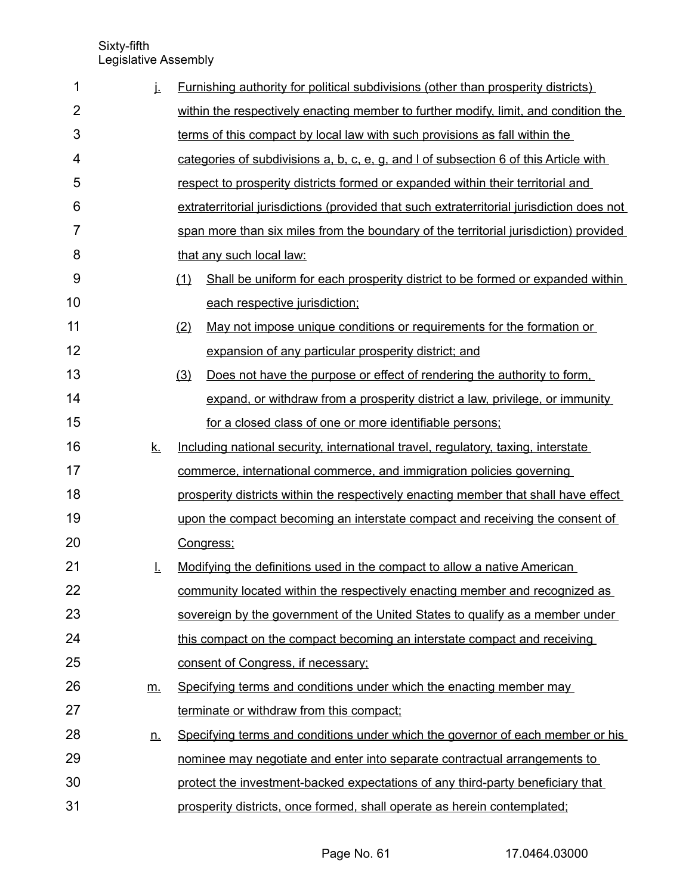| 1              | j.        | <b>Furnishing authority for political subdivisions (other than prosperity districts)</b>  |
|----------------|-----------|-------------------------------------------------------------------------------------------|
| $\overline{2}$ |           | within the respectively enacting member to further modify, limit, and condition the       |
| 3              |           | terms of this compact by local law with such provisions as fall within the                |
| 4              |           | categories of subdivisions a, b, c, e, g, and I of subsection 6 of this Article with      |
| 5              |           | respect to prosperity districts formed or expanded within their territorial and           |
| 6              |           | extraterritorial jurisdictions (provided that such extraterritorial jurisdiction does not |
| $\overline{7}$ |           | span more than six miles from the boundary of the territorial jurisdiction) provided      |
| 8              |           | that any such local law:                                                                  |
| 9              |           | Shall be uniform for each prosperity district to be formed or expanded within<br>(1)      |
| 10             |           | each respective jurisdiction;                                                             |
| 11             |           | (2)<br>May not impose unique conditions or requirements for the formation or              |
| 12             |           | expansion of any particular prosperity district; and                                      |
| 13             |           | (3)<br>Does not have the purpose or effect of rendering the authority to form,            |
| 14             |           | expand, or withdraw from a prosperity district a law, privilege, or immunity              |
| 15             |           | for a closed class of one or more identifiable persons;                                   |
| 16             | <u>k.</u> | Including national security, international travel, regulatory, taxing, interstate         |
| 17             |           | commerce, international commerce, and immigration policies governing                      |
| 18             |           | prosperity districts within the respectively enacting member that shall have effect       |
| 19             |           | upon the compact becoming an interstate compact and receiving the consent of              |
| 20             |           | Congress;                                                                                 |
| 21             | Ī.        | Modifying the definitions used in the compact to allow a native American                  |
| 22             |           | community located within the respectively enacting member and recognized as               |
| 23             |           | sovereign by the government of the United States to qualify as a member under             |
| 24             |           | this compact on the compact becoming an interstate compact and receiving                  |
| 25             |           | consent of Congress, if necessary;                                                        |
| 26             | m.        | Specifying terms and conditions under which the enacting member may                       |
| 27             |           | terminate or withdraw from this compact;                                                  |
| 28             | <u>n.</u> | Specifying terms and conditions under which the governor of each member or his            |
| 29             |           | nominee may negotiate and enter into separate contractual arrangements to                 |
| 30             |           | protect the investment-backed expectations of any third-party beneficiary that            |
| 31             |           | prosperity districts, once formed, shall operate as herein contemplated;                  |